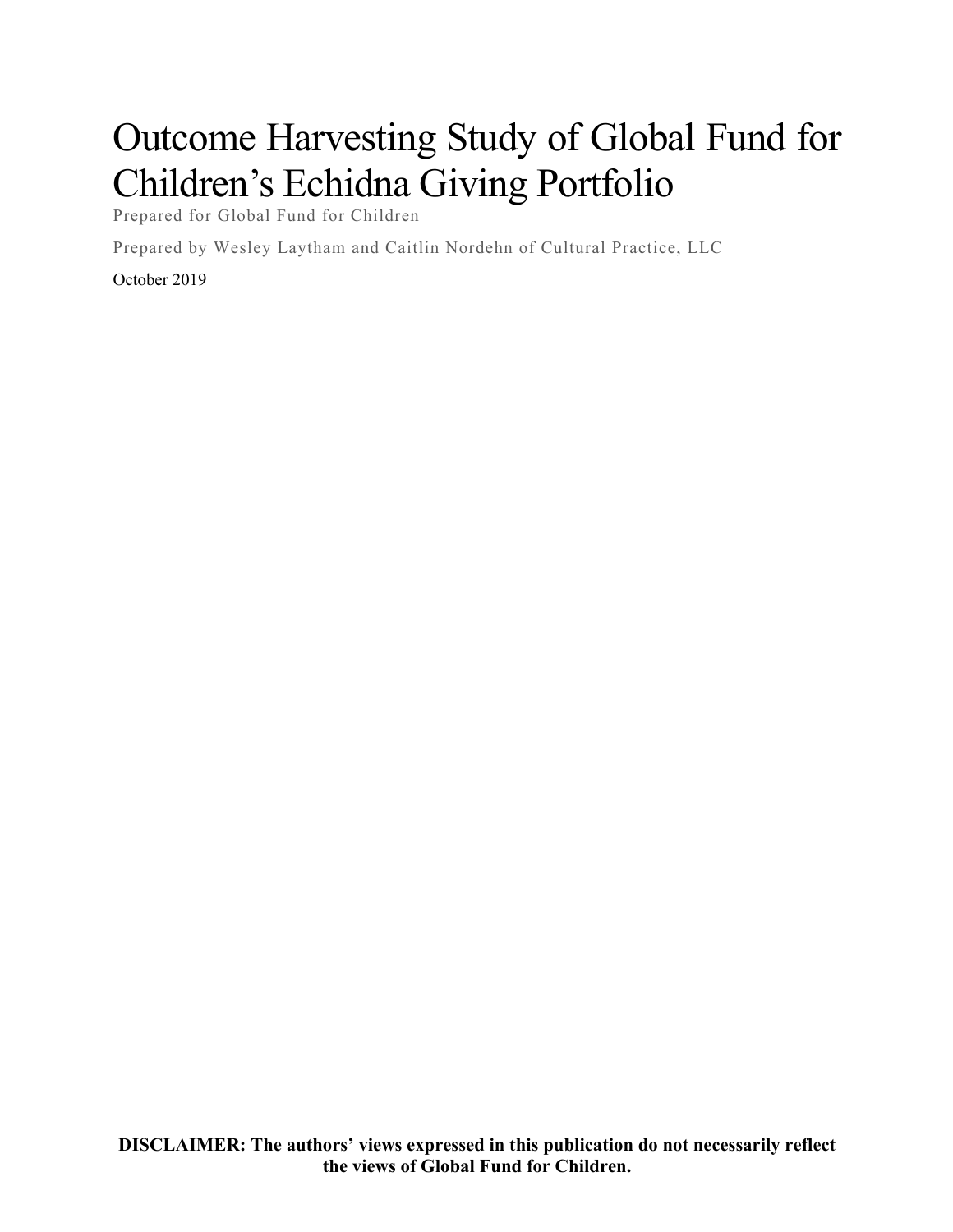# Outcome Harvesting Study of Global Fund for Children's Echidna Giving Portfolio

Prepared for Global Fund for Children

Prepared by Wesley Laytham and Caitlin Nordehn of Cultural Practice, LLC

#### October 2019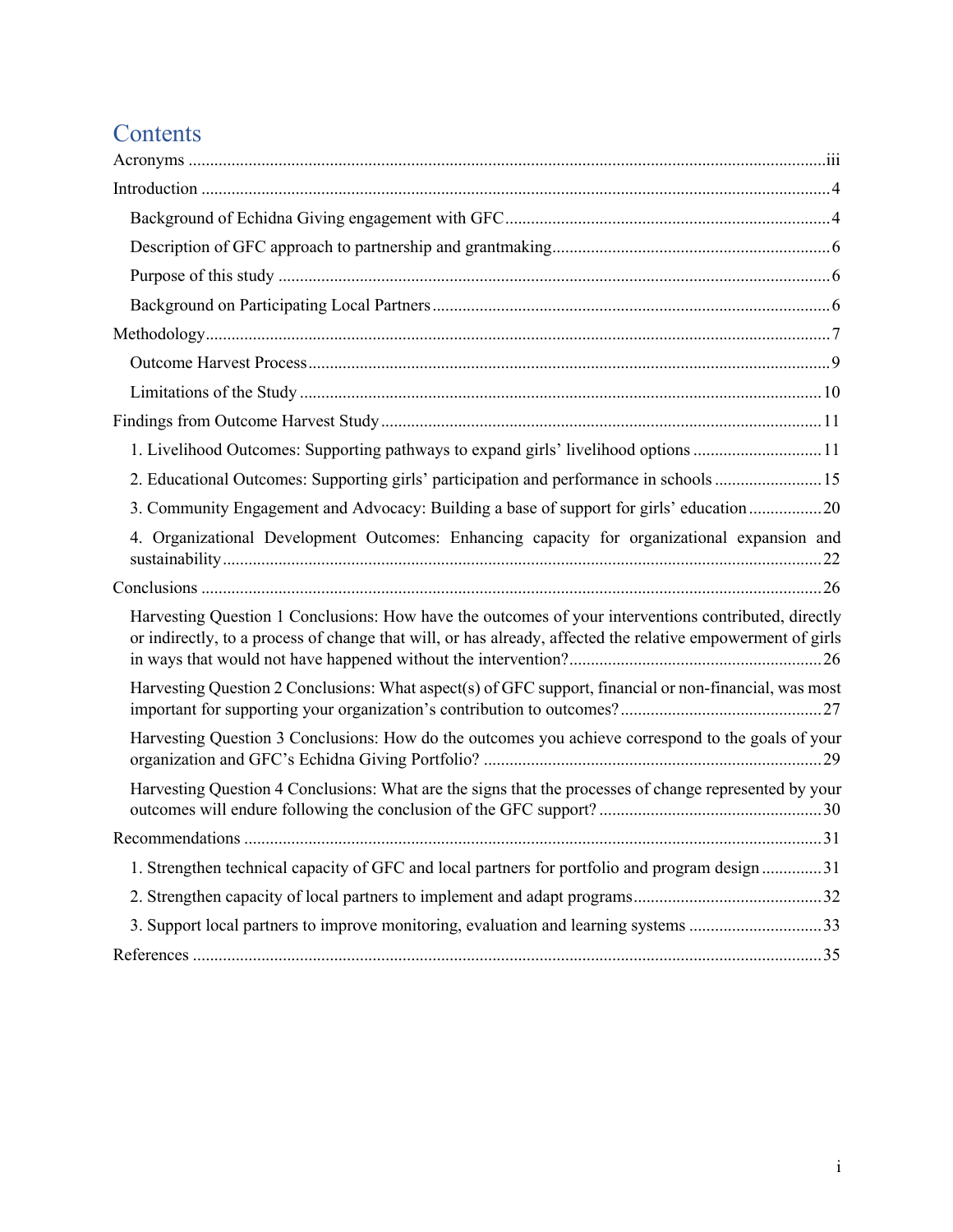# **Contents**

| 1. Livelihood Outcomes: Supporting pathways to expand girls' livelihood options 11                          |
|-------------------------------------------------------------------------------------------------------------|
| 2. Educational Outcomes: Supporting girls' participation and performance in schools 15                      |
| 3. Community Engagement and Advocacy: Building a base of support for girls' education20                     |
| 4. Organizational Development Outcomes: Enhancing capacity for organizational expansion and                 |
|                                                                                                             |
| Harvesting Question 1 Conclusions: How have the outcomes of your interventions contributed, directly        |
| or indirectly, to a process of change that will, or has already, affected the relative empowerment of girls |
| Harvesting Question 2 Conclusions: What aspect(s) of GFC support, financial or non-financial, was most      |
| Harvesting Question 3 Conclusions: How do the outcomes you achieve correspond to the goals of your          |
| Harvesting Question 4 Conclusions: What are the signs that the processes of change represented by your      |
|                                                                                                             |
| 1. Strengthen technical capacity of GFC and local partners for portfolio and program design 31              |
|                                                                                                             |
| 3. Support local partners to improve monitoring, evaluation and learning systems 33                         |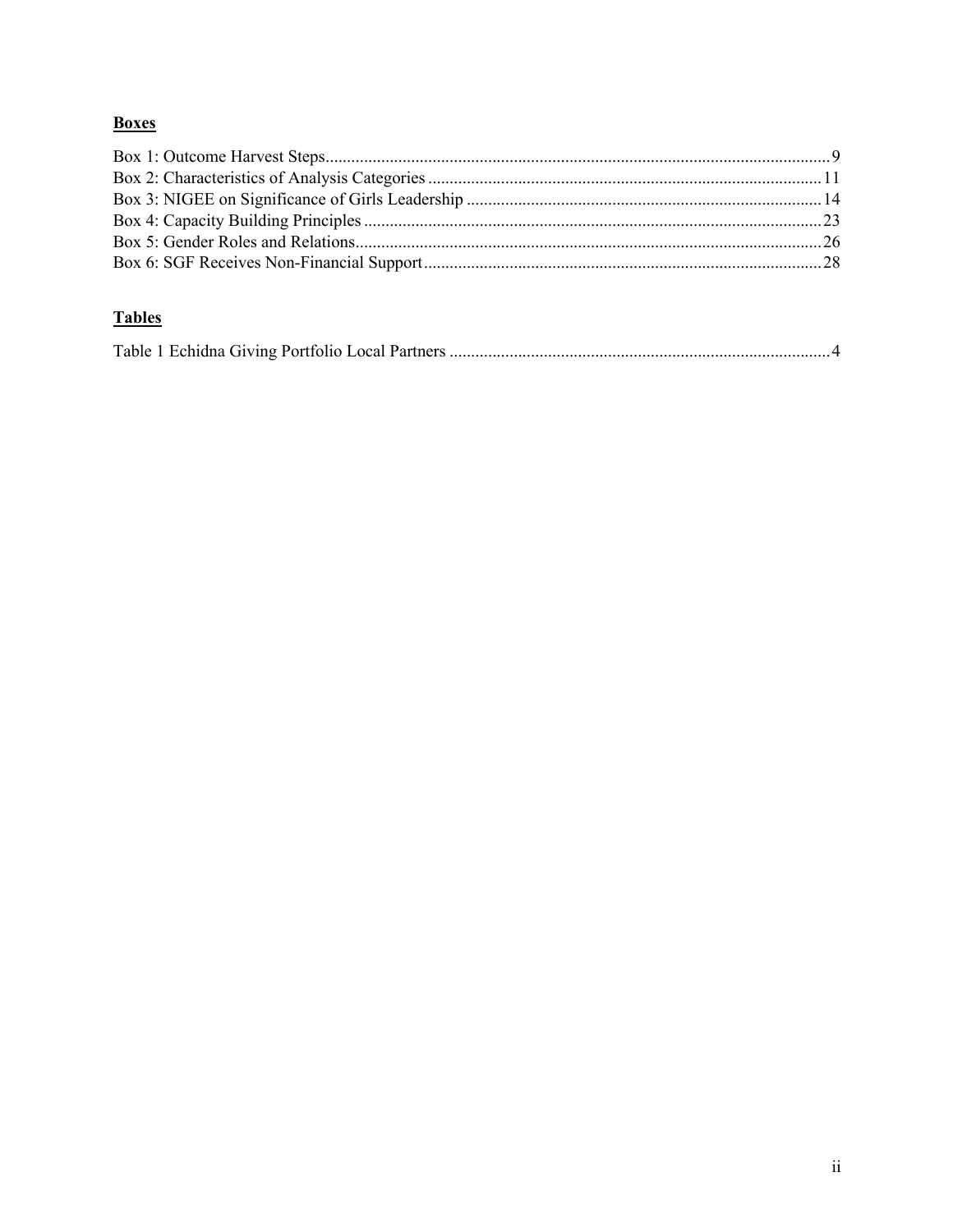## **Boxes**

## **Tables**

|--|--|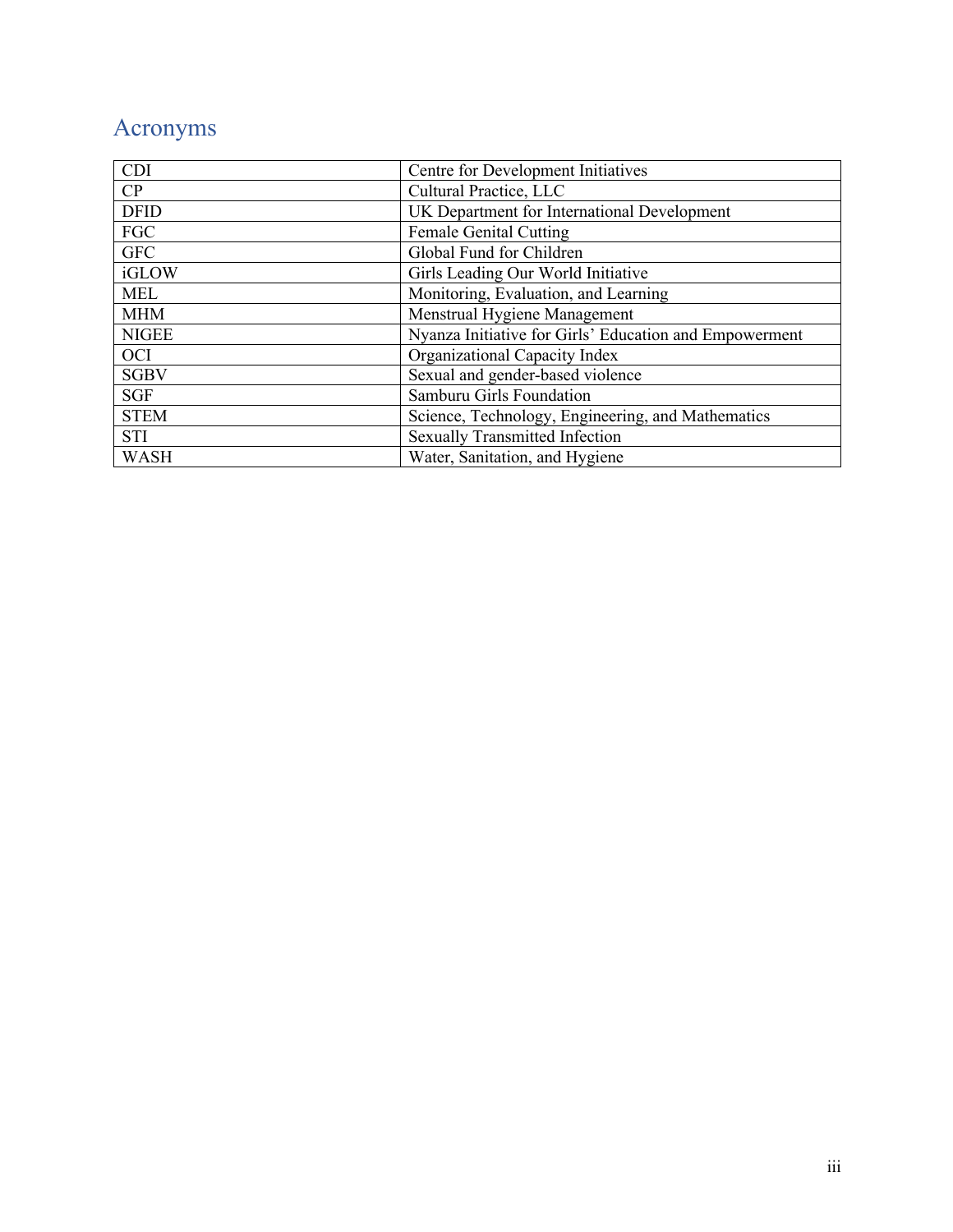# Acronyms

| <b>CDI</b>   | Centre for Development Initiatives                     |
|--------------|--------------------------------------------------------|
| CP           | Cultural Practice, LLC                                 |
| <b>DFID</b>  | UK Department for International Development            |
| FGC          | <b>Female Genital Cutting</b>                          |
| <b>GFC</b>   | Global Fund for Children                               |
| iGLOW        | Girls Leading Our World Initiative                     |
| <b>MEL</b>   | Monitoring, Evaluation, and Learning                   |
| <b>MHM</b>   | Menstrual Hygiene Management                           |
| <b>NIGEE</b> | Nyanza Initiative for Girls' Education and Empowerment |
| <b>OCI</b>   | Organizational Capacity Index                          |
| <b>SGBV</b>  | Sexual and gender-based violence                       |
| <b>SGF</b>   | Samburu Girls Foundation                               |
| <b>STEM</b>  | Science, Technology, Engineering, and Mathematics      |
| <b>STI</b>   | <b>Sexually Transmitted Infection</b>                  |
| <b>WASH</b>  | Water, Sanitation, and Hygiene                         |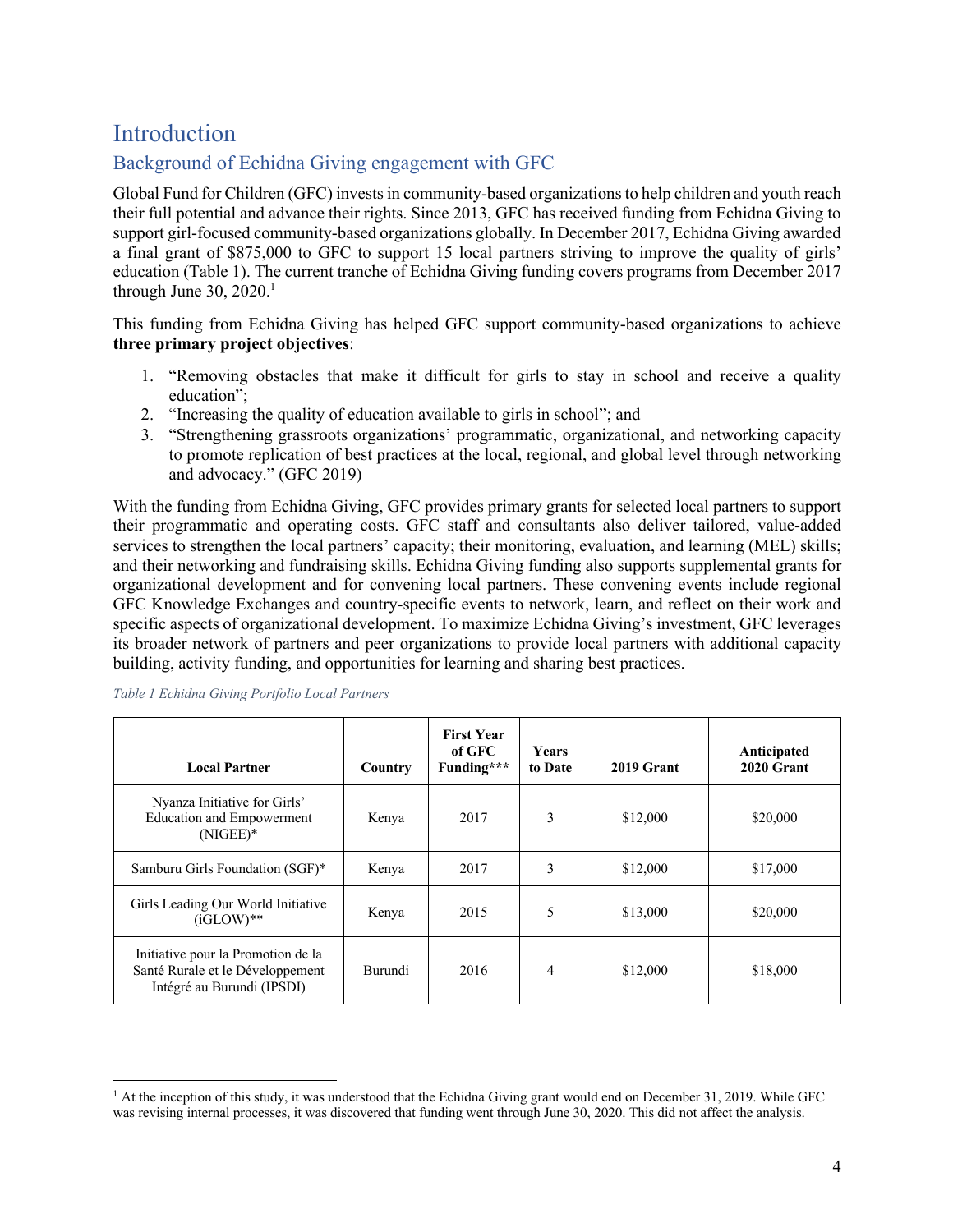# Introduction

## Background of Echidna Giving engagement with GFC

Global Fund for Children (GFC) invests in community-based organizations to help children and youth reach their full potential and advance their rights. Since 2013, GFC has received funding from Echidna Giving to support girl-focused community-based organizations globally. In December 2017, Echidna Giving awarded a final grant of \$875,000 to GFC to support 15 local partners striving to improve the quality of girls' education (Table 1). The current tranche of Echidna Giving funding covers programs from December 2017 through June  $30, 2020$ .<sup>1</sup>

This funding from Echidna Giving has helped GFC support community-based organizations to achieve **three primary project objectives**:

- 1. "Removing obstacles that make it difficult for girls to stay in school and receive a quality education";
- 2. "Increasing the quality of education available to girls in school"; and
- 3. "Strengthening grassroots organizations' programmatic, organizational, and networking capacity to promote replication of best practices at the local, regional, and global level through networking and advocacy." (GFC 2019)

With the funding from Echidna Giving, GFC provides primary grants for selected local partners to support their programmatic and operating costs. GFC staff and consultants also deliver tailored, value-added services to strengthen the local partners' capacity; their monitoring, evaluation, and learning (MEL) skills; and their networking and fundraising skills. Echidna Giving funding also supports supplemental grants for organizational development and for convening local partners. These convening events include regional GFC Knowledge Exchanges and country-specific events to network, learn, and reflect on their work and specific aspects of organizational development. To maximize Echidna Giving's investment, GFC leverages its broader network of partners and peer organizations to provide local partners with additional capacity building, activity funding, and opportunities for learning and sharing best practices.

| <b>Local Partner</b>                                                                                 | Country        | <b>First Year</b><br>of GFC<br>Funding*** | <b>Years</b><br>to Date | 2019 Grant | Anticipated<br>2020 Grant |
|------------------------------------------------------------------------------------------------------|----------------|-------------------------------------------|-------------------------|------------|---------------------------|
| Nyanza Initiative for Girls'<br><b>Education and Empowerment</b><br>$(NIGEE)*$                       | Kenya          | 2017                                      | 3                       | \$12,000   | \$20,000                  |
| Samburu Girls Foundation (SGF)*                                                                      | Kenya          | 2017                                      | 3                       | \$12,000   | \$17,000                  |
| Girls Leading Our World Initiative<br>$(iGLOW)**$                                                    | Kenya          | 2015                                      | 5                       | \$13,000   | \$20,000                  |
| Initiative pour la Promotion de la<br>Santé Rurale et le Développement<br>Intégré au Burundi (IPSDI) | <b>Burundi</b> | 2016                                      | 4                       | \$12,000   | \$18,000                  |

*Table 1 Echidna Giving Portfolio Local Partners*

 $<sup>1</sup>$  At the inception of this study, it was understood that the Echidna Giving grant would end on December 31, 2019. While GFC</sup> was revising internal processes, it was discovered that funding went through June 30, 2020. This did not affect the analysis.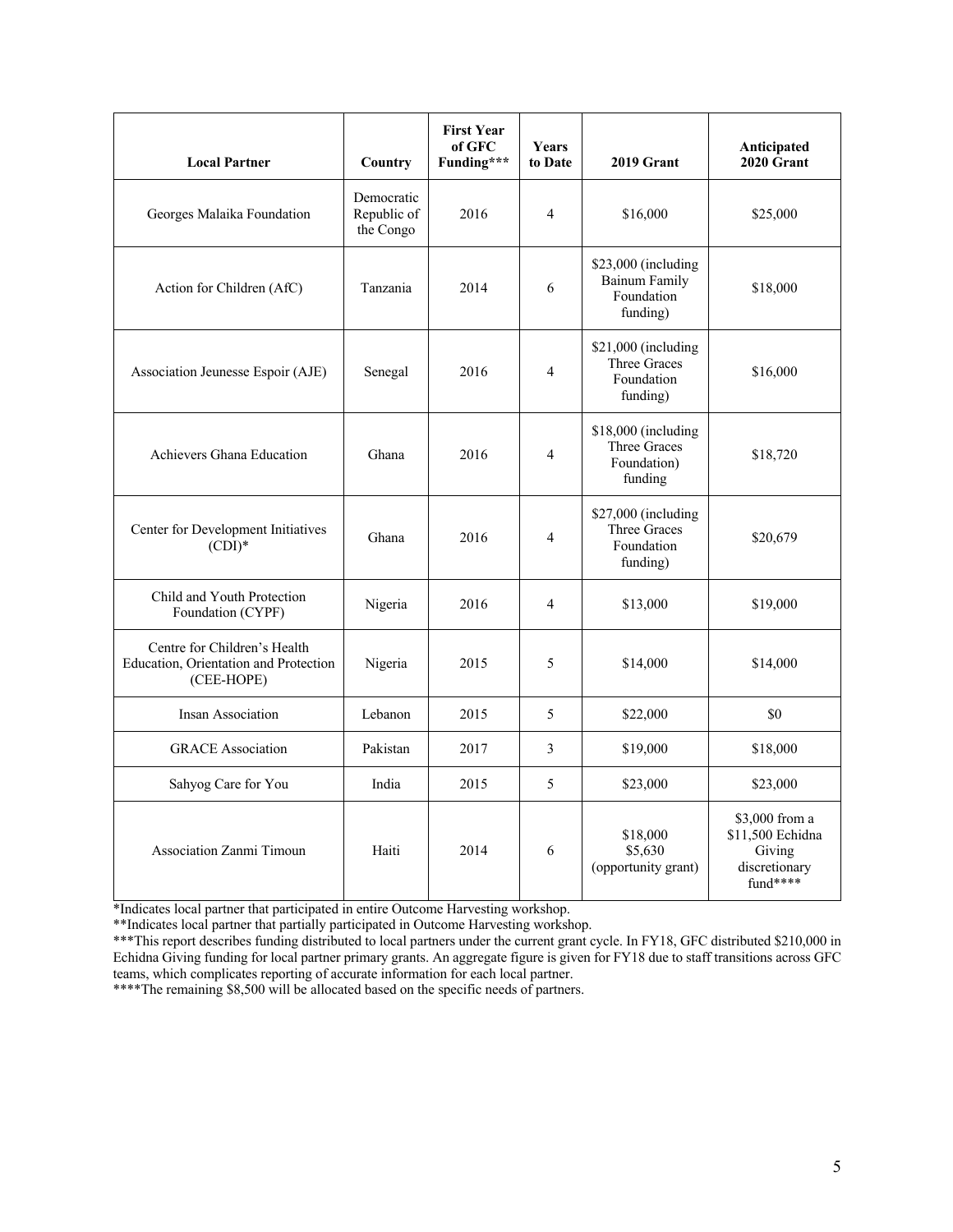| <b>Local Partner</b>                                                                | Country                                | <b>First Year</b><br>of GFC<br>Funding*** | Years<br>to Date | 2019 Grant                                                             | Anticipated<br>2020 Grant                                                 |
|-------------------------------------------------------------------------------------|----------------------------------------|-------------------------------------------|------------------|------------------------------------------------------------------------|---------------------------------------------------------------------------|
| Georges Malaika Foundation                                                          | Democratic<br>Republic of<br>the Congo | 2016                                      | $\overline{4}$   | \$16,000                                                               | \$25,000                                                                  |
| Action for Children (AfC)                                                           | Tanzania                               | 2014                                      | 6                | $$23,000$ (including<br><b>Bainum Family</b><br>Foundation<br>funding) | \$18,000                                                                  |
| Association Jeunesse Espoir (AJE)                                                   | Senegal                                | 2016                                      | $\overline{4}$   | \$21,000 (including<br>Three Graces<br>Foundation<br>funding)          | \$16,000                                                                  |
| Achievers Ghana Education                                                           | Ghana                                  | 2016                                      | $\overline{4}$   | \$18,000 (including<br><b>Three Graces</b><br>Foundation)<br>funding   | \$18,720                                                                  |
| Center for Development Initiatives<br>$(CDI)^*$                                     | Ghana                                  | 2016                                      | $\overline{4}$   | $$27,000$ (including<br>Three Graces<br>Foundation<br>funding)         | \$20,679                                                                  |
| Child and Youth Protection<br>Foundation (CYPF)                                     | Nigeria                                | 2016                                      | $\overline{4}$   | \$13,000                                                               | \$19,000                                                                  |
| Centre for Children's Health<br>Education, Orientation and Protection<br>(CEE-HOPE) | Nigeria                                | 2015                                      | 5                | \$14,000                                                               | \$14,000                                                                  |
| Insan Association                                                                   | Lebanon                                | 2015                                      | 5                | \$22,000                                                               | \$0                                                                       |
| <b>GRACE</b> Association                                                            | Pakistan                               | 2017                                      | 3                | \$19,000                                                               | \$18,000                                                                  |
| Sahyog Care for You                                                                 | India                                  | 2015                                      | 5                | \$23,000                                                               | \$23,000                                                                  |
| Association Zanmi Timoun                                                            | Haiti                                  | 2014                                      | 6                | \$18,000<br>\$5,630<br>(opportunity grant)                             | \$3,000 from a<br>\$11,500 Echidna<br>Giving<br>discretionary<br>fund**** |

\*Indicates local partner that participated in entire Outcome Harvesting workshop.

\*\*Indicates local partner that partially participated in Outcome Harvesting workshop.

\*\*\*This report describes funding distributed to local partners under the current grant cycle. In FY18, GFC distributed \$210,000 in Echidna Giving funding for local partner primary grants. An aggregate figure is given for FY18 due to staff transitions across GFC teams, which complicates reporting of accurate information for each local partner.

\*\*\*\*The remaining \$8,500 will be allocated based on the specific needs of partners.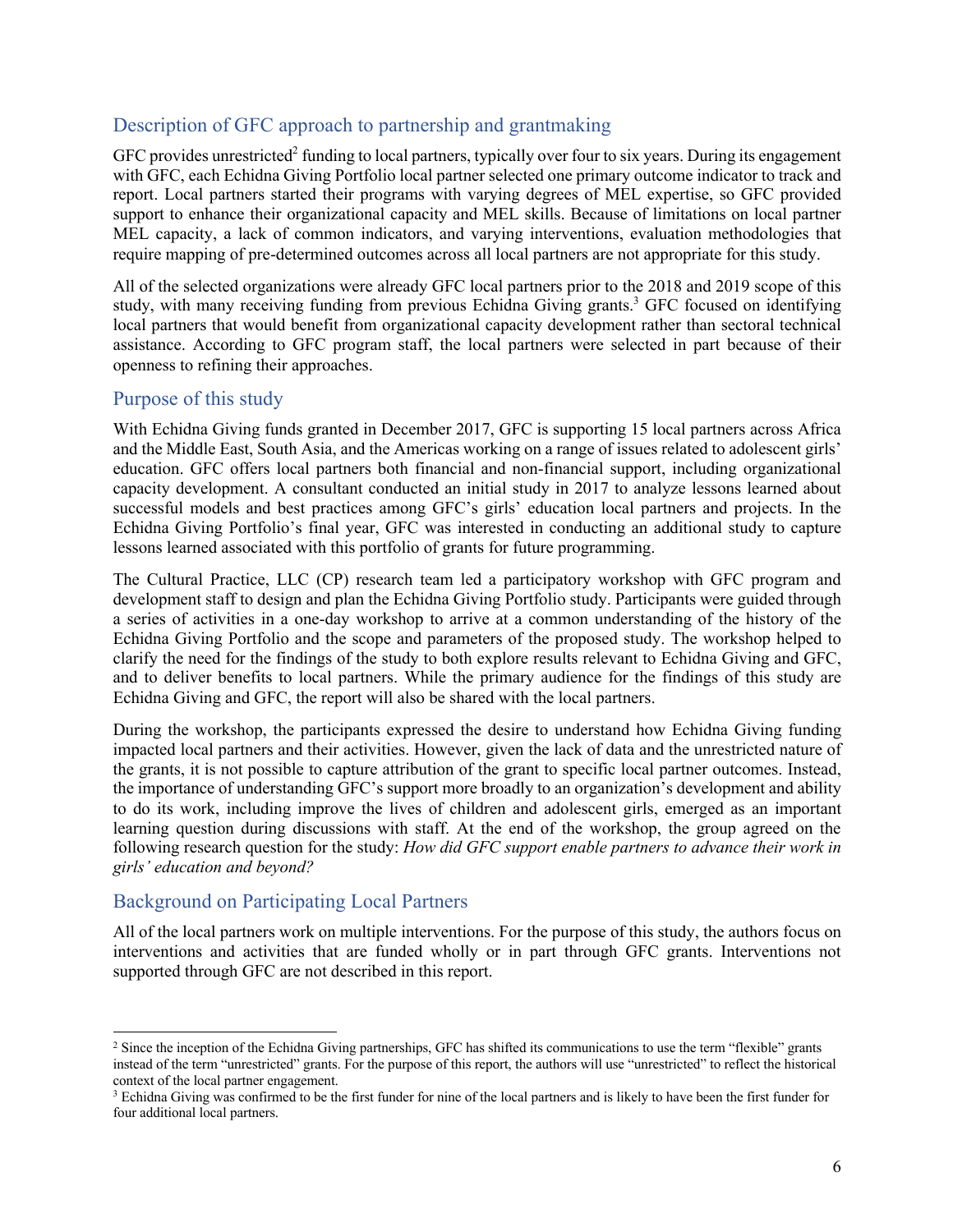#### Description of GFC approach to partnership and grantmaking

 $GFC$  provides unrestricted<sup>2</sup> funding to local partners, typically over four to six years. During its engagement with GFC, each Echidna Giving Portfolio local partner selected one primary outcome indicator to track and report. Local partners started their programs with varying degrees of MEL expertise, so GFC provided support to enhance their organizational capacity and MEL skills. Because of limitations on local partner MEL capacity, a lack of common indicators, and varying interventions, evaluation methodologies that require mapping of pre-determined outcomes across all local partners are not appropriate for this study.

All of the selected organizations were already GFC local partners prior to the 2018 and 2019 scope of this study, with many receiving funding from previous Echidna Giving grants.<sup>3</sup> GFC focused on identifying local partners that would benefit from organizational capacity development rather than sectoral technical assistance. According to GFC program staff, the local partners were selected in part because of their openness to refining their approaches.

#### Purpose of this study

With Echidna Giving funds granted in December 2017, GFC is supporting 15 local partners across Africa and the Middle East, South Asia, and the Americas working on a range of issues related to adolescent girls' education. GFC offers local partners both financial and non-financial support, including organizational capacity development. A consultant conducted an initial study in 2017 to analyze lessons learned about successful models and best practices among GFC's girls' education local partners and projects. In the Echidna Giving Portfolio's final year, GFC was interested in conducting an additional study to capture lessons learned associated with this portfolio of grants for future programming.

The Cultural Practice, LLC (CP) research team led a participatory workshop with GFC program and development staff to design and plan the Echidna Giving Portfolio study. Participants were guided through a series of activities in a one-day workshop to arrive at a common understanding of the history of the Echidna Giving Portfolio and the scope and parameters of the proposed study. The workshop helped to clarify the need for the findings of the study to both explore results relevant to Echidna Giving and GFC, and to deliver benefits to local partners. While the primary audience for the findings of this study are Echidna Giving and GFC, the report will also be shared with the local partners.

During the workshop, the participants expressed the desire to understand how Echidna Giving funding impacted local partners and their activities. However, given the lack of data and the unrestricted nature of the grants, it is not possible to capture attribution of the grant to specific local partner outcomes. Instead, the importance of understanding GFC's support more broadly to an organization's development and ability to do its work, including improve the lives of children and adolescent girls, emerged as an important learning question during discussions with staff. At the end of the workshop, the group agreed on the following research question for the study: *How did GFC support enable partners to advance their work in girls' education and beyond?*

## Background on Participating Local Partners

All of the local partners work on multiple interventions. For the purpose of this study, the authors focus on interventions and activities that are funded wholly or in part through GFC grants. Interventions not supported through GFC are not described in this report.

<sup>&</sup>lt;sup>2</sup> Since the inception of the Echidna Giving partnerships, GFC has shifted its communications to use the term "flexible" grants instead of the term "unrestricted" grants. For the purpose of this report, the authors will use "unrestricted" to reflect the historical context of the local partner engagement.

<sup>&</sup>lt;sup>3</sup> Echidna Giving was confirmed to be the first funder for nine of the local partners and is likely to have been the first funder for four additional local partners.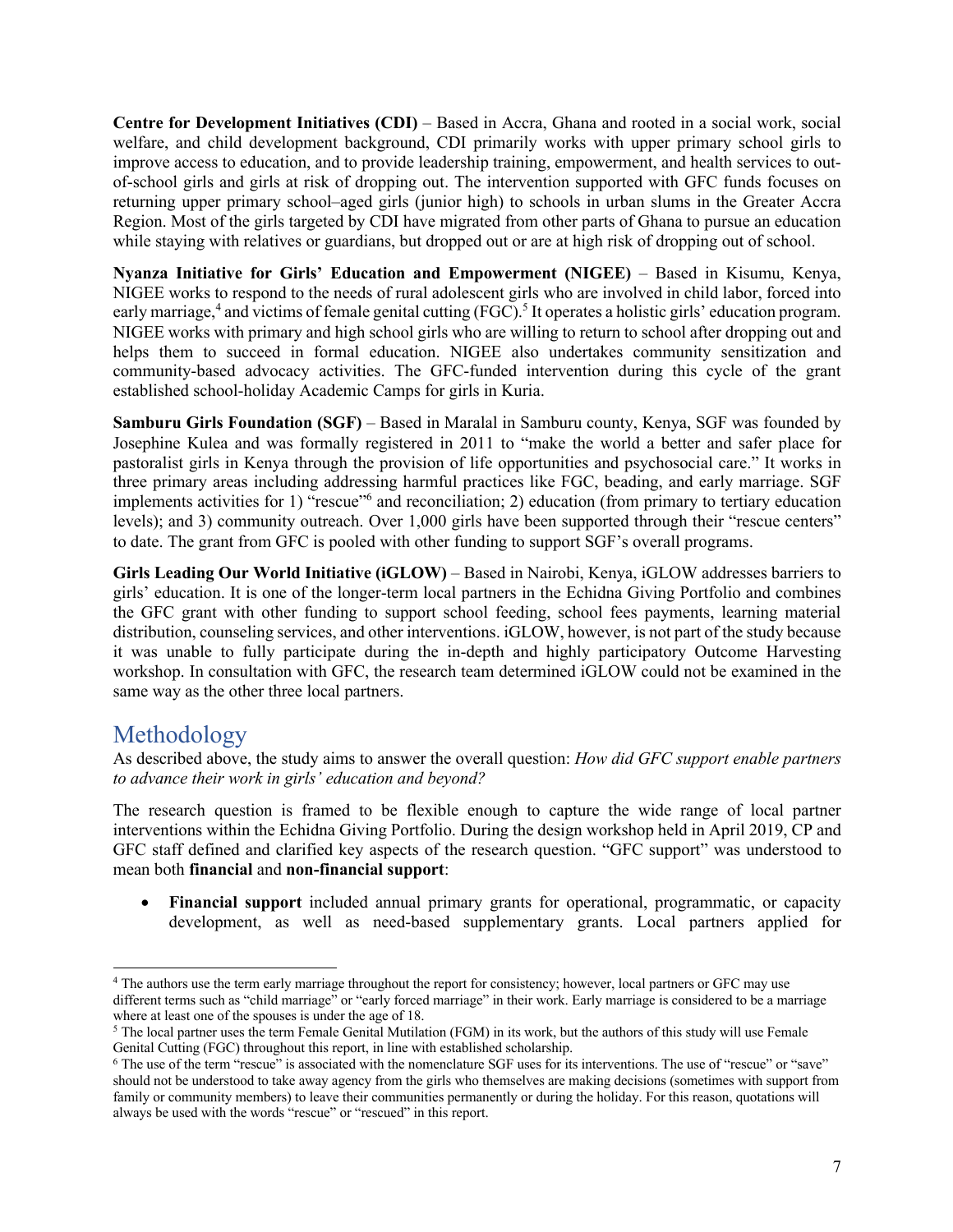**Centre for Development Initiatives (CDI)** – Based in Accra, Ghana and rooted in a social work, social welfare, and child development background, CDI primarily works with upper primary school girls to improve access to education, and to provide leadership training, empowerment, and health services to outof-school girls and girls at risk of dropping out. The intervention supported with GFC funds focuses on returning upper primary school–aged girls (junior high) to schools in urban slums in the Greater Accra Region. Most of the girls targeted by CDI have migrated from other parts of Ghana to pursue an education while staying with relatives or guardians, but dropped out or are at high risk of dropping out of school.

**Nyanza Initiative for Girls' Education and Empowerment (NIGEE)** – Based in Kisumu, Kenya, NIGEE works to respond to the needs of rural adolescent girls who are involved in child labor, forced into early marriage,<sup>4</sup> and victims of female genital cutting (FGC).<sup>5</sup> It operates a holistic girls' education program. NIGEE works with primary and high school girls who are willing to return to school after dropping out and helps them to succeed in formal education. NIGEE also undertakes community sensitization and community-based advocacy activities. The GFC-funded intervention during this cycle of the grant established school-holiday Academic Camps for girls in Kuria.

**Samburu Girls Foundation (SGF)** – Based in Maralal in Samburu county, Kenya, SGF was founded by Josephine Kulea and was formally registered in 2011 to "make the world a better and safer place for pastoralist girls in Kenya through the provision of life opportunities and psychosocial care." It works in three primary areas including addressing harmful practices like FGC, beading, and early marriage. SGF implements activities for 1) "rescue"<sup>6</sup> and reconciliation; 2) education (from primary to tertiary education levels); and 3) community outreach. Over 1,000 girls have been supported through their "rescue centers" to date. The grant from GFC is pooled with other funding to support SGF's overall programs.

**Girls Leading Our World Initiative (iGLOW)** – Based in Nairobi, Kenya, iGLOW addresses barriers to girls' education. It is one of the longer-term local partners in the Echidna Giving Portfolio and combines the GFC grant with other funding to support school feeding, school fees payments, learning material distribution, counseling services, and other interventions. iGLOW, however, is not part of the study because it was unable to fully participate during the in-depth and highly participatory Outcome Harvesting workshop. In consultation with GFC, the research team determined iGLOW could not be examined in the same way as the other three local partners.

# Methodology

As described above, the study aims to answer the overall question: *How did GFC support enable partners to advance their work in girls' education and beyond?*

The research question is framed to be flexible enough to capture the wide range of local partner interventions within the Echidna Giving Portfolio. During the design workshop held in April 2019, CP and GFC staff defined and clarified key aspects of the research question. "GFC support" was understood to mean both **financial** and **non-financial support**:

• **Financial support** included annual primary grants for operational, programmatic, or capacity development, as well as need-based supplementary grants. Local partners applied for

<sup>4</sup> The authors use the term early marriage throughout the report for consistency; however, local partners or GFC may use different terms such as "child marriage" or "early forced marriage" in their work. Early marriage is considered to be a marriage where at least one of the spouses is under the age of 18.

<sup>5</sup> The local partner uses the term Female Genital Mutilation (FGM) in its work, but the authors of this study will use Female Genital Cutting (FGC) throughout this report, in line with established scholarship.

<sup>6</sup> The use of the term "rescue" is associated with the nomenclature SGF uses for its interventions. The use of "rescue" or "save" should not be understood to take away agency from the girls who themselves are making decisions (sometimes with support from family or community members) to leave their communities permanently or during the holiday. For this reason, quotations will always be used with the words "rescue" or "rescued" in this report.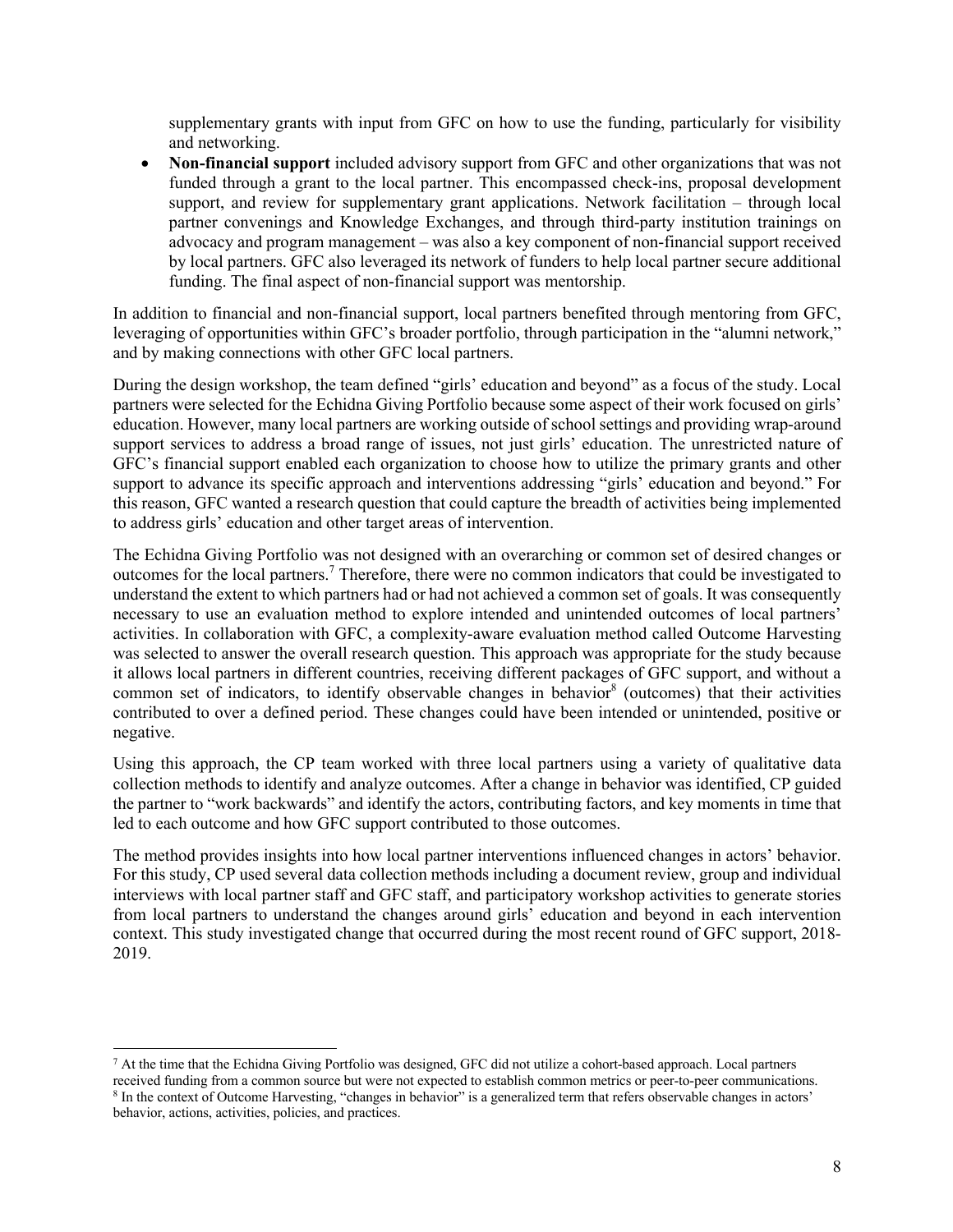supplementary grants with input from GFC on how to use the funding, particularly for visibility and networking.

• **Non-financial support** included advisory support from GFC and other organizations that was not funded through a grant to the local partner. This encompassed check-ins, proposal development support, and review for supplementary grant applications. Network facilitation – through local partner convenings and Knowledge Exchanges, and through third-party institution trainings on advocacy and program management – was also a key component of non-financial support received by local partners. GFC also leveraged its network of funders to help local partner secure additional funding. The final aspect of non-financial support was mentorship.

In addition to financial and non-financial support, local partners benefited through mentoring from GFC, leveraging of opportunities within GFC's broader portfolio, through participation in the "alumni network," and by making connections with other GFC local partners.

During the design workshop, the team defined "girls' education and beyond" as a focus of the study. Local partners were selected for the Echidna Giving Portfolio because some aspect of their work focused on girls' education. However, many local partners are working outside of school settings and providing wrap-around support services to address a broad range of issues, not just girls' education. The unrestricted nature of GFC's financial support enabled each organization to choose how to utilize the primary grants and other support to advance its specific approach and interventions addressing "girls' education and beyond." For this reason, GFC wanted a research question that could capture the breadth of activities being implemented to address girls' education and other target areas of intervention.

The Echidna Giving Portfolio was not designed with an overarching or common set of desired changes or outcomes for the local partners. <sup>7</sup> Therefore, there were no common indicators that could be investigated to understand the extent to which partners had or had not achieved a common set of goals. It was consequently necessary to use an evaluation method to explore intended and unintended outcomes of local partners' activities. In collaboration with GFC, a complexity-aware evaluation method called Outcome Harvesting was selected to answer the overall research question. This approach was appropriate for the study because it allows local partners in different countries, receiving different packages of GFC support, and without a common set of indicators, to identify observable changes in behavior<sup>8</sup> (outcomes) that their activities contributed to over a defined period. These changes could have been intended or unintended, positive or negative.

Using this approach, the CP team worked with three local partners using a variety of qualitative data collection methods to identify and analyze outcomes. After a change in behavior was identified, CP guided the partner to "work backwards" and identify the actors, contributing factors, and key moments in time that led to each outcome and how GFC support contributed to those outcomes.

The method provides insights into how local partner interventions influenced changes in actors' behavior. For this study, CP used several data collection methods including a document review, group and individual interviews with local partner staff and GFC staff, and participatory workshop activities to generate stories from local partners to understand the changes around girls' education and beyond in each intervention context. This study investigated change that occurred during the most recent round of GFC support, 2018- 2019.

 $<sup>7</sup>$  At the time that the Echidna Giving Portfolio was designed, GFC did not utilize a cohort-based approach. Local partners</sup> received funding from a common source but were not expected to establish common metrics or peer-to-peer communications.<br><sup>8</sup> In the context of Outcome Harvesting, "changes in behavior" is a generalized term that refers obse behavior, actions, activities, policies, and practices.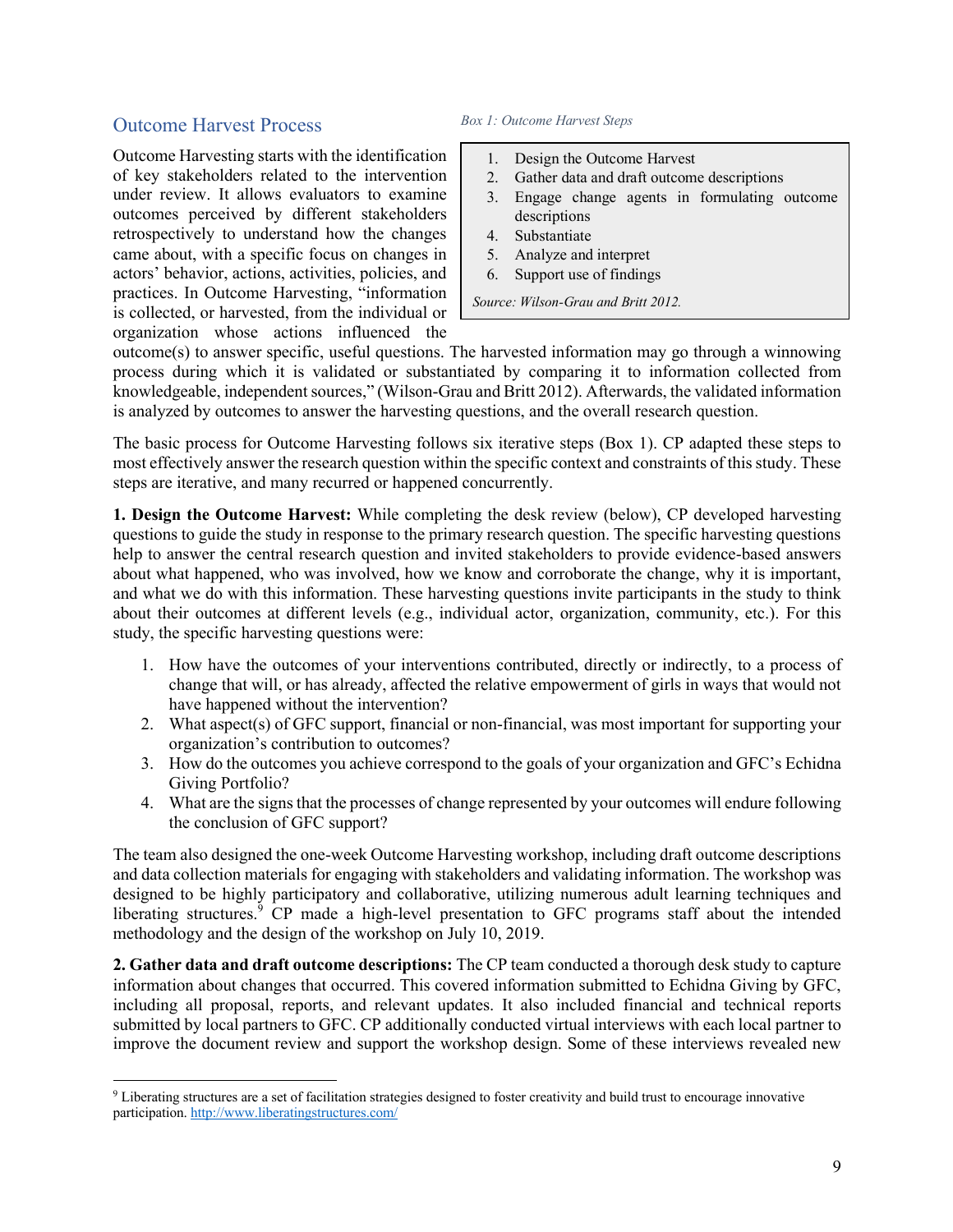#### Outcome Harvest Process

Outcome Harvesting starts with the identification of key stakeholders related to the intervention under review. It allows evaluators to examine outcomes perceived by different stakeholders retrospectively to understand how the changes came about, with a specific focus on changes in actors' behavior, actions, activities, policies, and practices. In Outcome Harvesting, "information is collected, or harvested, from the individual or organization whose actions influenced the

#### *Box 1: Outcome Harvest Steps*

- 1. Design the Outcome Harvest
- 2. Gather data and draft outcome descriptions
- 3. Engage change agents in formulating outcome descriptions
- 4. Substantiate
- 5. Analyze and interpret
- 6. Support use of findings

*Source: Wilson-Grau and Britt 2012.* 

outcome(s) to answer specific, useful questions. The harvested information may go through a winnowing process during which it is validated or substantiated by comparing it to information collected from knowledgeable, independent sources," (Wilson-Grau and Britt 2012). Afterwards, the validated information is analyzed by outcomes to answer the harvesting questions, and the overall research question.

The basic process for Outcome Harvesting follows six iterative steps (Box 1). CP adapted these steps to most effectively answer the research question within the specific context and constraints of this study. These steps are iterative, and many recurred or happened concurrently.

**1. Design the Outcome Harvest:** While completing the desk review (below), CP developed harvesting questions to guide the study in response to the primary research question. The specific harvesting questions help to answer the central research question and invited stakeholders to provide evidence-based answers about what happened, who was involved, how we know and corroborate the change, why it is important, and what we do with this information. These harvesting questions invite participants in the study to think about their outcomes at different levels (e.g., individual actor, organization, community, etc.). For this study, the specific harvesting questions were:

- 1. How have the outcomes of your interventions contributed, directly or indirectly, to a process of change that will, or has already, affected the relative empowerment of girls in ways that would not have happened without the intervention?
- 2. What aspect(s) of GFC support, financial or non-financial, was most important for supporting your organization's contribution to outcomes?
- 3. How do the outcomes you achieve correspond to the goals of your organization and GFC's Echidna Giving Portfolio?
- 4. What are the signs that the processes of change represented by your outcomes will endure following the conclusion of GFC support?

The team also designed the one-week Outcome Harvesting workshop, including draft outcome descriptions and data collection materials for engaging with stakeholders and validating information. The workshop was designed to be highly participatory and collaborative, utilizing numerous adult learning techniques and liberating structures.<sup>9</sup> CP made a high-level presentation to GFC programs staff about the intended methodology and the design of the workshop on July 10, 2019.

**2. Gather data and draft outcome descriptions:** The CP team conducted a thorough desk study to capture information about changes that occurred. This covered information submitted to Echidna Giving by GFC, including all proposal, reports, and relevant updates. It also included financial and technical reports submitted by local partners to GFC. CP additionally conducted virtual interviews with each local partner to improve the document review and support the workshop design. Some of these interviews revealed new

<sup>9</sup> Liberating structures are a set of facilitation strategies designed to foster creativity and build trust to encourage innovative participation. http://www.liberatingstructures.com/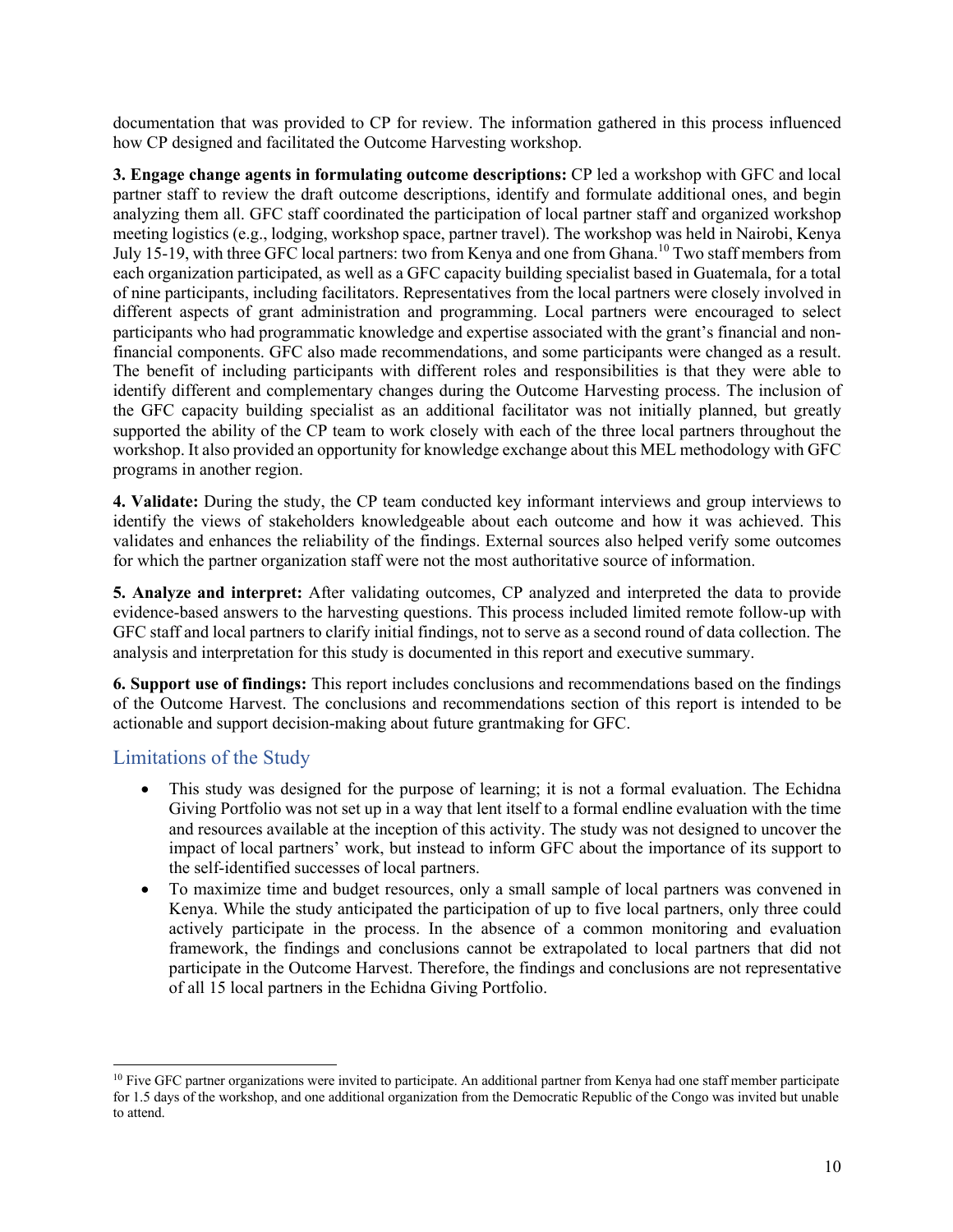documentation that was provided to CP for review. The information gathered in this process influenced how CP designed and facilitated the Outcome Harvesting workshop.

**3. Engage change agents in formulating outcome descriptions:** CP led a workshop with GFC and local partner staff to review the draft outcome descriptions, identify and formulate additional ones, and begin analyzing them all. GFC staff coordinated the participation of local partner staff and organized workshop meeting logistics (e.g., lodging, workshop space, partner travel). The workshop was held in Nairobi, Kenya July 15-19, with three GFC local partners: two from Kenya and one from Ghana.<sup>10</sup> Two staff members from each organization participated, as well as a GFC capacity building specialist based in Guatemala, for a total of nine participants, including facilitators. Representatives from the local partners were closely involved in different aspects of grant administration and programming. Local partners were encouraged to select participants who had programmatic knowledge and expertise associated with the grant's financial and nonfinancial components. GFC also made recommendations, and some participants were changed as a result. The benefit of including participants with different roles and responsibilities is that they were able to identify different and complementary changes during the Outcome Harvesting process. The inclusion of the GFC capacity building specialist as an additional facilitator was not initially planned, but greatly supported the ability of the CP team to work closely with each of the three local partners throughout the workshop. It also provided an opportunity for knowledge exchange about this MEL methodology with GFC programs in another region.

**4. Validate:** During the study, the CP team conducted key informant interviews and group interviews to identify the views of stakeholders knowledgeable about each outcome and how it was achieved. This validates and enhances the reliability of the findings. External sources also helped verify some outcomes for which the partner organization staff were not the most authoritative source of information.

**5. Analyze and interpret:** After validating outcomes, CP analyzed and interpreted the data to provide evidence-based answers to the harvesting questions. This process included limited remote follow-up with GFC staff and local partners to clarify initial findings, not to serve as a second round of data collection. The analysis and interpretation for this study is documented in this report and executive summary.

**6. Support use of findings:** This report includes conclusions and recommendations based on the findings of the Outcome Harvest. The conclusions and recommendations section of this report is intended to be actionable and support decision-making about future grantmaking for GFC.

#### Limitations of the Study

- This study was designed for the purpose of learning; it is not a formal evaluation. The Echidna Giving Portfolio was not set up in a way that lent itself to a formal endline evaluation with the time and resources available at the inception of this activity. The study was not designed to uncover the impact of local partners' work, but instead to inform GFC about the importance of its support to the self-identified successes of local partners.
- To maximize time and budget resources, only a small sample of local partners was convened in Kenya. While the study anticipated the participation of up to five local partners, only three could actively participate in the process. In the absence of a common monitoring and evaluation framework, the findings and conclusions cannot be extrapolated to local partners that did not participate in the Outcome Harvest. Therefore, the findings and conclusions are not representative of all 15 local partners in the Echidna Giving Portfolio.

 $10$  Five GFC partner organizations were invited to participate. An additional partner from Kenya had one staff member participate for 1.5 days of the workshop, and one additional organization from the Democratic Republic of the Congo was invited but unable to attend.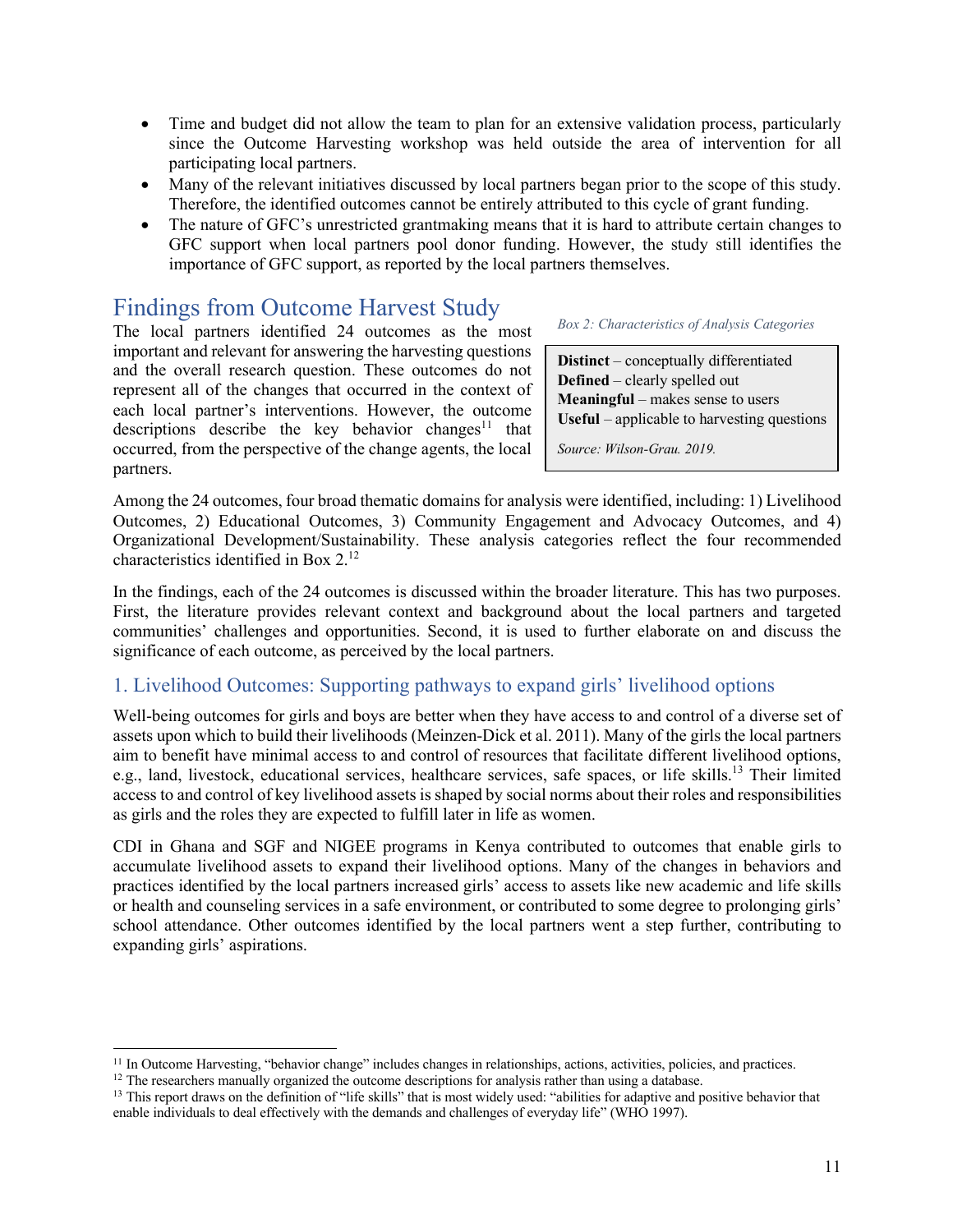- Time and budget did not allow the team to plan for an extensive validation process, particularly since the Outcome Harvesting workshop was held outside the area of intervention for all participating local partners.
- Many of the relevant initiatives discussed by local partners began prior to the scope of this study. Therefore, the identified outcomes cannot be entirely attributed to this cycle of grant funding.
- The nature of GFC's unrestricted grantmaking means that it is hard to attribute certain changes to GFC support when local partners pool donor funding. However, the study still identifies the importance of GFC support, as reported by the local partners themselves.

# Findings from Outcome Harvest Study

The local partners identified 24 outcomes as the most important and relevant for answering the harvesting questions and the overall research question. These outcomes do not represent all of the changes that occurred in the context of each local partner's interventions. However, the outcome descriptions describe the key behavior changes<sup>11</sup> that occurred, from the perspective of the change agents, the local partners.

*Box 2: Characteristics of Analysis Categories*

**Distinct** – conceptually differentiated **Defined** – clearly spelled out **Meaningful** – makes sense to users **Useful** – applicable to harvesting questions

*Source: Wilson-Grau. 2019.* 

Among the 24 outcomes, four broad thematic domains for analysis were identified, including: 1) Livelihood Outcomes, 2) Educational Outcomes, 3) Community Engagement and Advocacy Outcomes, and 4) Organizational Development/Sustainability. These analysis categories reflect the four recommended characteristics identified in Box 2. 12

In the findings, each of the 24 outcomes is discussed within the broader literature. This has two purposes. First, the literature provides relevant context and background about the local partners and targeted communities' challenges and opportunities. Second, it is used to further elaborate on and discuss the significance of each outcome, as perceived by the local partners.

#### 1. Livelihood Outcomes: Supporting pathways to expand girls' livelihood options

Well-being outcomes for girls and boys are better when they have access to and control of a diverse set of assets upon which to build their livelihoods (Meinzen-Dick et al. 2011). Many of the girls the local partners aim to benefit have minimal access to and control of resources that facilitate different livelihood options, e.g., land, livestock, educational services, healthcare services, safe spaces, or life skills.<sup>13</sup> Their limited access to and control of key livelihood assets is shaped by social norms about their roles and responsibilities as girls and the roles they are expected to fulfill later in life as women.

CDI in Ghana and SGF and NIGEE programs in Kenya contributed to outcomes that enable girls to accumulate livelihood assets to expand their livelihood options. Many of the changes in behaviors and practices identified by the local partners increased girls' access to assets like new academic and life skills or health and counseling services in a safe environment, or contributed to some degree to prolonging girls' school attendance. Other outcomes identified by the local partners went a step further, contributing to expanding girls' aspirations.

<sup>&</sup>lt;sup>11</sup> In Outcome Harvesting, "behavior change" includes changes in relationships, actions, activities, policies, and practices.<br><sup>12</sup> The researchers manually organized the outcome descriptions for analysis rather than usin

 $13$  This report draws on the definition of "life skills" that is most widely used: "abilities for adaptive and positive behavior that enable individuals to deal effectively with the demands and challenges of everyday life" (WHO 1997).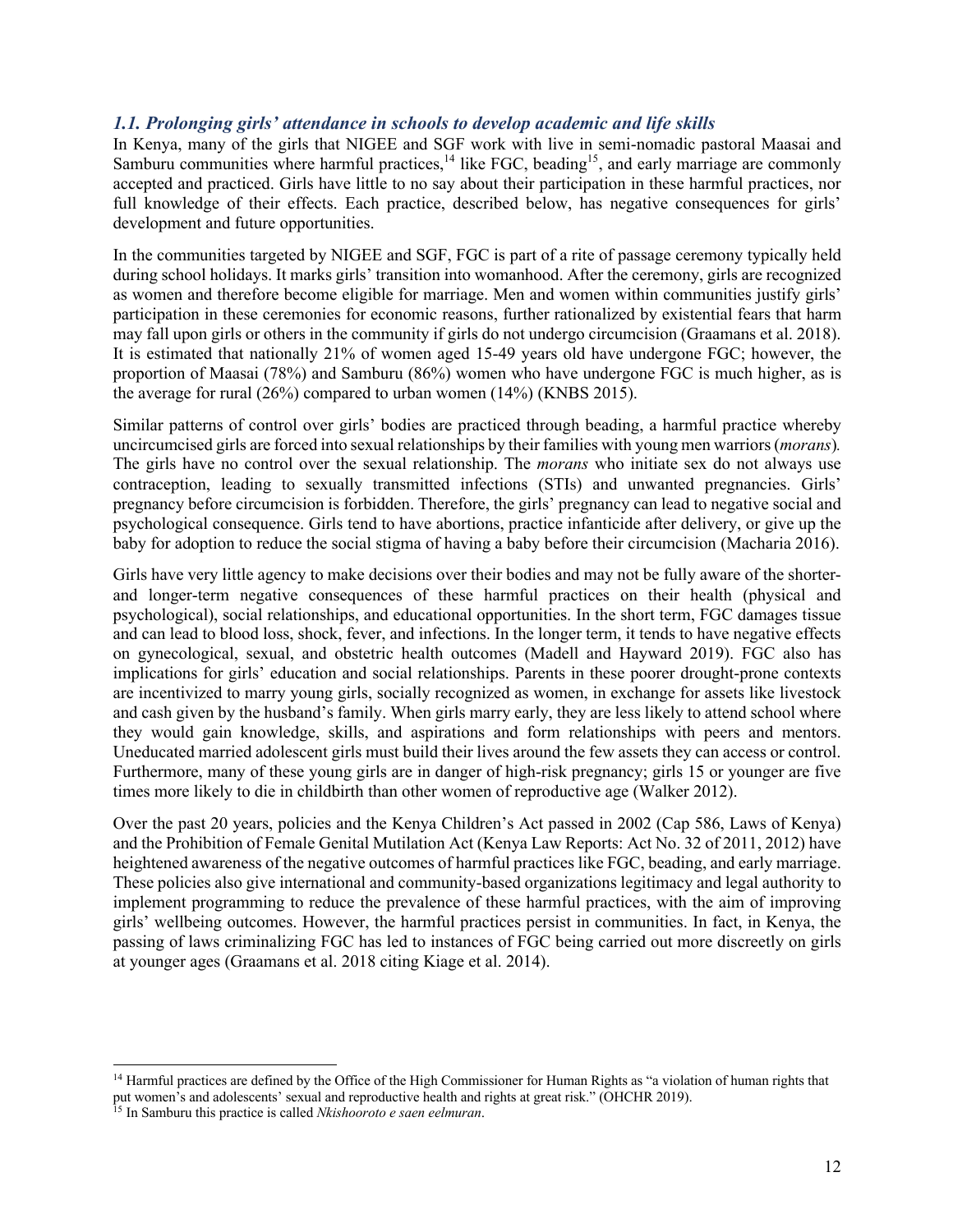#### *1.1. Prolonging girls' attendance in schools to develop academic and life skills*

In Kenya, many of the girls that NIGEE and SGF work with live in semi-nomadic pastoral Maasai and Samburu communities where harmful practices,<sup>14</sup> like FGC, beading<sup>15</sup>, and early marriage are commonly accepted and practiced. Girls have little to no say about their participation in these harmful practices, nor full knowledge of their effects. Each practice, described below, has negative consequences for girls' development and future opportunities.

In the communities targeted by NIGEE and SGF, FGC is part of a rite of passage ceremony typically held during school holidays. It marks girls' transition into womanhood. After the ceremony, girls are recognized as women and therefore become eligible for marriage. Men and women within communities justify girls' participation in these ceremonies for economic reasons, further rationalized by existential fears that harm may fall upon girls or others in the community if girls do not undergo circumcision (Graamans et al. 2018). It is estimated that nationally 21% of women aged 15-49 years old have undergone FGC; however, the proportion of Maasai (78%) and Samburu (86%) women who have undergone FGC is much higher, as is the average for rural (26%) compared to urban women (14%) (KNBS 2015).

Similar patterns of control over girls' bodies are practiced through beading, a harmful practice whereby uncircumcised girls are forced into sexual relationships by their families with young men warriors (*morans*)*.*  The girls have no control over the sexual relationship. The *morans* who initiate sex do not always use contraception, leading to sexually transmitted infections (STIs) and unwanted pregnancies. Girls' pregnancy before circumcision is forbidden. Therefore, the girls' pregnancy can lead to negative social and psychological consequence. Girls tend to have abortions, practice infanticide after delivery, or give up the baby for adoption to reduce the social stigma of having a baby before their circumcision (Macharia 2016).

Girls have very little agency to make decisions over their bodies and may not be fully aware of the shorterand longer-term negative consequences of these harmful practices on their health (physical and psychological), social relationships, and educational opportunities. In the short term, FGC damages tissue and can lead to blood loss, shock, fever, and infections. In the longer term, it tends to have negative effects on gynecological, sexual, and obstetric health outcomes (Madell and Hayward 2019). FGC also has implications for girls' education and social relationships. Parents in these poorer drought-prone contexts are incentivized to marry young girls, socially recognized as women, in exchange for assets like livestock and cash given by the husband's family. When girls marry early, they are less likely to attend school where they would gain knowledge, skills, and aspirations and form relationships with peers and mentors. Uneducated married adolescent girls must build their lives around the few assets they can access or control. Furthermore, many of these young girls are in danger of high-risk pregnancy; girls 15 or younger are five times more likely to die in childbirth than other women of reproductive age (Walker 2012).

Over the past 20 years, policies and the Kenya Children's Act passed in 2002 (Cap 586, Laws of Kenya) and the Prohibition of Female Genital Mutilation Act (Kenya Law Reports: Act No. 32 of 2011, 2012) have heightened awareness of the negative outcomes of harmful practices like FGC, beading, and early marriage. These policies also give international and community-based organizations legitimacy and legal authority to implement programming to reduce the prevalence of these harmful practices, with the aim of improving girls' wellbeing outcomes. However, the harmful practices persist in communities. In fact, in Kenya, the passing of laws criminalizing FGC has led to instances of FGC being carried out more discreetly on girls at younger ages (Graamans et al. 2018 citing Kiage et al. 2014).

<sup>&</sup>lt;sup>14</sup> Harmful practices are defined by the Office of the High Commissioner for Human Rights as "a violation of human rights that put women's and adolescents' sexual and reproductive health and rights at great risk." (OHCHR 2019).

<sup>15</sup> In Samburu this practice is called *Nkishooroto e saen eelmuran*.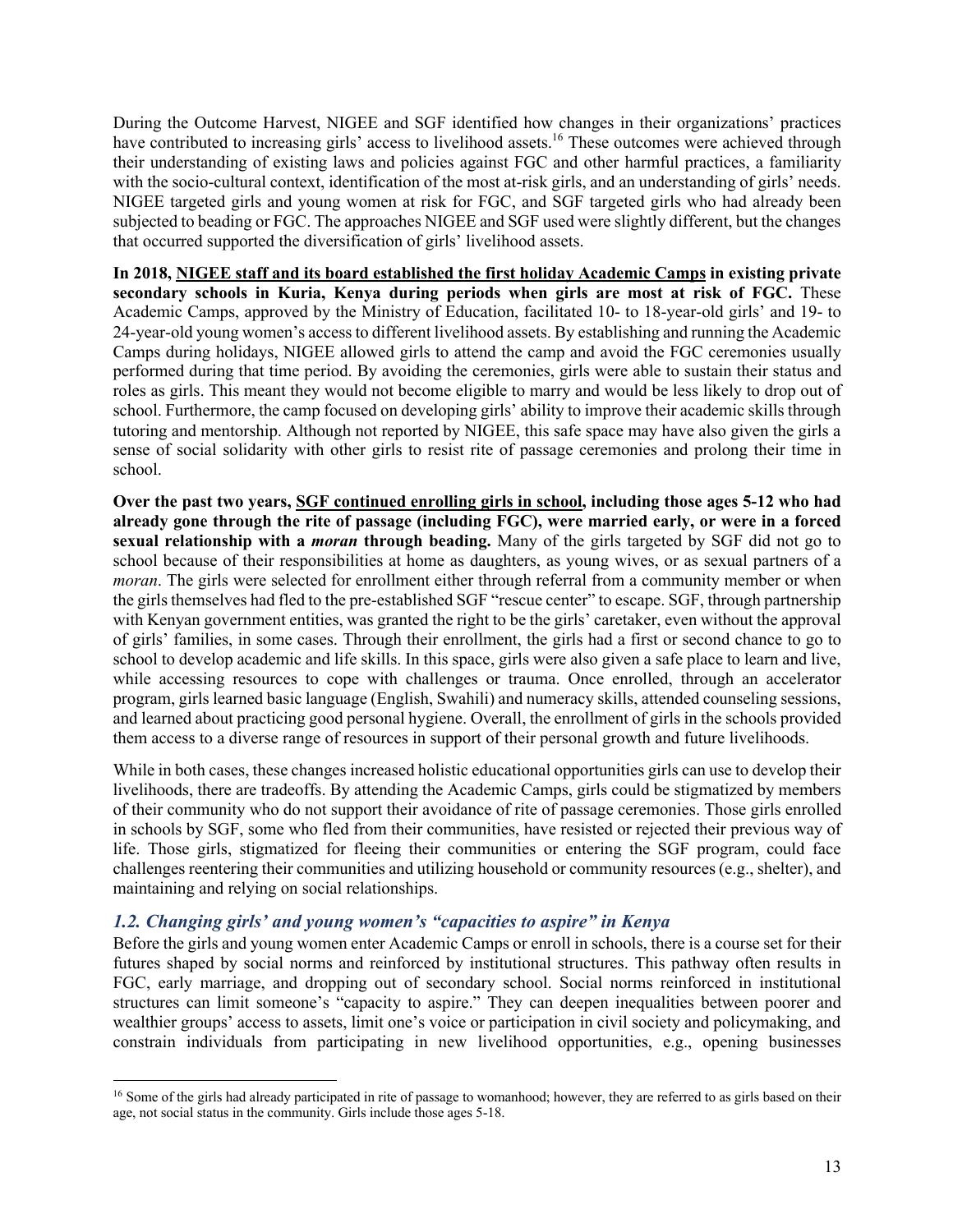During the Outcome Harvest, NIGEE and SGF identified how changes in their organizations' practices have contributed to increasing girls' access to livelihood assets.<sup>16</sup> These outcomes were achieved through their understanding of existing laws and policies against FGC and other harmful practices, a familiarity with the socio-cultural context, identification of the most at-risk girls, and an understanding of girls' needs. NIGEE targeted girls and young women at risk for FGC, and SGF targeted girls who had already been subjected to beading or FGC. The approaches NIGEE and SGF used were slightly different, but the changes that occurred supported the diversification of girls' livelihood assets.

**In 2018, NIGEE staff and its board established the first holiday Academic Camps in existing private secondary schools in Kuria, Kenya during periods when girls are most at risk of FGC.** These Academic Camps, approved by the Ministry of Education, facilitated 10- to 18-year-old girls' and 19- to 24-year-old young women's access to different livelihood assets. By establishing and running the Academic Camps during holidays, NIGEE allowed girls to attend the camp and avoid the FGC ceremonies usually performed during that time period. By avoiding the ceremonies, girls were able to sustain their status and roles as girls. This meant they would not become eligible to marry and would be less likely to drop out of school. Furthermore, the camp focused on developing girls' ability to improve their academic skills through tutoring and mentorship. Although not reported by NIGEE, this safe space may have also given the girls a sense of social solidarity with other girls to resist rite of passage ceremonies and prolong their time in school.

**Over the past two years, SGF continued enrolling girls in school, including those ages 5-12 who had already gone through the rite of passage (including FGC), were married early, or were in a forced sexual relationship with a** *moran* **through beading.** Many of the girls targeted by SGF did not go to school because of their responsibilities at home as daughters, as young wives, or as sexual partners of a *moran*. The girls were selected for enrollment either through referral from a community member or when the girls themselves had fled to the pre-established SGF "rescue center" to escape. SGF, through partnership with Kenyan government entities, was granted the right to be the girls' caretaker, even without the approval of girls' families, in some cases. Through their enrollment, the girls had a first or second chance to go to school to develop academic and life skills. In this space, girls were also given a safe place to learn and live, while accessing resources to cope with challenges or trauma. Once enrolled, through an accelerator program, girls learned basic language (English, Swahili) and numeracy skills, attended counseling sessions, and learned about practicing good personal hygiene. Overall, the enrollment of girls in the schools provided them access to a diverse range of resources in support of their personal growth and future livelihoods.

While in both cases, these changes increased holistic educational opportunities girls can use to develop their livelihoods, there are tradeoffs. By attending the Academic Camps, girls could be stigmatized by members of their community who do not support their avoidance of rite of passage ceremonies. Those girls enrolled in schools by SGF, some who fled from their communities, have resisted or rejected their previous way of life. Those girls, stigmatized for fleeing their communities or entering the SGF program, could face challenges reentering their communities and utilizing household or community resources(e.g., shelter), and maintaining and relying on social relationships.

#### *1.2. Changing girls' and young women's "capacities to aspire" in Kenya*

Before the girls and young women enter Academic Camps or enroll in schools, there is a course set for their futures shaped by social norms and reinforced by institutional structures. This pathway often results in FGC, early marriage, and dropping out of secondary school. Social norms reinforced in institutional structures can limit someone's "capacity to aspire." They can deepen inequalities between poorer and wealthier groups' access to assets, limit one's voice or participation in civil society and policymaking, and constrain individuals from participating in new livelihood opportunities, e.g., opening businesses

<sup>&</sup>lt;sup>16</sup> Some of the girls had already participated in rite of passage to womanhood; however, they are referred to as girls based on their age, not social status in the community. Girls include those ages 5-18.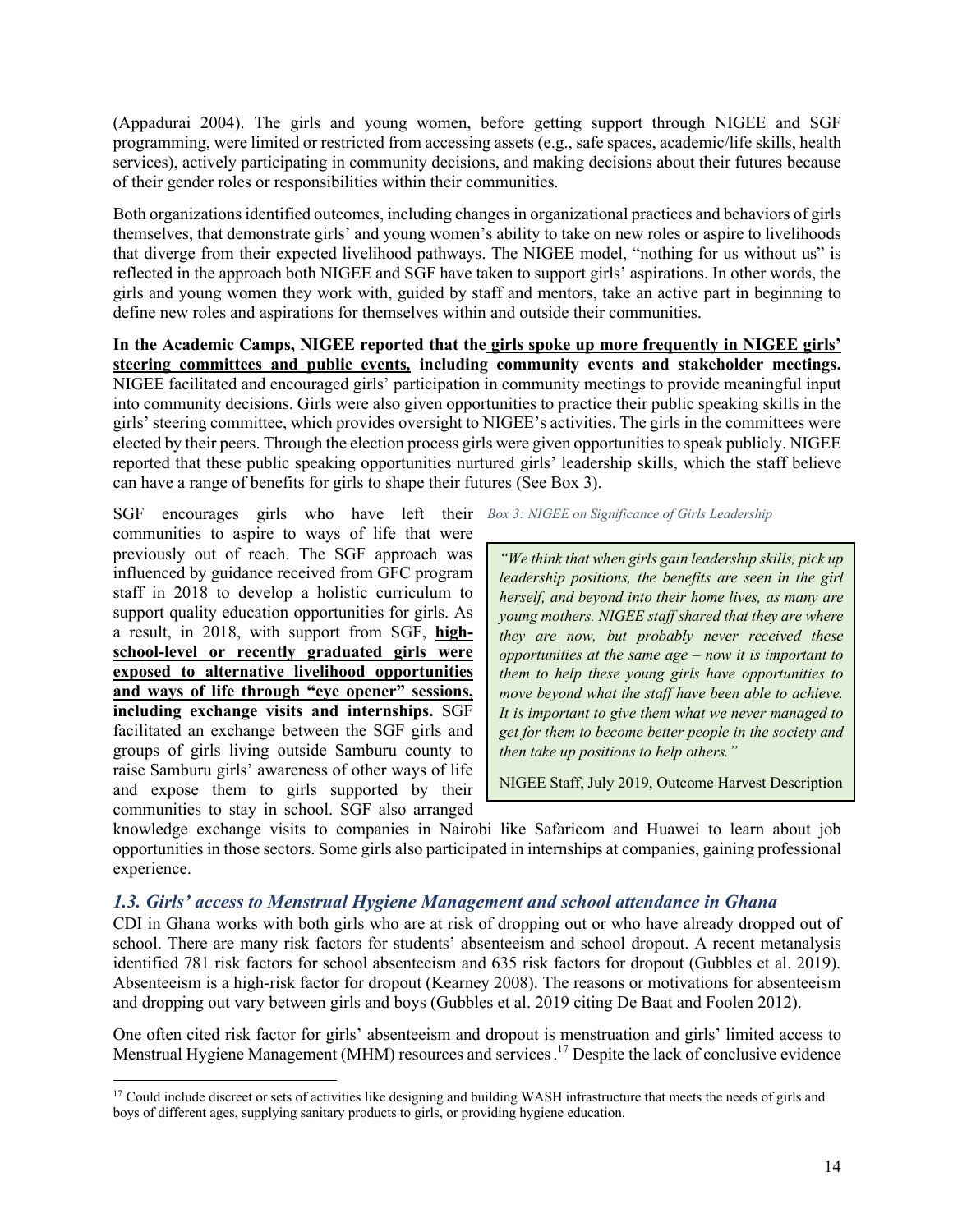(Appadurai 2004). The girls and young women, before getting support through NIGEE and SGF programming, were limited or restricted from accessing assets (e.g., safe spaces, academic/life skills, health services), actively participating in community decisions, and making decisions about their futures because of their gender roles or responsibilities within their communities.

Both organizations identified outcomes, including changes in organizational practices and behaviors of girls themselves, that demonstrate girls' and young women's ability to take on new roles or aspire to livelihoods that diverge from their expected livelihood pathways. The NIGEE model, "nothing for us without us" is reflected in the approach both NIGEE and SGF have taken to support girls' aspirations. In other words, the girls and young women they work with, guided by staff and mentors, take an active part in beginning to define new roles and aspirations for themselves within and outside their communities.

**In the Academic Camps, NIGEE reported that the girls spoke up more frequently in NIGEE girls' steering committees and public events***,* **including community events and stakeholder meetings.** NIGEE facilitated and encouraged girls' participation in community meetings to provide meaningful input into community decisions. Girls were also given opportunities to practice their public speaking skills in the girls' steering committee, which provides oversight to NIGEE's activities. The girls in the committees were elected by their peers. Through the election process girls were given opportunities to speak publicly. NIGEE reported that these public speaking opportunities nurtured girls' leadership skills, which the staff believe can have a range of benefits for girls to shape their futures (See Box 3).

SGF encourages girls who have left their *Box 3: NIGEE on Significance of Girls Leadership*communities to aspire to ways of life that were previously out of reach. The SGF approach was influenced by guidance received from GFC program staff in 2018 to develop a holistic curriculum to support quality education opportunities for girls. As a result, in 2018, with support from SGF, **highschool-level or recently graduated girls were exposed to alternative livelihood opportunities and ways of life through "eye opener" sessions, including exchange visits and internships.** SGF facilitated an exchange between the SGF girls and groups of girls living outside Samburu county to raise Samburu girls' awareness of other ways of life and expose them to girls supported by their communities to stay in school. SGF also arranged

*"We think that when girls gain leadership skills, pick up leadership positions, the benefits are seen in the girl herself, and beyond into their home lives, as many are young mothers. NIGEE staff shared that they are where they are now, but probably never received these opportunities at the same age – now it is important to them to help these young girls have opportunities to move beyond what the staff have been able to achieve. It is important to give them what we never managed to get for them to become better people in the society and then take up positions to help others."*

NIGEE Staff, July 2019, Outcome Harvest Description

knowledge exchange visits to companies in Nairobi like Safaricom and Huawei to learn about job opportunities in those sectors. Some girls also participated in internships at companies, gaining professional experience.

#### *1.3. Girls' access to Menstrual Hygiene Management and school attendance in Ghana*

CDI in Ghana works with both girls who are at risk of dropping out or who have already dropped out of school. There are many risk factors for students' absenteeism and school dropout. A recent metanalysis identified 781 risk factors for school absenteeism and 635 risk factors for dropout (Gubbles et al. 2019). Absenteeism is a high-risk factor for dropout (Kearney 2008). The reasons or motivations for absenteeism and dropping out vary between girls and boys (Gubbles et al. 2019 citing De Baat and Foolen 2012).

One often cited risk factor for girls' absenteeism and dropout is menstruation and girls' limited access to Menstrual Hygiene Management (MHM) resources and services.<sup>17</sup> Despite the lack of conclusive evidence

<sup>&</sup>lt;sup>17</sup> Could include discreet or sets of activities like designing and building WASH infrastructure that meets the needs of girls and boys of different ages, supplying sanitary products to girls, or providing hygiene education.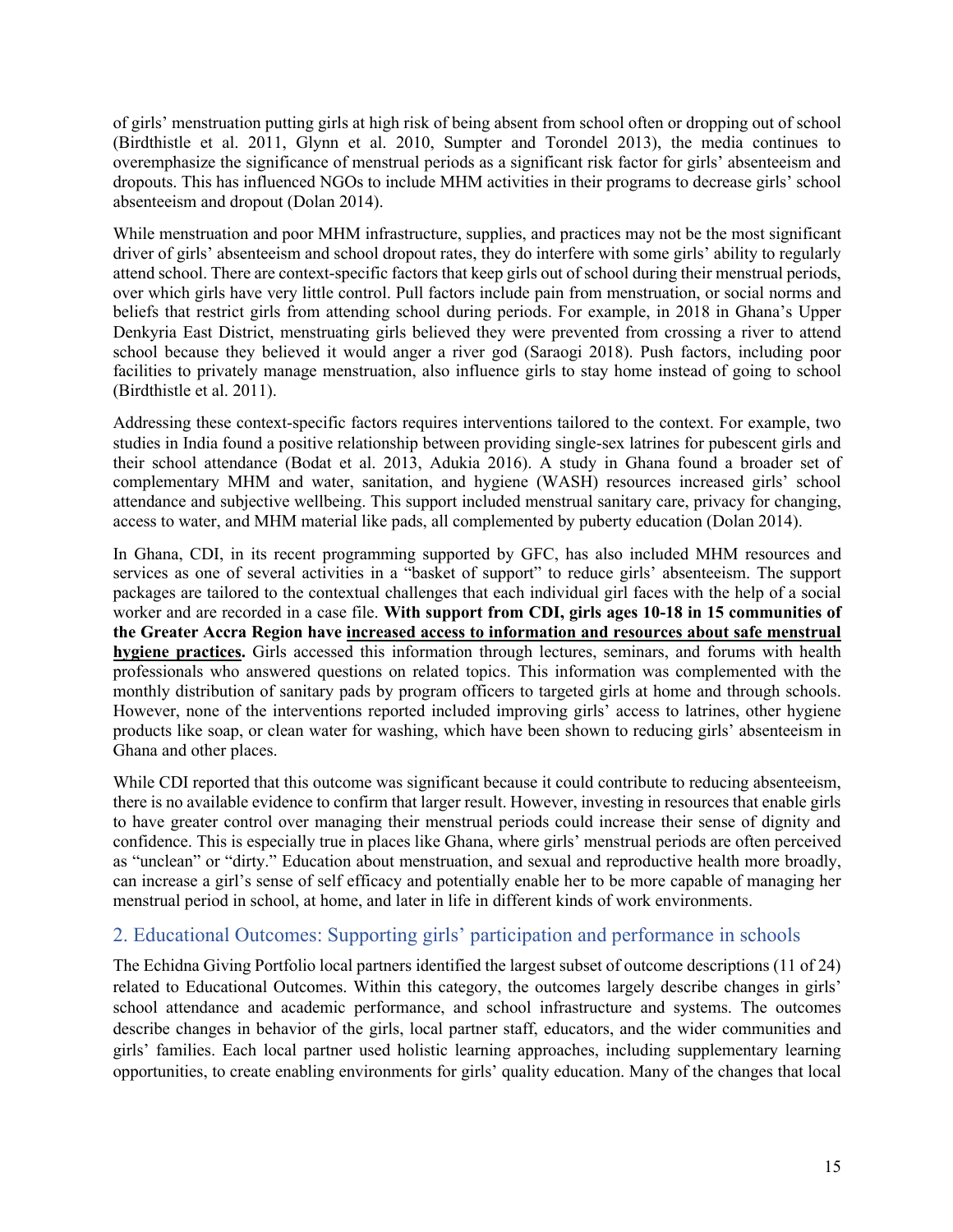of girls' menstruation putting girls at high risk of being absent from school often or dropping out of school (Birdthistle et al. 2011, Glynn et al. 2010, Sumpter and Torondel 2013), the media continues to overemphasize the significance of menstrual periods as a significant risk factor for girls' absenteeism and dropouts. This has influenced NGOs to include MHM activities in their programs to decrease girls' school absenteeism and dropout (Dolan 2014).

While menstruation and poor MHM infrastructure, supplies, and practices may not be the most significant driver of girls' absenteeism and school dropout rates, they do interfere with some girls' ability to regularly attend school. There are context-specific factors that keep girls out of school during their menstrual periods, over which girls have very little control. Pull factors include pain from menstruation, or social norms and beliefs that restrict girls from attending school during periods. For example, in 2018 in Ghana's Upper Denkyria East District, menstruating girls believed they were prevented from crossing a river to attend school because they believed it would anger a river god (Saraogi 2018). Push factors, including poor facilities to privately manage menstruation, also influence girls to stay home instead of going to school (Birdthistle et al. 2011).

Addressing these context-specific factors requires interventions tailored to the context. For example, two studies in India found a positive relationship between providing single-sex latrines for pubescent girls and their school attendance (Bodat et al. 2013, Adukia 2016). A study in Ghana found a broader set of complementary MHM and water, sanitation, and hygiene (WASH) resources increased girls' school attendance and subjective wellbeing. This support included menstrual sanitary care, privacy for changing, access to water, and MHM material like pads, all complemented by puberty education (Dolan 2014).

In Ghana, CDI, in its recent programming supported by GFC, has also included MHM resources and services as one of several activities in a "basket of support" to reduce girls' absenteeism. The support packages are tailored to the contextual challenges that each individual girl faces with the help of a social worker and are recorded in a case file. **With support from CDI, girls ages 10-18 in 15 communities of the Greater Accra Region have increased access to information and resources about safe menstrual hygiene practices.** Girls accessed this information through lectures, seminars, and forums with health professionals who answered questions on related topics. This information was complemented with the monthly distribution of sanitary pads by program officers to targeted girls at home and through schools. However, none of the interventions reported included improving girls' access to latrines, other hygiene products like soap, or clean water for washing, which have been shown to reducing girls' absenteeism in Ghana and other places.

While CDI reported that this outcome was significant because it could contribute to reducing absenteeism, there is no available evidence to confirm that larger result. However, investing in resources that enable girls to have greater control over managing their menstrual periods could increase their sense of dignity and confidence. This is especially true in places like Ghana, where girls' menstrual periods are often perceived as "unclean" or "dirty." Education about menstruation, and sexual and reproductive health more broadly, can increase a girl's sense of self efficacy and potentially enable her to be more capable of managing her menstrual period in school, at home, and later in life in different kinds of work environments.

## 2. Educational Outcomes: Supporting girls' participation and performance in schools

The Echidna Giving Portfolio local partners identified the largest subset of outcome descriptions (11 of 24) related to Educational Outcomes. Within this category, the outcomes largely describe changes in girls' school attendance and academic performance, and school infrastructure and systems. The outcomes describe changes in behavior of the girls, local partner staff, educators, and the wider communities and girls' families. Each local partner used holistic learning approaches, including supplementary learning opportunities, to create enabling environments for girls' quality education. Many of the changes that local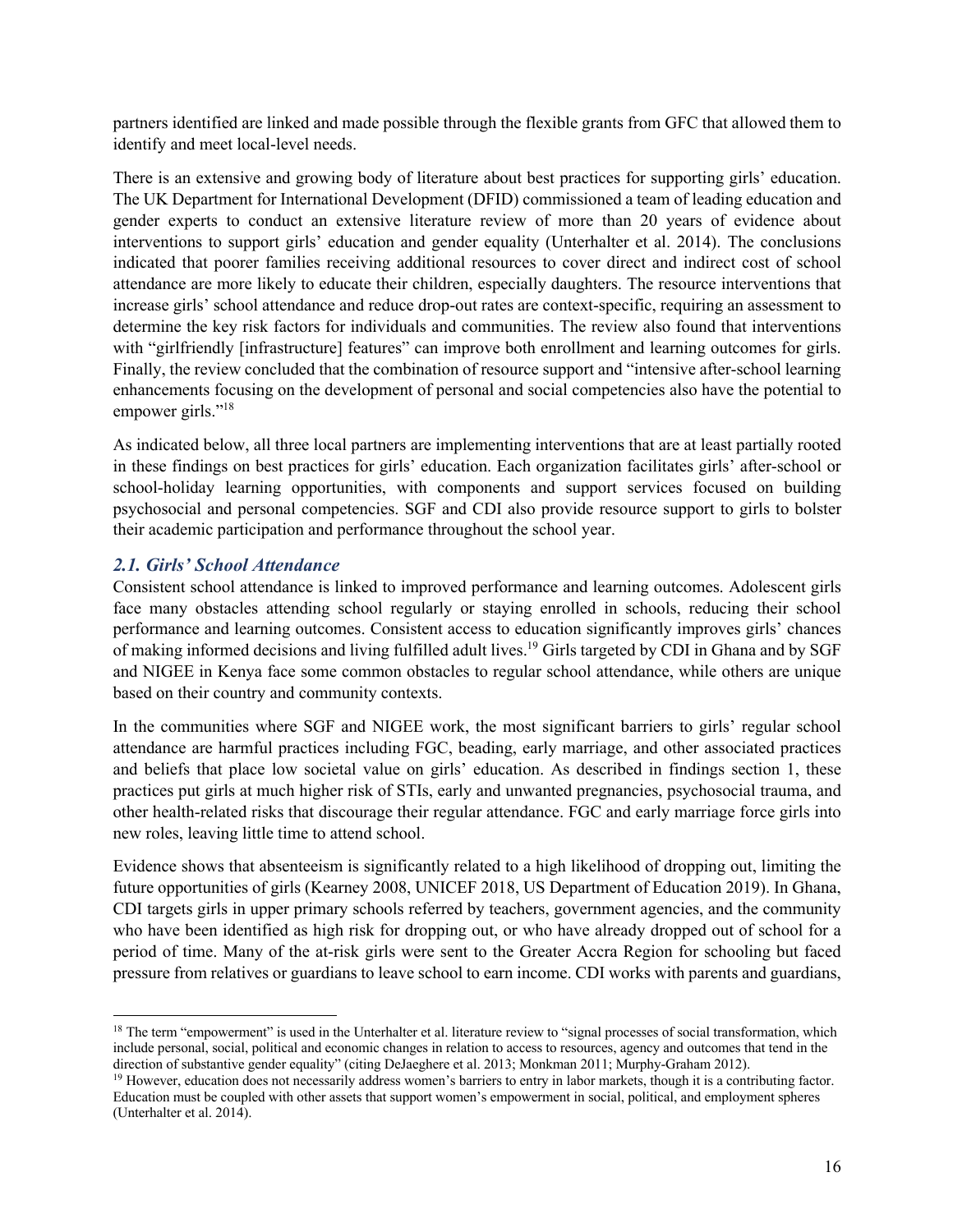partners identified are linked and made possible through the flexible grants from GFC that allowed them to identify and meet local-level needs.

There is an extensive and growing body of literature about best practices for supporting girls' education. The UK Department for International Development (DFID) commissioned a team of leading education and gender experts to conduct an extensive literature review of more than 20 years of evidence about interventions to support girls' education and gender equality (Unterhalter et al. 2014). The conclusions indicated that poorer families receiving additional resources to cover direct and indirect cost of school attendance are more likely to educate their children, especially daughters. The resource interventions that increase girls' school attendance and reduce drop-out rates are context-specific, requiring an assessment to determine the key risk factors for individuals and communities. The review also found that interventions with "girlfriendly [infrastructure] features" can improve both enrollment and learning outcomes for girls. Finally, the review concluded that the combination of resource support and "intensive after-school learning enhancements focusing on the development of personal and social competencies also have the potential to empower girls."<sup>18</sup>

As indicated below, all three local partners are implementing interventions that are at least partially rooted in these findings on best practices for girls' education. Each organization facilitates girls' after-school or school-holiday learning opportunities, with components and support services focused on building psychosocial and personal competencies. SGF and CDI also provide resource support to girls to bolster their academic participation and performance throughout the school year.

#### *2.1. Girls' School Attendance*

Consistent school attendance is linked to improved performance and learning outcomes. Adolescent girls face many obstacles attending school regularly or staying enrolled in schools, reducing their school performance and learning outcomes. Consistent access to education significantly improves girls' chances of making informed decisions and living fulfilled adult lives.<sup>19</sup> Girls targeted by CDI in Ghana and by SGF and NIGEE in Kenya face some common obstacles to regular school attendance, while others are unique based on their country and community contexts.

In the communities where SGF and NIGEE work, the most significant barriers to girls' regular school attendance are harmful practices including FGC, beading, early marriage, and other associated practices and beliefs that place low societal value on girls' education. As described in findings section 1, these practices put girls at much higher risk of STIs, early and unwanted pregnancies, psychosocial trauma, and other health-related risks that discourage their regular attendance. FGC and early marriage force girls into new roles, leaving little time to attend school.

Evidence shows that absenteeism is significantly related to a high likelihood of dropping out, limiting the future opportunities of girls (Kearney 2008, UNICEF 2018, US Department of Education 2019). In Ghana, CDI targets girls in upper primary schools referred by teachers, government agencies, and the community who have been identified as high risk for dropping out, or who have already dropped out of school for a period of time. Many of the at-risk girls were sent to the Greater Accra Region for schooling but faced pressure from relatives or guardians to leave school to earn income. CDI works with parents and guardians,

<sup>&</sup>lt;sup>18</sup> The term "empowerment" is used in the Unterhalter et al. literature review to "signal processes of social transformation, which include personal, social, political and economic changes in relation to access to resources, agency and outcomes that tend in the direction of substantive gender equality" (citing DeJaeghere et al. 2013; Monkman 2011; Murphy-Graham 2012).

<sup>&</sup>lt;sup>19</sup> However, education does not necessarily address women's barriers to entry in labor markets, though it is a contributing factor. Education must be coupled with other assets that support women's empowerment in social, political, and employment spheres (Unterhalter et al. 2014).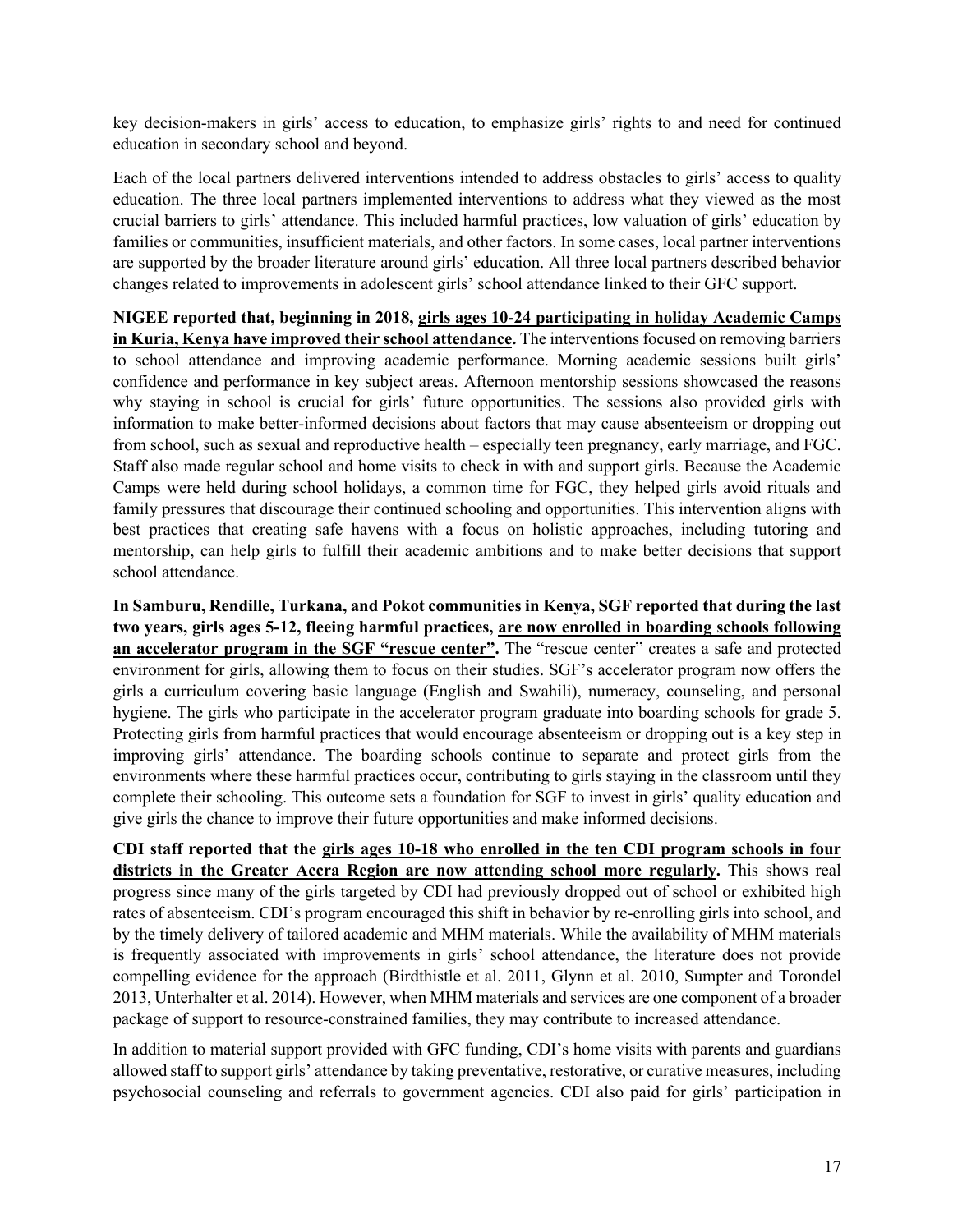key decision-makers in girls' access to education, to emphasize girls' rights to and need for continued education in secondary school and beyond.

Each of the local partners delivered interventions intended to address obstacles to girls' access to quality education. The three local partners implemented interventions to address what they viewed as the most crucial barriers to girls' attendance. This included harmful practices, low valuation of girls' education by families or communities, insufficient materials, and other factors. In some cases, local partner interventions are supported by the broader literature around girls' education. All three local partners described behavior changes related to improvements in adolescent girls' school attendance linked to their GFC support.

**NIGEE reported that, beginning in 2018, girls ages 10-24 participating in holiday Academic Camps in Kuria, Kenya have improved their school attendance.** The interventions focused on removing barriers to school attendance and improving academic performance. Morning academic sessions built girls' confidence and performance in key subject areas. Afternoon mentorship sessions showcased the reasons why staying in school is crucial for girls' future opportunities. The sessions also provided girls with information to make better-informed decisions about factors that may cause absenteeism or dropping out from school, such as sexual and reproductive health – especially teen pregnancy, early marriage, and FGC. Staff also made regular school and home visits to check in with and support girls. Because the Academic Camps were held during school holidays, a common time for FGC, they helped girls avoid rituals and family pressures that discourage their continued schooling and opportunities. This intervention aligns with best practices that creating safe havens with a focus on holistic approaches, including tutoring and mentorship, can help girls to fulfill their academic ambitions and to make better decisions that support school attendance.

**In Samburu, Rendille, Turkana, and Pokot communities in Kenya, SGF reported that during the last two years, girls ages 5-12, fleeing harmful practices, are now enrolled in boarding schools following an accelerator program in the SGF "rescue center".** The "rescue center" creates a safe and protected environment for girls, allowing them to focus on their studies. SGF's accelerator program now offers the girls a curriculum covering basic language (English and Swahili), numeracy, counseling, and personal hygiene. The girls who participate in the accelerator program graduate into boarding schools for grade 5. Protecting girls from harmful practices that would encourage absenteeism or dropping out is a key step in improving girls' attendance. The boarding schools continue to separate and protect girls from the environments where these harmful practices occur, contributing to girls staying in the classroom until they complete their schooling. This outcome sets a foundation for SGF to invest in girls' quality education and give girls the chance to improve their future opportunities and make informed decisions.

**CDI staff reported that the girls ages 10-18 who enrolled in the ten CDI program schools in four districts in the Greater Accra Region are now attending school more regularly.** This shows real progress since many of the girls targeted by CDI had previously dropped out of school or exhibited high rates of absenteeism. CDI's program encouraged this shift in behavior by re-enrolling girls into school, and by the timely delivery of tailored academic and MHM materials. While the availability of MHM materials is frequently associated with improvements in girls' school attendance, the literature does not provide compelling evidence for the approach (Birdthistle et al. 2011, Glynn et al. 2010, Sumpter and Torondel 2013, Unterhalter et al. 2014). However, when MHM materials and services are one component of a broader package of support to resource-constrained families, they may contribute to increased attendance.

In addition to material support provided with GFC funding, CDI's home visits with parents and guardians allowed staff to support girls' attendance by taking preventative, restorative, or curative measures, including psychosocial counseling and referrals to government agencies. CDI also paid for girls' participation in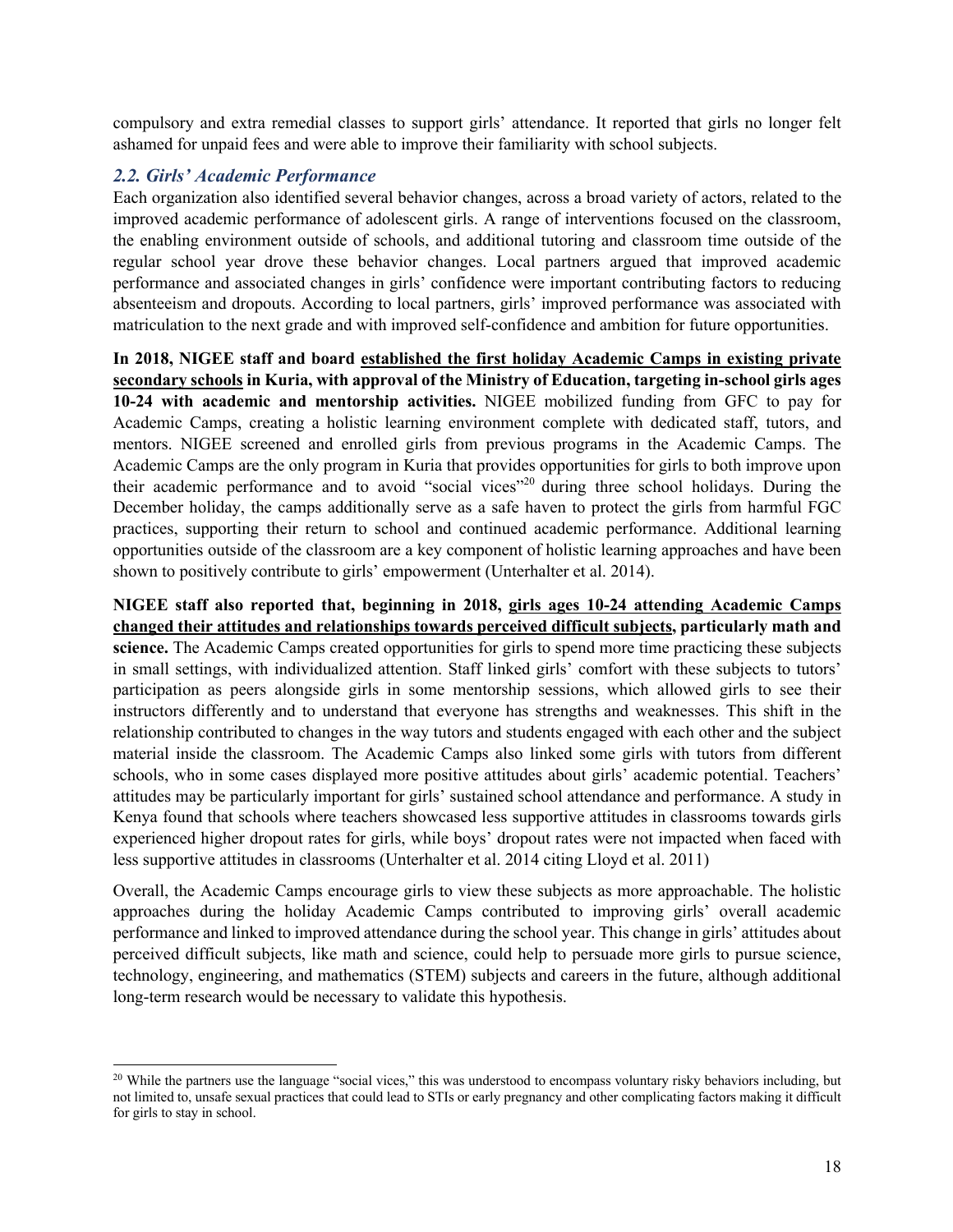compulsory and extra remedial classes to support girls' attendance. It reported that girls no longer felt ashamed for unpaid fees and were able to improve their familiarity with school subjects.

#### *2.2. Girls' Academic Performance*

Each organization also identified several behavior changes, across a broad variety of actors, related to the improved academic performance of adolescent girls. A range of interventions focused on the classroom, the enabling environment outside of schools, and additional tutoring and classroom time outside of the regular school year drove these behavior changes. Local partners argued that improved academic performance and associated changes in girls' confidence were important contributing factors to reducing absenteeism and dropouts. According to local partners, girls' improved performance was associated with matriculation to the next grade and with improved self-confidence and ambition for future opportunities.

**In 2018, NIGEE staff and board established the first holiday Academic Camps in existing private secondary schools in Kuria, with approval of the Ministry of Education, targeting in-school girls ages 10-24 with academic and mentorship activities.** NIGEE mobilized funding from GFC to pay for Academic Camps, creating a holistic learning environment complete with dedicated staff, tutors, and mentors. NIGEE screened and enrolled girls from previous programs in the Academic Camps. The Academic Camps are the only program in Kuria that provides opportunities for girls to both improve upon their academic performance and to avoid "social vices"20 during three school holidays. During the December holiday, the camps additionally serve as a safe haven to protect the girls from harmful FGC practices, supporting their return to school and continued academic performance. Additional learning opportunities outside of the classroom are a key component of holistic learning approaches and have been shown to positively contribute to girls' empowerment (Unterhalter et al. 2014).

**NIGEE staff also reported that, beginning in 2018, girls ages 10-24 attending Academic Camps changed their attitudes and relationships towards perceived difficult subjects, particularly math and science.** The Academic Camps created opportunities for girls to spend more time practicing these subjects in small settings, with individualized attention. Staff linked girls' comfort with these subjects to tutors' participation as peers alongside girls in some mentorship sessions, which allowed girls to see their instructors differently and to understand that everyone has strengths and weaknesses. This shift in the relationship contributed to changes in the way tutors and students engaged with each other and the subject material inside the classroom. The Academic Camps also linked some girls with tutors from different schools, who in some cases displayed more positive attitudes about girls' academic potential. Teachers' attitudes may be particularly important for girls' sustained school attendance and performance. A study in Kenya found that schools where teachers showcased less supportive attitudes in classrooms towards girls experienced higher dropout rates for girls, while boys' dropout rates were not impacted when faced with less supportive attitudes in classrooms (Unterhalter et al. 2014 citing Lloyd et al. 2011)

Overall, the Academic Camps encourage girls to view these subjects as more approachable. The holistic approaches during the holiday Academic Camps contributed to improving girls' overall academic performance and linked to improved attendance during the school year. This change in girls' attitudes about perceived difficult subjects, like math and science, could help to persuade more girls to pursue science, technology, engineering, and mathematics (STEM) subjects and careers in the future, although additional long-term research would be necessary to validate this hypothesis.

 $^{20}$  While the partners use the language "social vices," this was understood to encompass voluntary risky behaviors including, but not limited to, unsafe sexual practices that could lead to STIs or early pregnancy and other complicating factors making it difficult for girls to stay in school.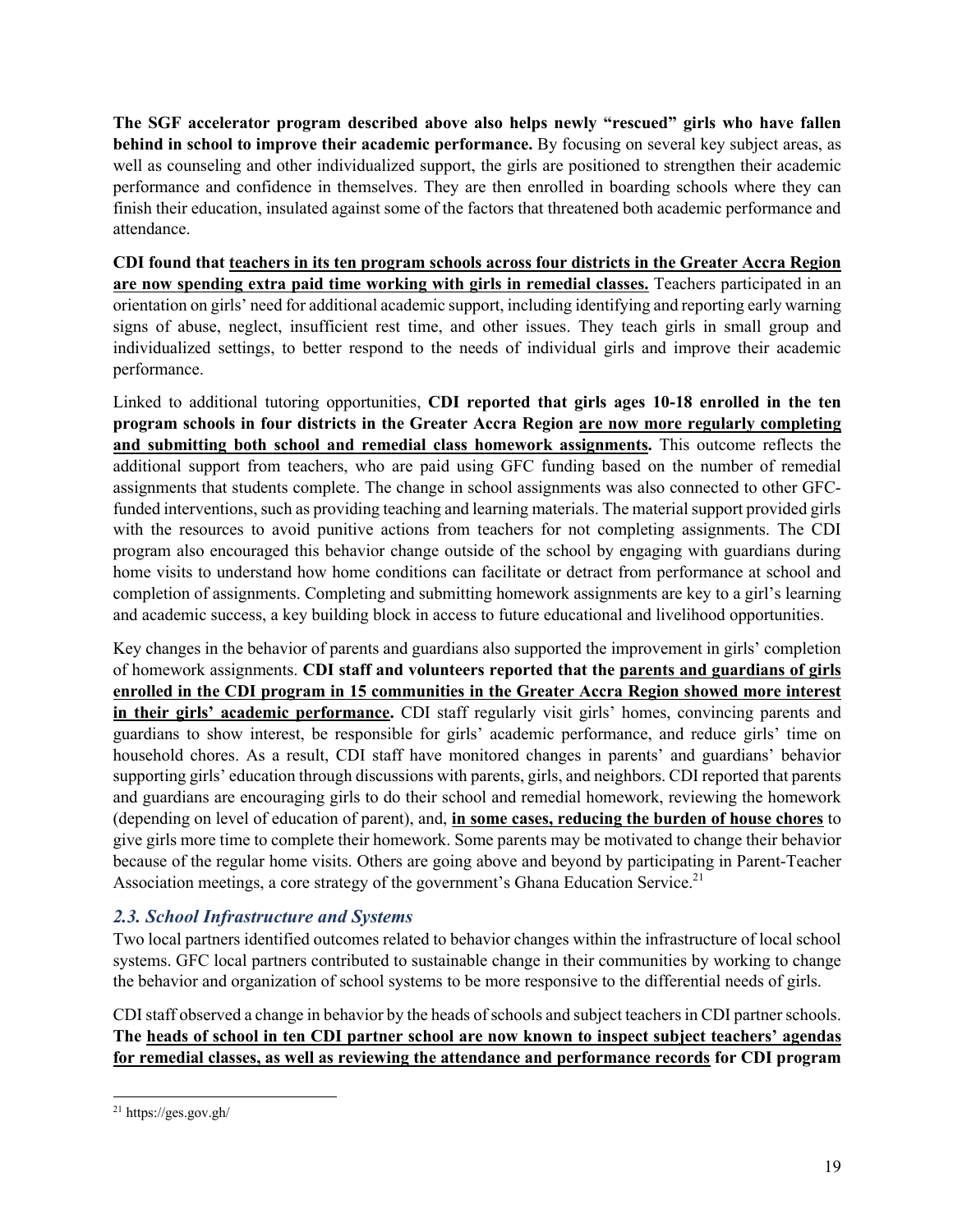**The SGF accelerator program described above also helps newly "rescued" girls who have fallen behind in school to improve their academic performance.** By focusing on several key subject areas, as well as counseling and other individualized support, the girls are positioned to strengthen their academic performance and confidence in themselves. They are then enrolled in boarding schools where they can finish their education, insulated against some of the factors that threatened both academic performance and attendance.

**CDI found that teachers in its ten program schools across four districts in the Greater Accra Region are now spending extra paid time working with girls in remedial classes.** Teachers participated in an orientation on girls' need for additional academic support, including identifying and reporting early warning signs of abuse, neglect, insufficient rest time, and other issues. They teach girls in small group and individualized settings, to better respond to the needs of individual girls and improve their academic performance.

Linked to additional tutoring opportunities, **CDI reported that girls ages 10-18 enrolled in the ten program schools in four districts in the Greater Accra Region are now more regularly completing and submitting both school and remedial class homework assignments.** This outcome reflects the additional support from teachers, who are paid using GFC funding based on the number of remedial assignments that students complete. The change in school assignments was also connected to other GFCfunded interventions, such as providing teaching and learning materials. The material support provided girls with the resources to avoid punitive actions from teachers for not completing assignments. The CDI program also encouraged this behavior change outside of the school by engaging with guardians during home visits to understand how home conditions can facilitate or detract from performance at school and completion of assignments. Completing and submitting homework assignments are key to a girl's learning and academic success, a key building block in access to future educational and livelihood opportunities.

Key changes in the behavior of parents and guardians also supported the improvement in girls' completion of homework assignments. **CDI staff and volunteers reported that the parents and guardians of girls enrolled in the CDI program in 15 communities in the Greater Accra Region showed more interest in their girls' academic performance.** CDI staff regularly visit girls' homes, convincing parents and guardians to show interest, be responsible for girls' academic performance, and reduce girls' time on household chores. As a result, CDI staff have monitored changes in parents' and guardians' behavior supporting girls' education through discussions with parents, girls, and neighbors. CDI reported that parents and guardians are encouraging girls to do their school and remedial homework, reviewing the homework (depending on level of education of parent), and, **in some cases, reducing the burden of house chores** to give girls more time to complete their homework. Some parents may be motivated to change their behavior because of the regular home visits. Others are going above and beyond by participating in Parent-Teacher Association meetings, a core strategy of the government's Ghana Education Service.<sup>21</sup>

#### *2.3. School Infrastructure and Systems*

Two local partners identified outcomes related to behavior changes within the infrastructure of local school systems. GFC local partners contributed to sustainable change in their communities by working to change the behavior and organization of school systems to be more responsive to the differential needs of girls.

CDI staff observed a change in behavior by the heads of schools and subject teachers in CDI partner schools. **The heads of school in ten CDI partner school are now known to inspect subject teachers' agendas for remedial classes, as well as reviewing the attendance and performance records for CDI program** 

<sup>21</sup> https://ges.gov.gh/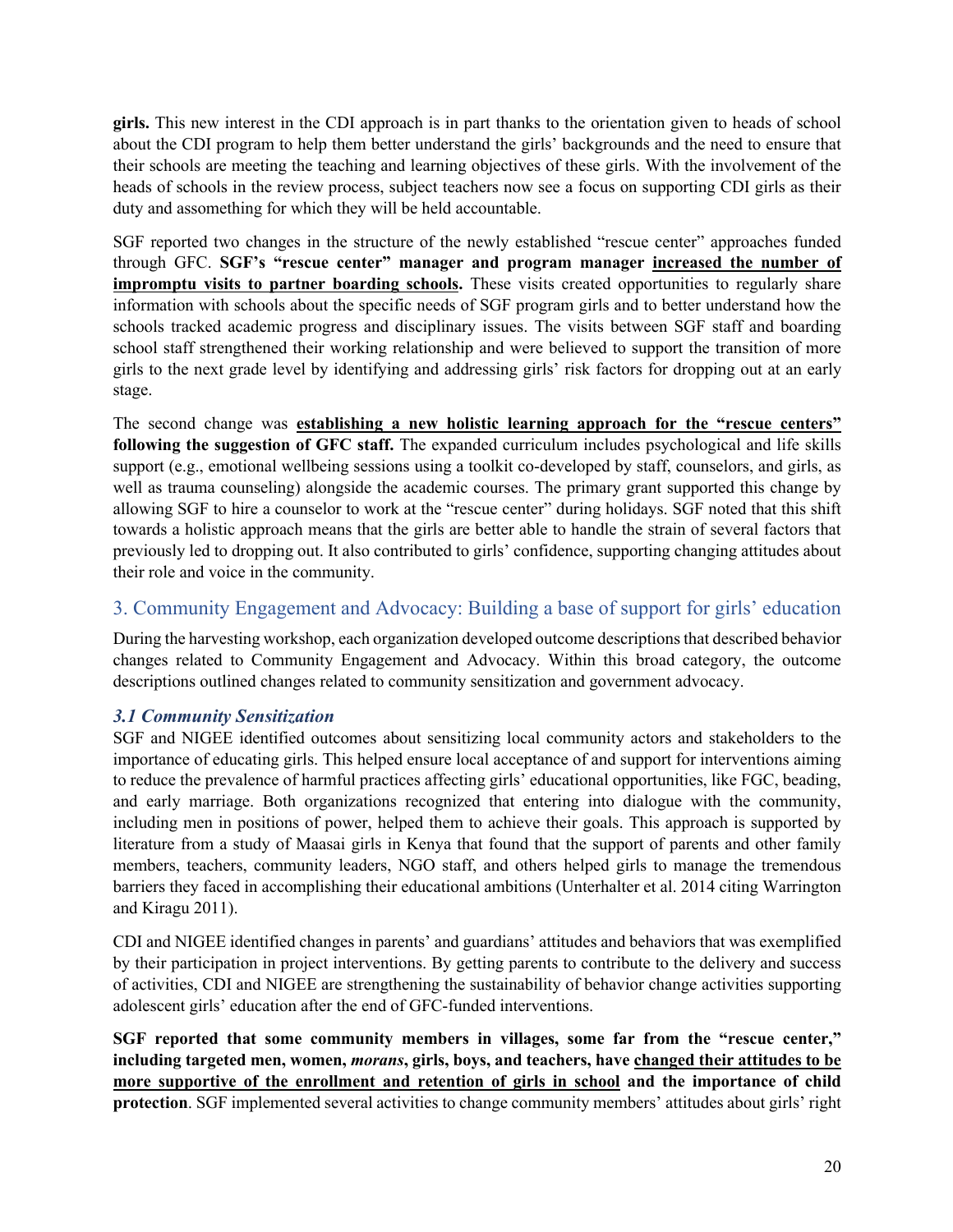**girls.** This new interest in the CDI approach is in part thanks to the orientation given to heads of school about the CDI program to help them better understand the girls' backgrounds and the need to ensure that their schools are meeting the teaching and learning objectives of these girls. With the involvement of the heads of schools in the review process, subject teachers now see a focus on supporting CDI girls as their duty and assomething for which they will be held accountable.

SGF reported two changes in the structure of the newly established "rescue center" approaches funded through GFC. **SGF's "rescue center" manager and program manager increased the number of impromptu visits to partner boarding schools.** These visits created opportunities to regularly share information with schools about the specific needs of SGF program girls and to better understand how the schools tracked academic progress and disciplinary issues. The visits between SGF staff and boarding school staff strengthened their working relationship and were believed to support the transition of more girls to the next grade level by identifying and addressing girls' risk factors for dropping out at an early stage.

The second change was **establishing a new holistic learning approach for the "rescue centers" following the suggestion of GFC staff.** The expanded curriculum includes psychological and life skills support (e.g., emotional wellbeing sessions using a toolkit co-developed by staff, counselors, and girls, as well as trauma counseling) alongside the academic courses. The primary grant supported this change by allowing SGF to hire a counselor to work at the "rescue center" during holidays. SGF noted that this shift towards a holistic approach means that the girls are better able to handle the strain of several factors that previously led to dropping out. It also contributed to girls' confidence, supporting changing attitudes about their role and voice in the community.

#### 3. Community Engagement and Advocacy: Building a base of support for girls' education

During the harvesting workshop, each organization developed outcome descriptions that described behavior changes related to Community Engagement and Advocacy. Within this broad category, the outcome descriptions outlined changes related to community sensitization and government advocacy.

#### *3.1 Community Sensitization*

SGF and NIGEE identified outcomes about sensitizing local community actors and stakeholders to the importance of educating girls. This helped ensure local acceptance of and support for interventions aiming to reduce the prevalence of harmful practices affecting girls' educational opportunities, like FGC, beading, and early marriage. Both organizations recognized that entering into dialogue with the community, including men in positions of power, helped them to achieve their goals. This approach is supported by literature from a study of Maasai girls in Kenya that found that the support of parents and other family members, teachers, community leaders, NGO staff, and others helped girls to manage the tremendous barriers they faced in accomplishing their educational ambitions (Unterhalter et al. 2014 citing Warrington and Kiragu 2011).

CDI and NIGEE identified changes in parents' and guardians' attitudes and behaviors that was exemplified by their participation in project interventions. By getting parents to contribute to the delivery and success of activities, CDI and NIGEE are strengthening the sustainability of behavior change activities supporting adolescent girls' education after the end of GFC-funded interventions.

**SGF reported that some community members in villages, some far from the "rescue center," including targeted men, women,** *morans***, girls, boys, and teachers, have changed their attitudes to be more supportive of the enrollment and retention of girls in school and the importance of child protection**. SGF implemented several activities to change community members' attitudes about girls' right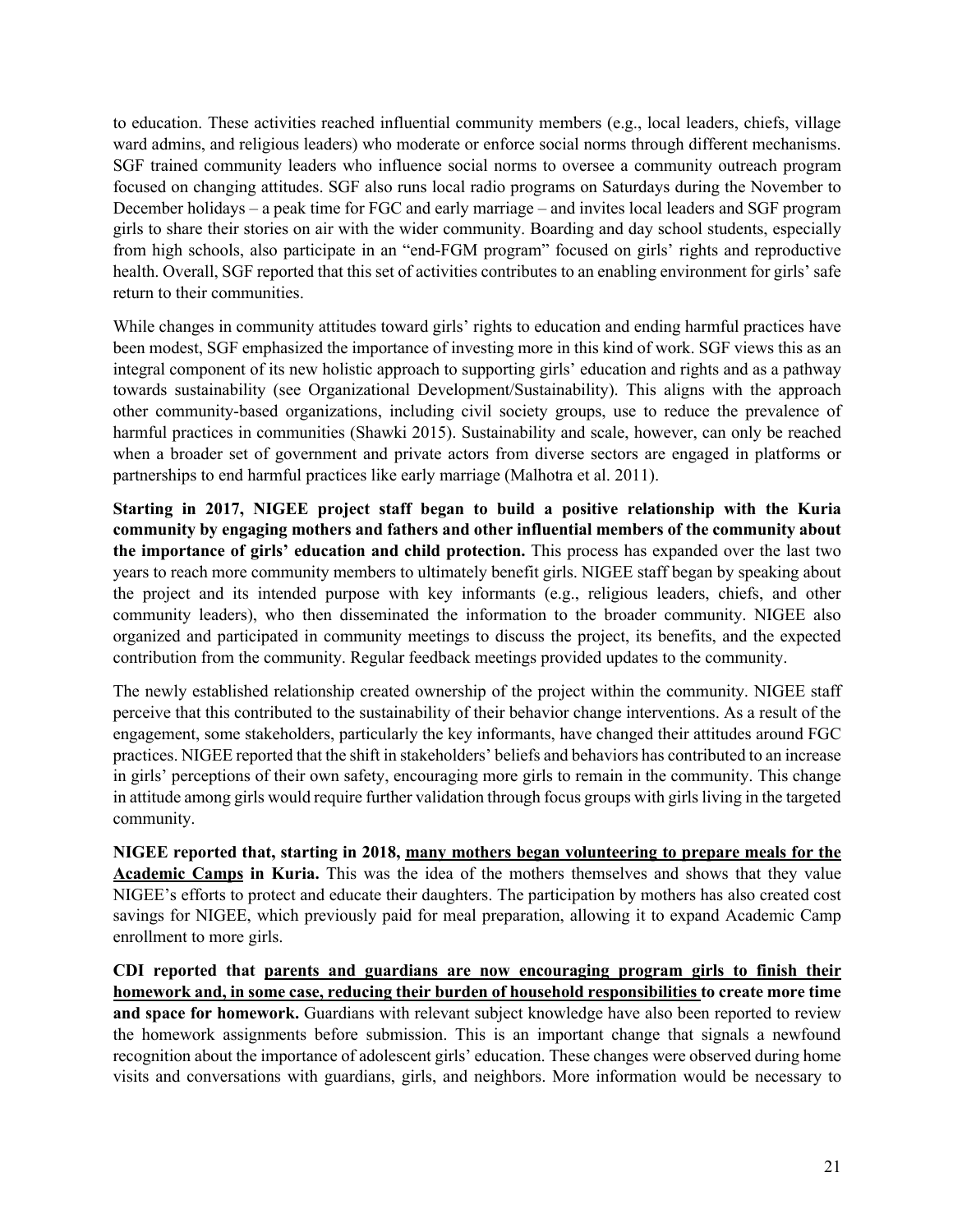to education. These activities reached influential community members (e.g., local leaders, chiefs, village ward admins, and religious leaders) who moderate or enforce social norms through different mechanisms. SGF trained community leaders who influence social norms to oversee a community outreach program focused on changing attitudes. SGF also runs local radio programs on Saturdays during the November to December holidays – a peak time for FGC and early marriage – and invites local leaders and SGF program girls to share their stories on air with the wider community. Boarding and day school students, especially from high schools, also participate in an "end-FGM program" focused on girls' rights and reproductive health. Overall, SGF reported that this set of activities contributes to an enabling environment for girls' safe return to their communities.

While changes in community attitudes toward girls' rights to education and ending harmful practices have been modest, SGF emphasized the importance of investing more in this kind of work. SGF views this as an integral component of its new holistic approach to supporting girls' education and rights and as a pathway towards sustainability (see Organizational Development/Sustainability). This aligns with the approach other community-based organizations, including civil society groups, use to reduce the prevalence of harmful practices in communities (Shawki 2015). Sustainability and scale, however, can only be reached when a broader set of government and private actors from diverse sectors are engaged in platforms or partnerships to end harmful practices like early marriage (Malhotra et al. 2011).

**Starting in 2017, NIGEE project staff began to build a positive relationship with the Kuria community by engaging mothers and fathers and other influential members of the community about the importance of girls' education and child protection.** This process has expanded over the last two years to reach more community members to ultimately benefit girls. NIGEE staff began by speaking about the project and its intended purpose with key informants (e.g., religious leaders, chiefs, and other community leaders), who then disseminated the information to the broader community. NIGEE also organized and participated in community meetings to discuss the project, its benefits, and the expected contribution from the community. Regular feedback meetings provided updates to the community.

The newly established relationship created ownership of the project within the community. NIGEE staff perceive that this contributed to the sustainability of their behavior change interventions. As a result of the engagement, some stakeholders, particularly the key informants, have changed their attitudes around FGC practices. NIGEE reported that the shift in stakeholders' beliefs and behaviors has contributed to an increase in girls' perceptions of their own safety, encouraging more girls to remain in the community. This change in attitude among girls would require further validation through focus groups with girls living in the targeted community.

**NIGEE reported that, starting in 2018, many mothers began volunteering to prepare meals for the Academic Camps in Kuria.** This was the idea of the mothers themselves and shows that they value NIGEE's efforts to protect and educate their daughters. The participation by mothers has also created cost savings for NIGEE, which previously paid for meal preparation, allowing it to expand Academic Camp enrollment to more girls.

**CDI reported that parents and guardians are now encouraging program girls to finish their homework and, in some case, reducing their burden of household responsibilities to create more time and space for homework.** Guardians with relevant subject knowledge have also been reported to review the homework assignments before submission. This is an important change that signals a newfound recognition about the importance of adolescent girls' education. These changes were observed during home visits and conversations with guardians, girls, and neighbors. More information would be necessary to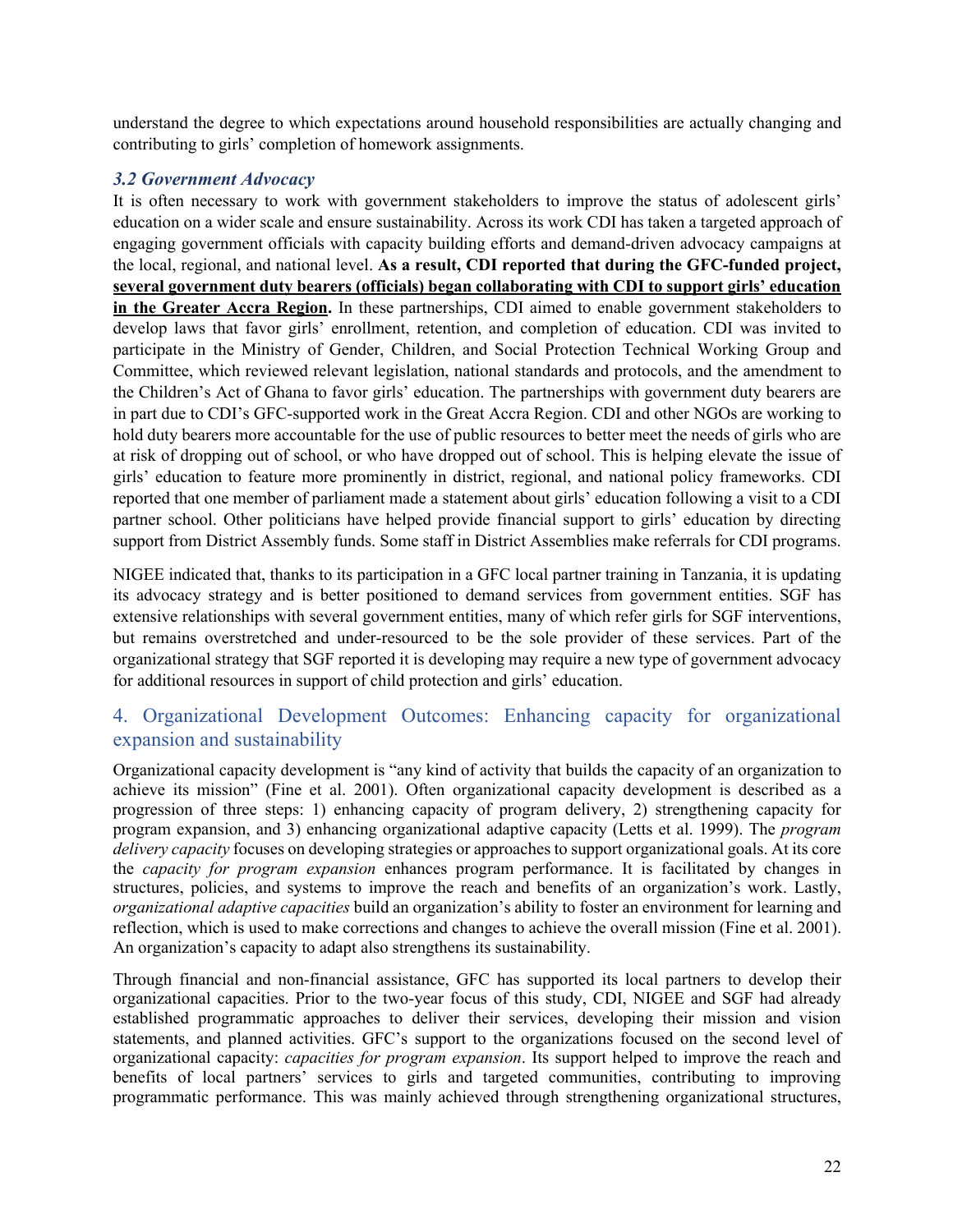understand the degree to which expectations around household responsibilities are actually changing and contributing to girls' completion of homework assignments.

#### *3.2 Government Advocacy*

It is often necessary to work with government stakeholders to improve the status of adolescent girls' education on a wider scale and ensure sustainability. Across its work CDI has taken a targeted approach of engaging government officials with capacity building efforts and demand-driven advocacy campaigns at the local, regional, and national level. **As a result, CDI reported that during the GFC-funded project, several government duty bearers (officials) began collaborating with CDI to support girls' education in the Greater Accra Region.** In these partnerships, CDI aimed to enable government stakeholders to develop laws that favor girls' enrollment, retention, and completion of education. CDI was invited to participate in the Ministry of Gender, Children, and Social Protection Technical Working Group and Committee, which reviewed relevant legislation, national standards and protocols, and the amendment to the Children's Act of Ghana to favor girls' education. The partnerships with government duty bearers are in part due to CDI's GFC-supported work in the Great Accra Region. CDI and other NGOs are working to hold duty bearers more accountable for the use of public resources to better meet the needs of girls who are at risk of dropping out of school, or who have dropped out of school. This is helping elevate the issue of girls' education to feature more prominently in district, regional, and national policy frameworks. CDI reported that one member of parliament made a statement about girls' education following a visit to a CDI partner school. Other politicians have helped provide financial support to girls' education by directing support from District Assembly funds. Some staff in District Assemblies make referrals for CDI programs.

NIGEE indicated that, thanks to its participation in a GFC local partner training in Tanzania, it is updating its advocacy strategy and is better positioned to demand services from government entities. SGF has extensive relationships with several government entities, many of which refer girls for SGF interventions, but remains overstretched and under-resourced to be the sole provider of these services. Part of the organizational strategy that SGF reported it is developing may require a new type of government advocacy for additional resources in support of child protection and girls' education.

## 4. Organizational Development Outcomes: Enhancing capacity for organizational expansion and sustainability

Organizational capacity development is "any kind of activity that builds the capacity of an organization to achieve its mission" (Fine et al. 2001). Often organizational capacity development is described as a progression of three steps: 1) enhancing capacity of program delivery, 2) strengthening capacity for program expansion, and 3) enhancing organizational adaptive capacity (Letts et al. 1999). The *program delivery capacity* focuses on developing strategies or approaches to support organizational goals. At its core the *capacity for program expansion* enhances program performance. It is facilitated by changes in structures, policies, and systems to improve the reach and benefits of an organization's work. Lastly, *organizational adaptive capacities* build an organization's ability to foster an environment for learning and reflection, which is used to make corrections and changes to achieve the overall mission (Fine et al. 2001). An organization's capacity to adapt also strengthens its sustainability.

Through financial and non-financial assistance, GFC has supported its local partners to develop their organizational capacities. Prior to the two-year focus of this study, CDI, NIGEE and SGF had already established programmatic approaches to deliver their services, developing their mission and vision statements, and planned activities. GFC's support to the organizations focused on the second level of organizational capacity: *capacities for program expansion*. Its support helped to improve the reach and benefits of local partners' services to girls and targeted communities, contributing to improving programmatic performance. This was mainly achieved through strengthening organizational structures,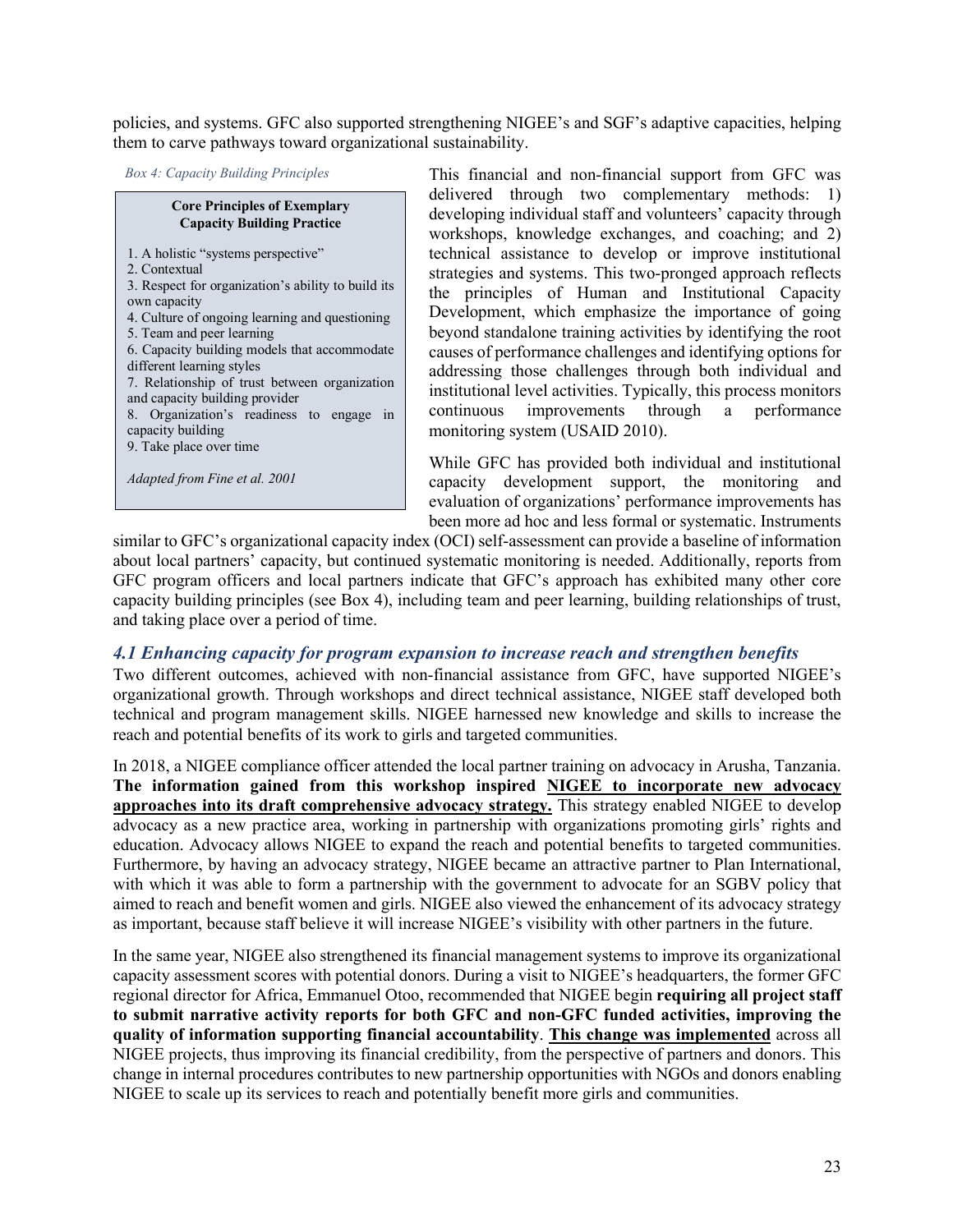policies, and systems. GFC also supported strengthening NIGEE's and SGF's adaptive capacities, helping them to carve pathways toward organizational sustainability.

*Box 4: Capacity Building Principles*

#### **Core Principles of Exemplary Capacity Building Practice**

1. A holistic "systems perspective"

- 2. Contextual
- 3. Respect for organization's ability to build its own capacity
- 4. Culture of ongoing learning and questioning
- 5. Team and peer learning
- 6. Capacity building models that accommodate different learning styles 7. Relationship of trust between organization
- and capacity building provider
- 8. Organization's readiness to engage in capacity building
- 9. Take place over time

*Adapted from Fine et al. 2001*

This financial and non-financial support from GFC was delivered through two complementary methods: 1) developing individual staff and volunteers' capacity through workshops, knowledge exchanges, and coaching; and 2) technical assistance to develop or improve institutional strategies and systems. This two-pronged approach reflects the principles of Human and Institutional Capacity Development, which emphasize the importance of going beyond standalone training activities by identifying the root causes of performance challenges and identifying options for addressing those challenges through both individual and institutional level activities. Typically, this process monitors continuous improvements through a performance monitoring system (USAID 2010).

While GFC has provided both individual and institutional capacity development support, the monitoring and evaluation of organizations' performance improvements has been more ad hoc and less formal or systematic. Instruments

similar to GFC's organizational capacity index (OCI) self-assessment can provide a baseline of information about local partners' capacity, but continued systematic monitoring is needed. Additionally, reports from GFC program officers and local partners indicate that GFC's approach has exhibited many other core capacity building principles (see Box 4), including team and peer learning, building relationships of trust, and taking place over a period of time.

#### *4.1 Enhancing capacity for program expansion to increase reach and strengthen benefits*

Two different outcomes, achieved with non-financial assistance from GFC, have supported NIGEE's organizational growth. Through workshops and direct technical assistance, NIGEE staff developed both technical and program management skills. NIGEE harnessed new knowledge and skills to increase the reach and potential benefits of its work to girls and targeted communities.

In 2018, a NIGEE compliance officer attended the local partner training on advocacy in Arusha, Tanzania. **The information gained from this workshop inspired NIGEE to incorporate new advocacy approaches into its draft comprehensive advocacy strategy.** This strategy enabled NIGEE to develop advocacy as a new practice area, working in partnership with organizations promoting girls' rights and education. Advocacy allows NIGEE to expand the reach and potential benefits to targeted communities. Furthermore, by having an advocacy strategy, NIGEE became an attractive partner to Plan International, with which it was able to form a partnership with the government to advocate for an SGBV policy that aimed to reach and benefit women and girls. NIGEE also viewed the enhancement of its advocacy strategy as important, because staff believe it will increase NIGEE's visibility with other partners in the future.

In the same year, NIGEE also strengthened its financial management systems to improve its organizational capacity assessment scores with potential donors. During a visit to NIGEE's headquarters, the former GFC regional director for Africa, Emmanuel Otoo, recommended that NIGEE begin **requiring all project staff to submit narrative activity reports for both GFC and non-GFC funded activities, improving the quality of information supporting financial accountability**. **This change was implemented** across all NIGEE projects, thus improving its financial credibility, from the perspective of partners and donors. This change in internal procedures contributes to new partnership opportunities with NGOs and donors enabling NIGEE to scale up its services to reach and potentially benefit more girls and communities.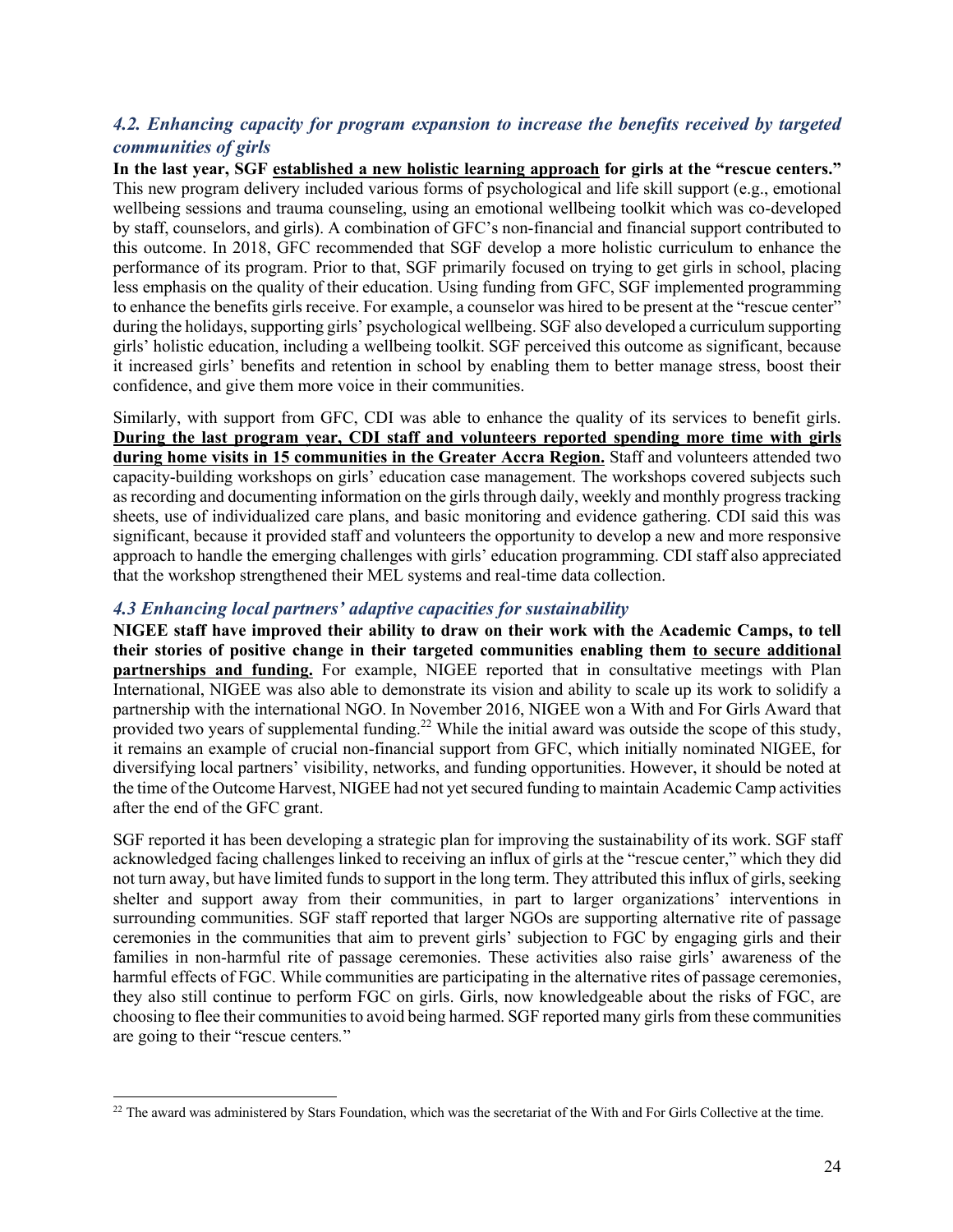#### *4.2. Enhancing capacity for program expansion to increase the benefits received by targeted communities of girls*

**In the last year, SGF established a new holistic learning approach for girls at the "rescue centers."** This new program delivery included various forms of psychological and life skill support (e.g., emotional wellbeing sessions and trauma counseling, using an emotional wellbeing toolkit which was co-developed by staff, counselors, and girls). A combination of GFC's non-financial and financial support contributed to this outcome. In 2018, GFC recommended that SGF develop a more holistic curriculum to enhance the performance of its program. Prior to that, SGF primarily focused on trying to get girls in school, placing less emphasis on the quality of their education. Using funding from GFC, SGF implemented programming to enhance the benefits girls receive. For example, a counselor was hired to be present at the "rescue center" during the holidays, supporting girls' psychological wellbeing. SGF also developed a curriculum supporting girls' holistic education, including a wellbeing toolkit. SGF perceived this outcome as significant, because it increased girls' benefits and retention in school by enabling them to better manage stress, boost their confidence, and give them more voice in their communities.

Similarly, with support from GFC, CDI was able to enhance the quality of its services to benefit girls. **During the last program year, CDI staff and volunteers reported spending more time with girls during home visits in 15 communities in the Greater Accra Region.** Staff and volunteers attended two capacity-building workshops on girls' education case management. The workshops covered subjects such as recording and documenting information on the girls through daily, weekly and monthly progress tracking sheets, use of individualized care plans, and basic monitoring and evidence gathering. CDI said this was significant, because it provided staff and volunteers the opportunity to develop a new and more responsive approach to handle the emerging challenges with girls' education programming. CDI staff also appreciated that the workshop strengthened their MEL systems and real-time data collection.

#### *4.3 Enhancing local partners' adaptive capacities for sustainability*

**NIGEE staff have improved their ability to draw on their work with the Academic Camps, to tell their stories of positive change in their targeted communities enabling them to secure additional partnerships and funding.** For example, NIGEE reported that in consultative meetings with Plan International, NIGEE was also able to demonstrate its vision and ability to scale up its work to solidify a partnership with the international NGO. In November 2016, NIGEE won a With and For Girls Award that provided two years of supplemental funding.<sup>22</sup> While the initial award was outside the scope of this study, it remains an example of crucial non-financial support from GFC, which initially nominated NIGEE, for diversifying local partners' visibility, networks, and funding opportunities. However, it should be noted at the time of the Outcome Harvest, NIGEE had not yet secured funding to maintain Academic Camp activities after the end of the GFC grant.

SGF reported it has been developing a strategic plan for improving the sustainability of its work. SGF staff acknowledged facing challenges linked to receiving an influx of girls at the "rescue center," which they did not turn away, but have limited funds to support in the long term. They attributed this influx of girls, seeking shelter and support away from their communities, in part to larger organizations' interventions in surrounding communities. SGF staff reported that larger NGOs are supporting alternative rite of passage ceremonies in the communities that aim to prevent girls' subjection to FGC by engaging girls and their families in non-harmful rite of passage ceremonies. These activities also raise girls' awareness of the harmful effects of FGC. While communities are participating in the alternative rites of passage ceremonies, they also still continue to perform FGC on girls. Girls, now knowledgeable about the risks of FGC, are choosing to flee their communities to avoid being harmed. SGF reported many girls from these communities are going to their "rescue centers*.*"

<sup>&</sup>lt;sup>22</sup> The award was administered by Stars Foundation, which was the secretariat of the With and For Girls Collective at the time.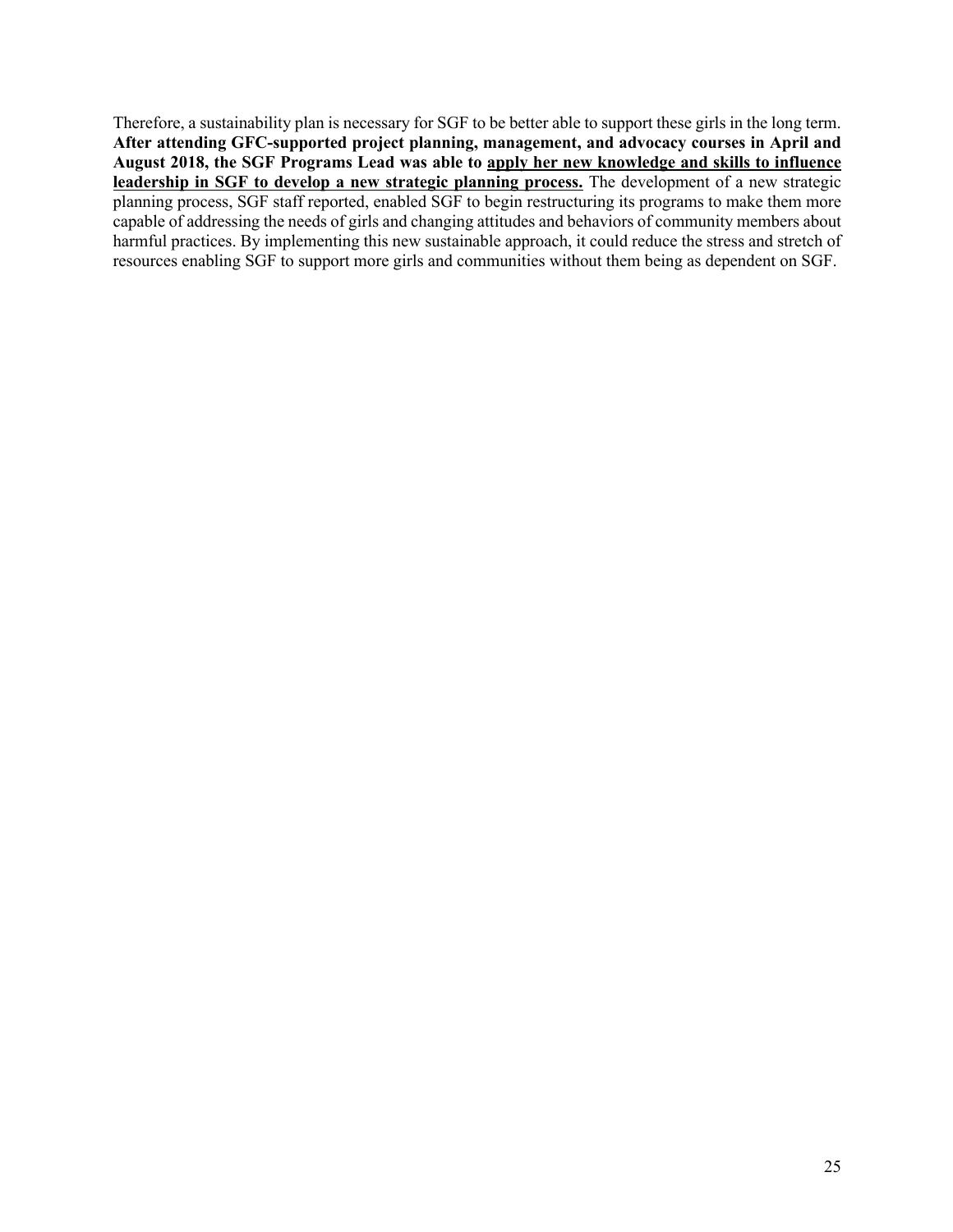Therefore, a sustainability plan is necessary for SGF to be better able to support these girls in the long term. **After attending GFC-supported project planning, management, and advocacy courses in April and August 2018, the SGF Programs Lead was able to apply her new knowledge and skills to influence leadership in SGF to develop a new strategic planning process.** The development of a new strategic planning process, SGF staff reported, enabled SGF to begin restructuring its programs to make them more capable of addressing the needs of girls and changing attitudes and behaviors of community members about harmful practices. By implementing this new sustainable approach, it could reduce the stress and stretch of resources enabling SGF to support more girls and communities without them being as dependent on SGF.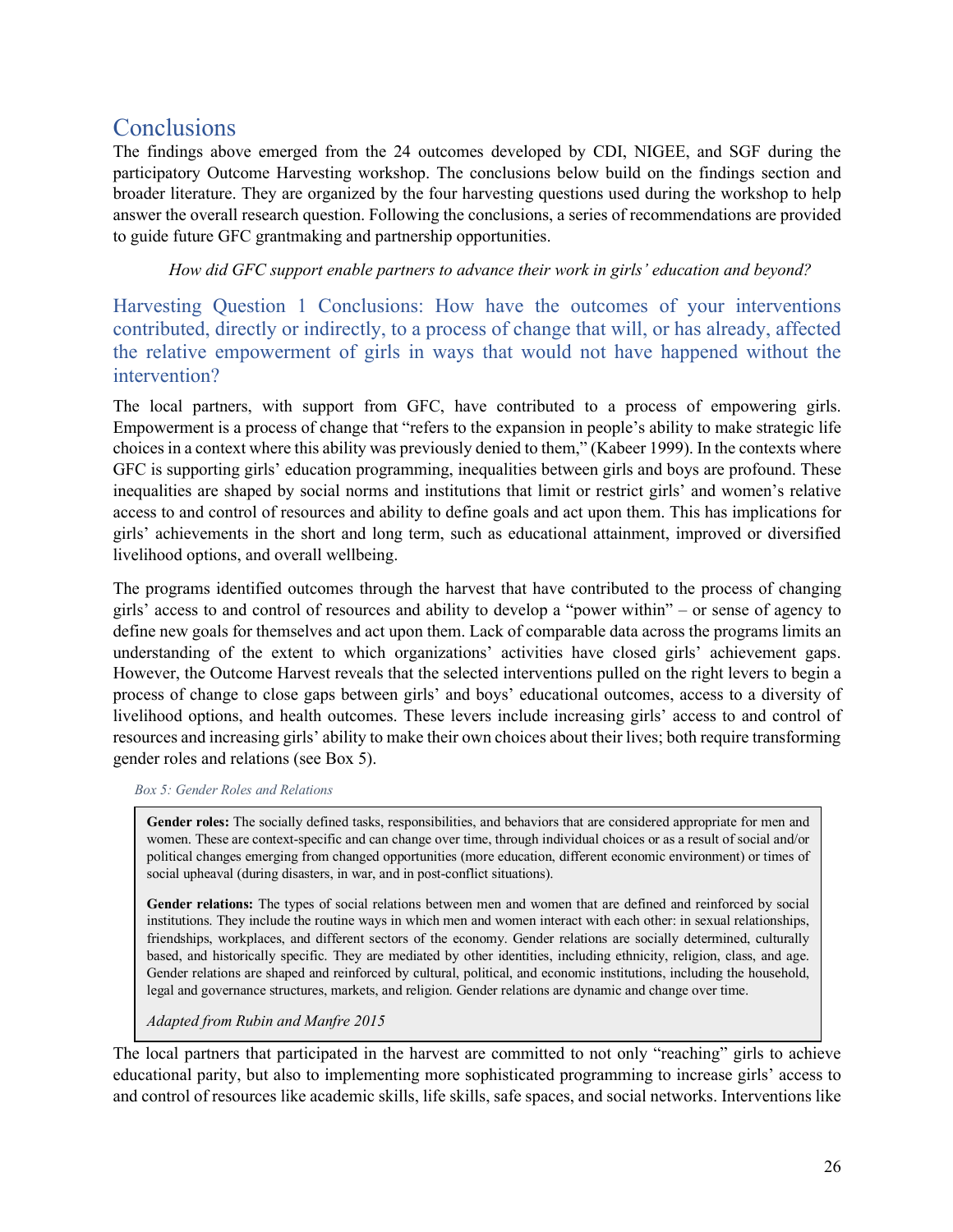# **Conclusions**

The findings above emerged from the 24 outcomes developed by CDI, NIGEE, and SGF during the participatory Outcome Harvesting workshop. The conclusions below build on the findings section and broader literature. They are organized by the four harvesting questions used during the workshop to help answer the overall research question. Following the conclusions, a series of recommendations are provided to guide future GFC grantmaking and partnership opportunities.

*How did GFC support enable partners to advance their work in girls' education and beyond?*

Harvesting Question 1 Conclusions: How have the outcomes of your interventions contributed, directly or indirectly, to a process of change that will, or has already, affected the relative empowerment of girls in ways that would not have happened without the intervention?

The local partners, with support from GFC, have contributed to a process of empowering girls. Empowerment is a process of change that "refers to the expansion in people's ability to make strategic life choices in a context where this ability was previously denied to them," (Kabeer 1999). In the contexts where GFC is supporting girls' education programming, inequalities between girls and boys are profound. These inequalities are shaped by social norms and institutions that limit or restrict girls' and women's relative access to and control of resources and ability to define goals and act upon them. This has implications for girls' achievements in the short and long term, such as educational attainment, improved or diversified livelihood options, and overall wellbeing.

The programs identified outcomes through the harvest that have contributed to the process of changing girls' access to and control of resources and ability to develop a "power within" – or sense of agency to define new goals for themselves and act upon them. Lack of comparable data across the programs limits an understanding of the extent to which organizations' activities have closed girls' achievement gaps. However, the Outcome Harvest reveals that the selected interventions pulled on the right levers to begin a process of change to close gaps between girls' and boys' educational outcomes, access to a diversity of livelihood options, and health outcomes. These levers include increasing girls' access to and control of resources and increasing girls' ability to make their own choices about their lives; both require transforming gender roles and relations (see Box 5).

#### *Box 5: Gender Roles and Relations*

Gender roles: The socially defined tasks, responsibilities, and behaviors that are considered appropriate for men and women. These are context-specific and can change over time, through individual choices or as a result of social and/or political changes emerging from changed opportunities (more education, different economic environment) or times of social upheaval (during disasters, in war, and in post-conflict situations).

**Gender relations:** The types of social relations between men and women that are defined and reinforced by social institutions. They include the routine ways in which men and women interact with each other: in sexual relationships, friendships, workplaces, and different sectors of the economy. Gender relations are socially determined, culturally based, and historically specific. They are mediated by other identities, including ethnicity, religion, class, and age. Gender relations are shaped and reinforced by cultural, political, and economic institutions, including the household, legal and governance structures, markets, and religion. Gender relations are dynamic and change over time.

*Adapted from Rubin and Manfre 2015*

The local partners that participated in the harvest are committed to not only "reaching" girls to achieve educational parity, but also to implementing more sophisticated programming to increase girls' access to and control of resources like academic skills, life skills, safe spaces, and social networks. Interventions like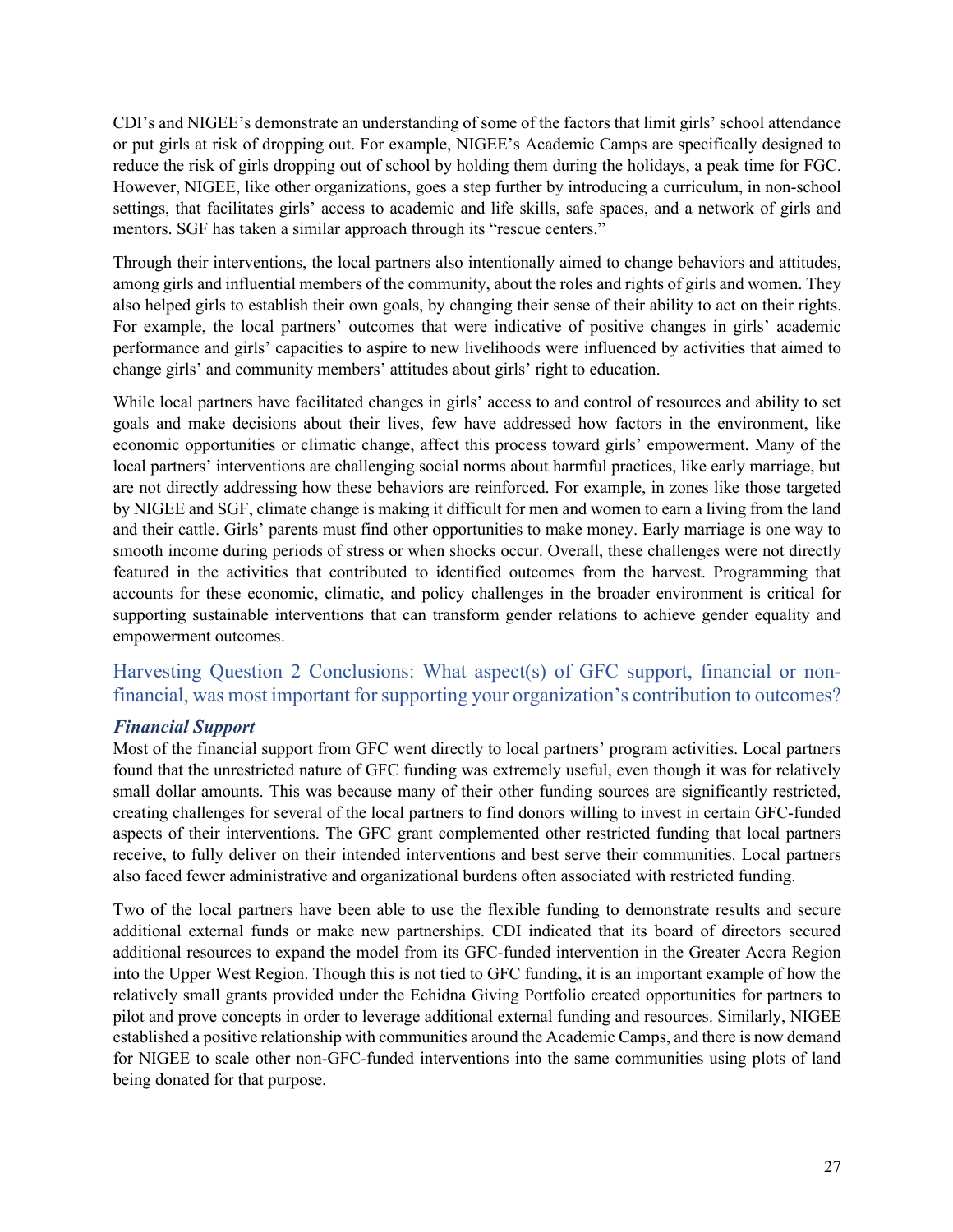CDI's and NIGEE's demonstrate an understanding of some of the factors that limit girls' school attendance or put girls at risk of dropping out. For example, NIGEE's Academic Camps are specifically designed to reduce the risk of girls dropping out of school by holding them during the holidays, a peak time for FGC. However, NIGEE, like other organizations, goes a step further by introducing a curriculum, in non-school settings, that facilitates girls' access to academic and life skills, safe spaces, and a network of girls and mentors. SGF has taken a similar approach through its "rescue centers."

Through their interventions, the local partners also intentionally aimed to change behaviors and attitudes, among girls and influential members of the community, about the roles and rights of girls and women. They also helped girls to establish their own goals, by changing their sense of their ability to act on their rights. For example, the local partners' outcomes that were indicative of positive changes in girls' academic performance and girls' capacities to aspire to new livelihoods were influenced by activities that aimed to change girls' and community members' attitudes about girls' right to education.

While local partners have facilitated changes in girls' access to and control of resources and ability to set goals and make decisions about their lives, few have addressed how factors in the environment, like economic opportunities or climatic change, affect this process toward girls' empowerment. Many of the local partners' interventions are challenging social norms about harmful practices, like early marriage, but are not directly addressing how these behaviors are reinforced. For example, in zones like those targeted by NIGEE and SGF, climate change is making it difficult for men and women to earn a living from the land and their cattle. Girls' parents must find other opportunities to make money. Early marriage is one way to smooth income during periods of stress or when shocks occur. Overall, these challenges were not directly featured in the activities that contributed to identified outcomes from the harvest. Programming that accounts for these economic, climatic, and policy challenges in the broader environment is critical for supporting sustainable interventions that can transform gender relations to achieve gender equality and empowerment outcomes.

## Harvesting Question 2 Conclusions: What aspect(s) of GFC support, financial or nonfinancial, was most important for supporting your organization's contribution to outcomes?

#### *Financial Support*

Most of the financial support from GFC went directly to local partners' program activities. Local partners found that the unrestricted nature of GFC funding was extremely useful, even though it was for relatively small dollar amounts. This was because many of their other funding sources are significantly restricted, creating challenges for several of the local partners to find donors willing to invest in certain GFC-funded aspects of their interventions. The GFC grant complemented other restricted funding that local partners receive, to fully deliver on their intended interventions and best serve their communities. Local partners also faced fewer administrative and organizational burdens often associated with restricted funding.

Two of the local partners have been able to use the flexible funding to demonstrate results and secure additional external funds or make new partnerships. CDI indicated that its board of directors secured additional resources to expand the model from its GFC-funded intervention in the Greater Accra Region into the Upper West Region. Though this is not tied to GFC funding, it is an important example of how the relatively small grants provided under the Echidna Giving Portfolio created opportunities for partners to pilot and prove concepts in order to leverage additional external funding and resources. Similarly, NIGEE established a positive relationship with communities around the Academic Camps, and there is now demand for NIGEE to scale other non-GFC-funded interventions into the same communities using plots of land being donated for that purpose.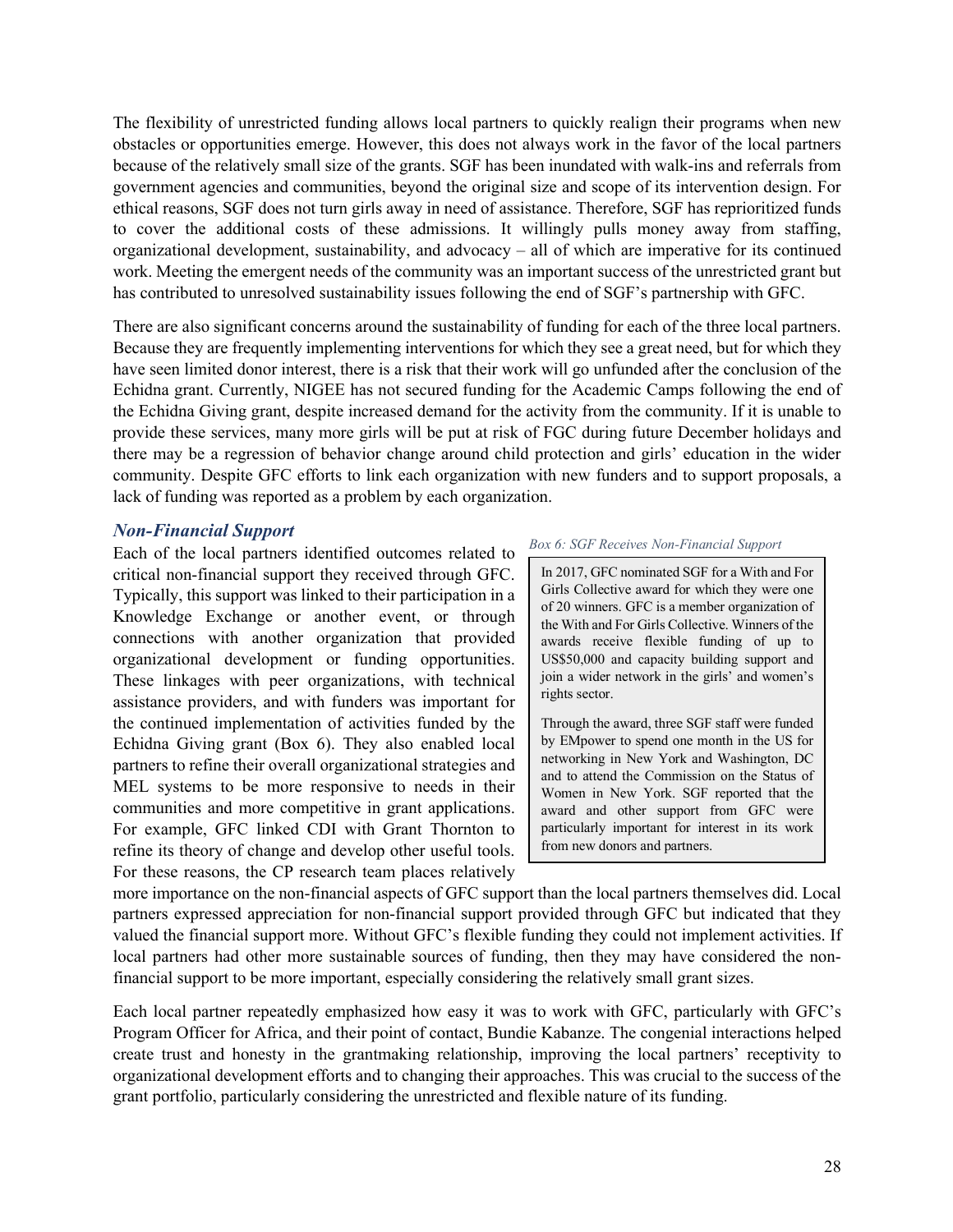The flexibility of unrestricted funding allows local partners to quickly realign their programs when new obstacles or opportunities emerge. However, this does not always work in the favor of the local partners because of the relatively small size of the grants. SGF has been inundated with walk-ins and referrals from government agencies and communities, beyond the original size and scope of its intervention design. For ethical reasons, SGF does not turn girls away in need of assistance. Therefore, SGF has reprioritized funds to cover the additional costs of these admissions. It willingly pulls money away from staffing, organizational development, sustainability, and advocacy – all of which are imperative for its continued work. Meeting the emergent needs of the community was an important success of the unrestricted grant but has contributed to unresolved sustainability issues following the end of SGF's partnership with GFC.

There are also significant concerns around the sustainability of funding for each of the three local partners. Because they are frequently implementing interventions for which they see a great need, but for which they have seen limited donor interest, there is a risk that their work will go unfunded after the conclusion of the Echidna grant. Currently, NIGEE has not secured funding for the Academic Camps following the end of the Echidna Giving grant, despite increased demand for the activity from the community. If it is unable to provide these services, many more girls will be put at risk of FGC during future December holidays and there may be a regression of behavior change around child protection and girls' education in the wider community. Despite GFC efforts to link each organization with new funders and to support proposals, a lack of funding was reported as a problem by each organization.

#### *Non-Financial Support*

Each of the local partners identified outcomes related to critical non-financial support they received through GFC. Typically, this support was linked to their participation in a Knowledge Exchange or another event, or through connections with another organization that provided organizational development or funding opportunities. These linkages with peer organizations, with technical assistance providers, and with funders was important for the continued implementation of activities funded by the Echidna Giving grant (Box 6). They also enabled local partners to refine their overall organizational strategies and MEL systems to be more responsive to needs in their communities and more competitive in grant applications. For example, GFC linked CDI with Grant Thornton to refine its theory of change and develop other useful tools. For these reasons, the CP research team places relatively

#### *Box 6: SGF Receives Non-Financial Support*

In 2017, GFC nominated SGF for a With and For Girls Collective award for which they were one of 20 winners. GFC is a member organization of the With and For Girls Collective. Winners of the awards receive flexible funding of up to US\$50,000 and capacity building support and join a wider network in the girls' and women's rights sector.

Through the award, three SGF staff were funded by EMpower to spend one month in the US for networking in New York and Washington, DC and to attend the Commission on the Status of Women in New York. SGF reported that the award and other support from GFC were particularly important for interest in its work from new donors and partners.

more importance on the non-financial aspects of GFC support than the local partners themselves did. Local partners expressed appreciation for non-financial support provided through GFC but indicated that they valued the financial support more. Without GFC's flexible funding they could not implement activities. If local partners had other more sustainable sources of funding, then they may have considered the nonfinancial support to be more important, especially considering the relatively small grant sizes.

Each local partner repeatedly emphasized how easy it was to work with GFC, particularly with GFC's Program Officer for Africa, and their point of contact, Bundie Kabanze. The congenial interactions helped create trust and honesty in the grantmaking relationship, improving the local partners' receptivity to organizational development efforts and to changing their approaches. This was crucial to the success of the grant portfolio, particularly considering the unrestricted and flexible nature of its funding.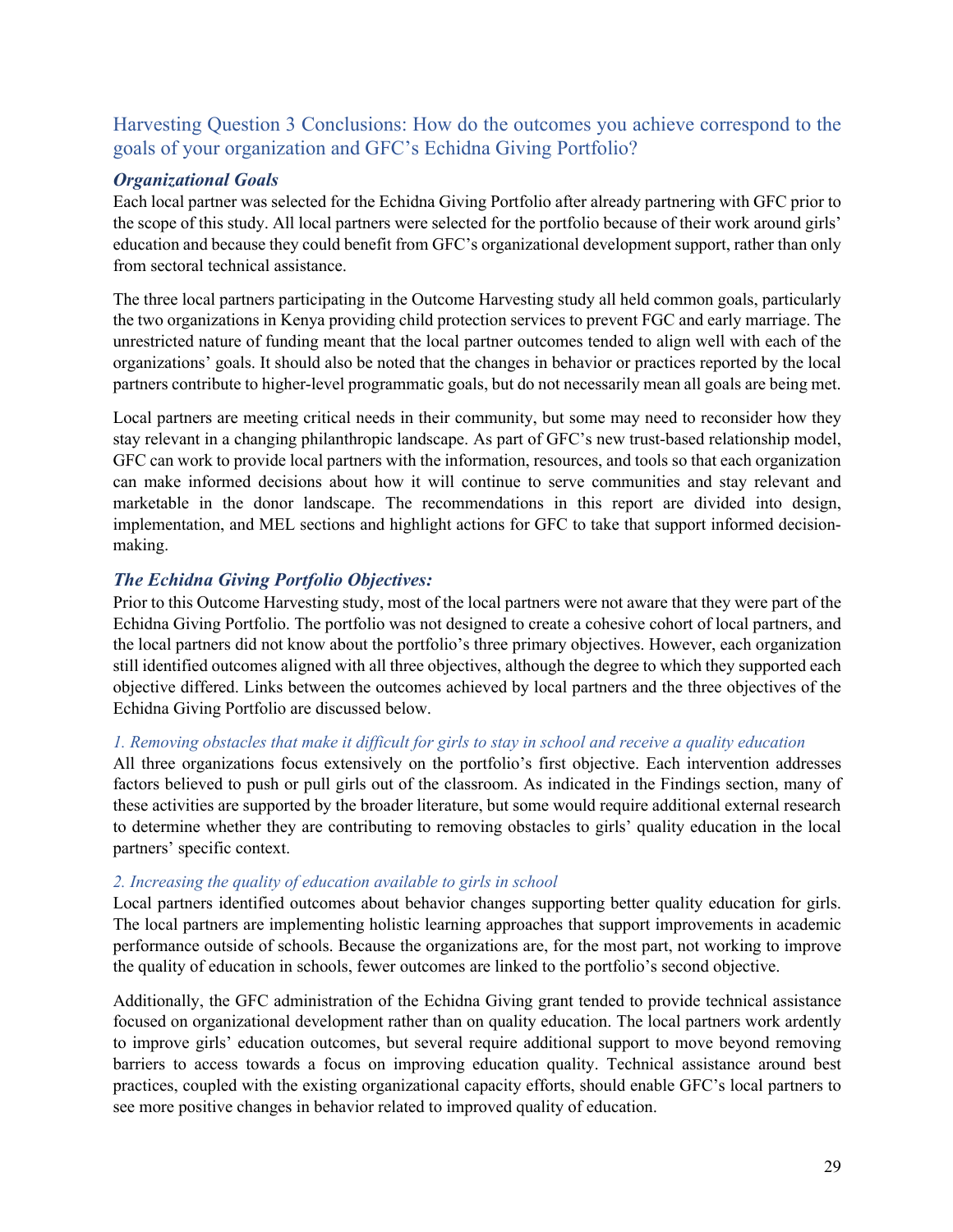## Harvesting Question 3 Conclusions: How do the outcomes you achieve correspond to the goals of your organization and GFC's Echidna Giving Portfolio?

#### *Organizational Goals*

Each local partner was selected for the Echidna Giving Portfolio after already partnering with GFC prior to the scope of this study. All local partners were selected for the portfolio because of their work around girls' education and because they could benefit from GFC's organizational development support, rather than only from sectoral technical assistance.

The three local partners participating in the Outcome Harvesting study all held common goals, particularly the two organizations in Kenya providing child protection services to prevent FGC and early marriage. The unrestricted nature of funding meant that the local partner outcomes tended to align well with each of the organizations' goals. It should also be noted that the changes in behavior or practices reported by the local partners contribute to higher-level programmatic goals, but do not necessarily mean all goals are being met.

Local partners are meeting critical needs in their community, but some may need to reconsider how they stay relevant in a changing philanthropic landscape. As part of GFC's new trust-based relationship model, GFC can work to provide local partners with the information, resources, and tools so that each organization can make informed decisions about how it will continue to serve communities and stay relevant and marketable in the donor landscape. The recommendations in this report are divided into design, implementation, and MEL sections and highlight actions for GFC to take that support informed decisionmaking.

#### *The Echidna Giving Portfolio Objectives:*

Prior to this Outcome Harvesting study, most of the local partners were not aware that they were part of the Echidna Giving Portfolio. The portfolio was not designed to create a cohesive cohort of local partners, and the local partners did not know about the portfolio's three primary objectives. However, each organization still identified outcomes aligned with all three objectives, although the degree to which they supported each objective differed. Links between the outcomes achieved by local partners and the three objectives of the Echidna Giving Portfolio are discussed below.

#### *1. Removing obstacles that make it difficult for girls to stay in school and receive a quality education*

All three organizations focus extensively on the portfolio's first objective. Each intervention addresses factors believed to push or pull girls out of the classroom. As indicated in the Findings section, many of these activities are supported by the broader literature, but some would require additional external research to determine whether they are contributing to removing obstacles to girls' quality education in the local partners' specific context.

#### *2. Increasing the quality of education available to girls in school*

Local partners identified outcomes about behavior changes supporting better quality education for girls. The local partners are implementing holistic learning approaches that support improvements in academic performance outside of schools. Because the organizations are, for the most part, not working to improve the quality of education in schools, fewer outcomes are linked to the portfolio's second objective.

Additionally, the GFC administration of the Echidna Giving grant tended to provide technical assistance focused on organizational development rather than on quality education. The local partners work ardently to improve girls' education outcomes, but several require additional support to move beyond removing barriers to access towards a focus on improving education quality. Technical assistance around best practices, coupled with the existing organizational capacity efforts, should enable GFC's local partners to see more positive changes in behavior related to improved quality of education.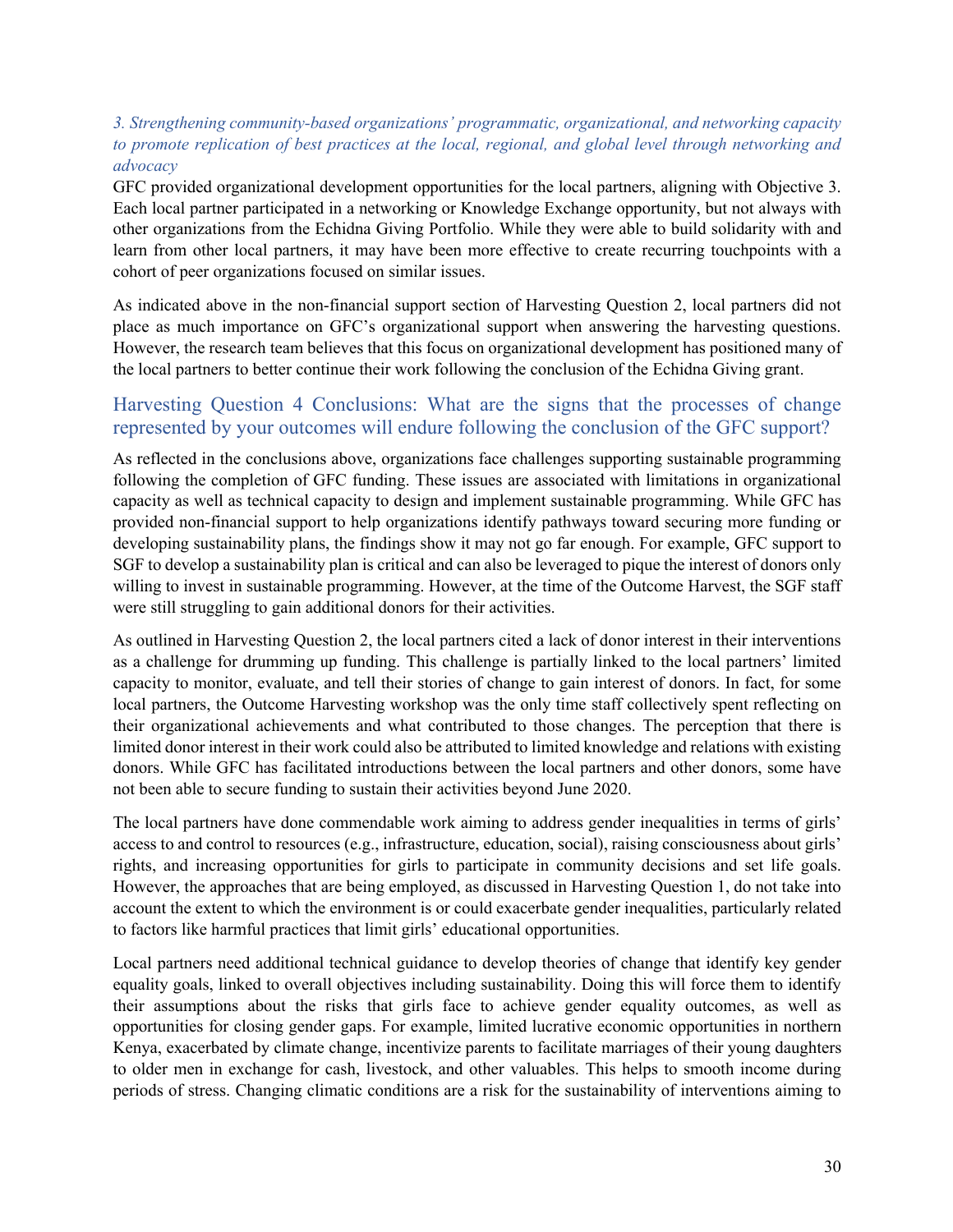#### *3. Strengthening community-based organizations' programmatic, organizational, and networking capacity to promote replication of best practices at the local, regional, and global level through networking and advocacy*

GFC provided organizational development opportunities for the local partners, aligning with Objective 3. Each local partner participated in a networking or Knowledge Exchange opportunity, but not always with other organizations from the Echidna Giving Portfolio. While they were able to build solidarity with and learn from other local partners, it may have been more effective to create recurring touchpoints with a cohort of peer organizations focused on similar issues.

As indicated above in the non-financial support section of Harvesting Question 2, local partners did not place as much importance on GFC's organizational support when answering the harvesting questions. However, the research team believes that this focus on organizational development has positioned many of the local partners to better continue their work following the conclusion of the Echidna Giving grant.

#### Harvesting Question 4 Conclusions: What are the signs that the processes of change represented by your outcomes will endure following the conclusion of the GFC support?

As reflected in the conclusions above, organizations face challenges supporting sustainable programming following the completion of GFC funding. These issues are associated with limitations in organizational capacity as well as technical capacity to design and implement sustainable programming. While GFC has provided non-financial support to help organizations identify pathways toward securing more funding or developing sustainability plans, the findings show it may not go far enough. For example, GFC support to SGF to develop a sustainability plan is critical and can also be leveraged to pique the interest of donors only willing to invest in sustainable programming. However, at the time of the Outcome Harvest, the SGF staff were still struggling to gain additional donors for their activities.

As outlined in Harvesting Question 2, the local partners cited a lack of donor interest in their interventions as a challenge for drumming up funding. This challenge is partially linked to the local partners' limited capacity to monitor, evaluate, and tell their stories of change to gain interest of donors. In fact, for some local partners, the Outcome Harvesting workshop was the only time staff collectively spent reflecting on their organizational achievements and what contributed to those changes. The perception that there is limited donor interest in their work could also be attributed to limited knowledge and relations with existing donors. While GFC has facilitated introductions between the local partners and other donors, some have not been able to secure funding to sustain their activities beyond June 2020.

The local partners have done commendable work aiming to address gender inequalities in terms of girls' access to and control to resources (e.g., infrastructure, education, social), raising consciousness about girls' rights, and increasing opportunities for girls to participate in community decisions and set life goals. However, the approaches that are being employed, as discussed in Harvesting Question 1, do not take into account the extent to which the environment is or could exacerbate gender inequalities, particularly related to factors like harmful practices that limit girls' educational opportunities.

Local partners need additional technical guidance to develop theories of change that identify key gender equality goals, linked to overall objectives including sustainability. Doing this will force them to identify their assumptions about the risks that girls face to achieve gender equality outcomes, as well as opportunities for closing gender gaps. For example, limited lucrative economic opportunities in northern Kenya, exacerbated by climate change, incentivize parents to facilitate marriages of their young daughters to older men in exchange for cash, livestock, and other valuables. This helps to smooth income during periods of stress. Changing climatic conditions are a risk for the sustainability of interventions aiming to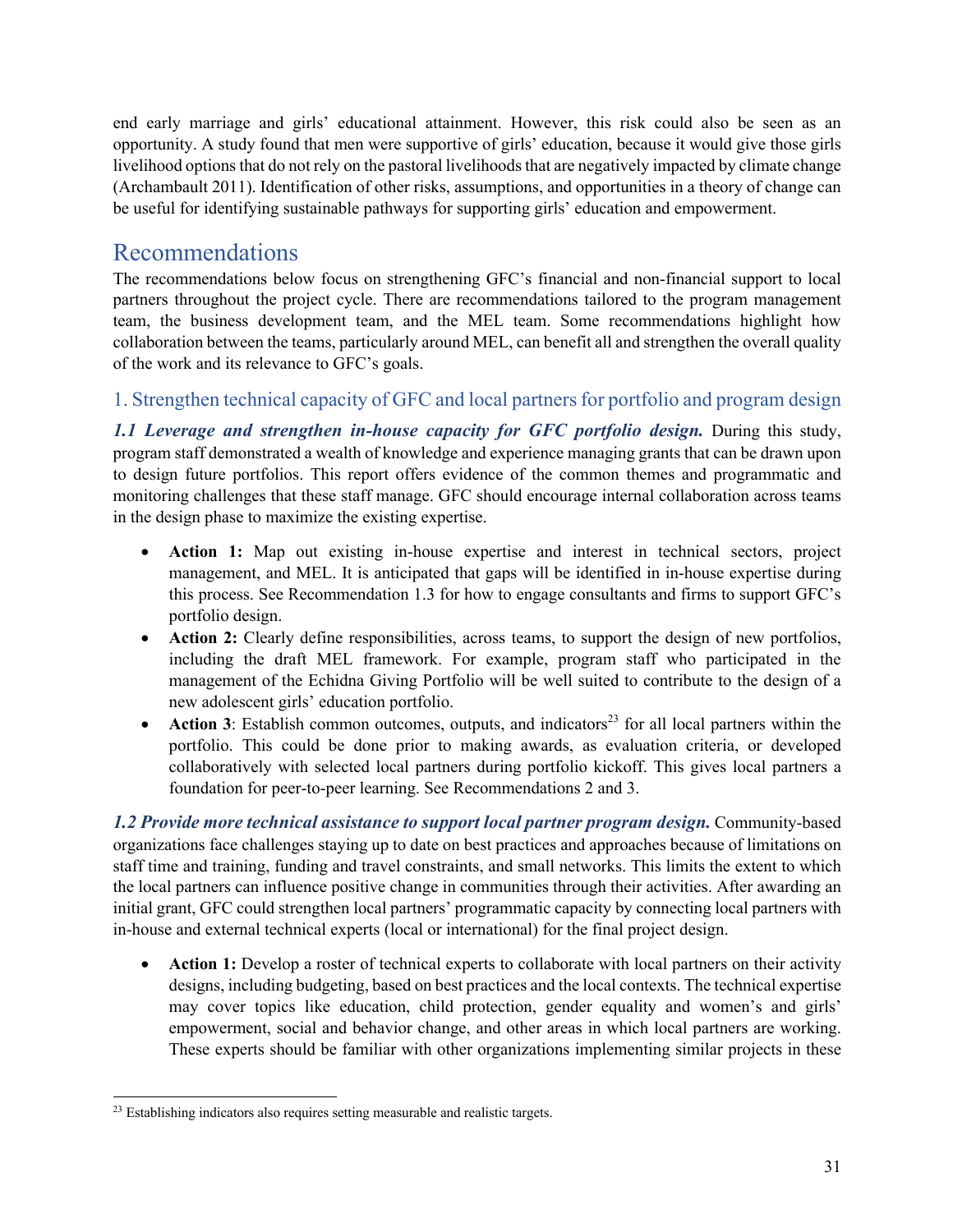end early marriage and girls' educational attainment. However, this risk could also be seen as an opportunity. A study found that men were supportive of girls' education, because it would give those girls livelihood options that do not rely on the pastoral livelihoods that are negatively impacted by climate change (Archambault 2011). Identification of other risks, assumptions, and opportunities in a theory of change can be useful for identifying sustainable pathways for supporting girls' education and empowerment.

# Recommendations

The recommendations below focus on strengthening GFC's financial and non-financial support to local partners throughout the project cycle. There are recommendations tailored to the program management team, the business development team, and the MEL team. Some recommendations highlight how collaboration between the teams, particularly around MEL, can benefit all and strengthen the overall quality of the work and its relevance to GFC's goals.

## 1. Strengthen technical capacity of GFC and local partners for portfolio and program design

*1.1 Leverage and strengthen in-house capacity for GFC portfolio design.* During this study, program staff demonstrated a wealth of knowledge and experience managing grants that can be drawn upon to design future portfolios. This report offers evidence of the common themes and programmatic and monitoring challenges that these staff manage. GFC should encourage internal collaboration across teams in the design phase to maximize the existing expertise.

- **Action 1:** Map out existing in-house expertise and interest in technical sectors, project management, and MEL. It is anticipated that gaps will be identified in in-house expertise during this process. See Recommendation 1.3 for how to engage consultants and firms to support GFC's portfolio design.
- **Action 2:** Clearly define responsibilities, across teams, to support the design of new portfolios, including the draft MEL framework. For example, program staff who participated in the management of the Echidna Giving Portfolio will be well suited to contribute to the design of a new adolescent girls' education portfolio.
- **Action 3**: Establish common outcomes, outputs, and indicators<sup>23</sup> for all local partners within the portfolio. This could be done prior to making awards, as evaluation criteria, or developed collaboratively with selected local partners during portfolio kickoff. This gives local partners a foundation for peer-to-peer learning. See Recommendations 2 and 3.

*1.2 Provide more technical assistance to support local partner program design.* Community-based organizations face challenges staying up to date on best practices and approaches because of limitations on staff time and training, funding and travel constraints, and small networks. This limits the extent to which the local partners can influence positive change in communities through their activities. After awarding an initial grant, GFC could strengthen local partners' programmatic capacity by connecting local partners with in-house and external technical experts (local or international) for the final project design.

• **Action 1:** Develop a roster of technical experts to collaborate with local partners on their activity designs, including budgeting, based on best practices and the local contexts. The technical expertise may cover topics like education, child protection, gender equality and women's and girls' empowerment, social and behavior change, and other areas in which local partners are working. These experts should be familiar with other organizations implementing similar projects in these

 $23$  Establishing indicators also requires setting measurable and realistic targets.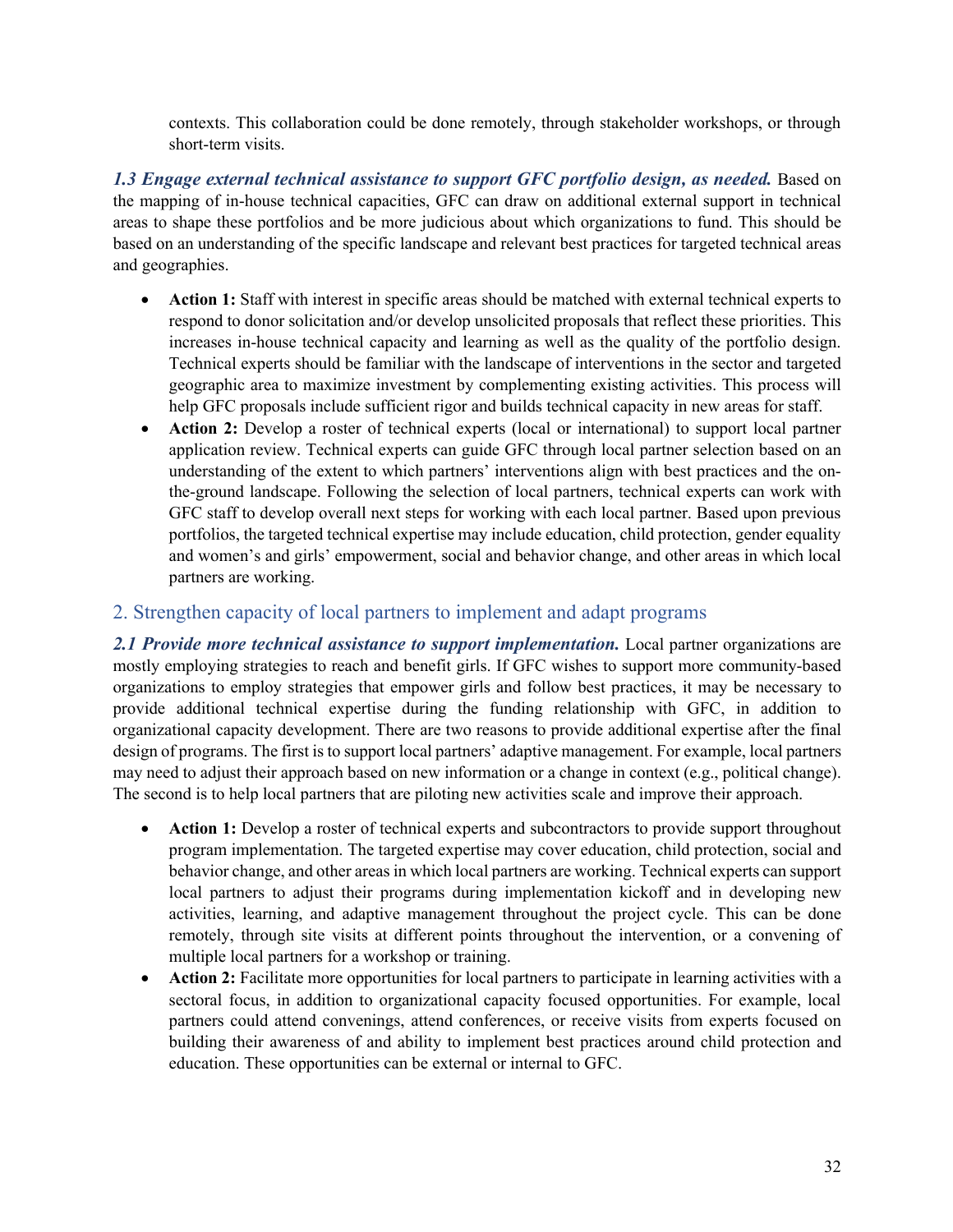contexts. This collaboration could be done remotely, through stakeholder workshops, or through short-term visits.

*1.3 Engage external technical assistance to support GFC portfolio design, as needed.* Based on the mapping of in-house technical capacities, GFC can draw on additional external support in technical areas to shape these portfolios and be more judicious about which organizations to fund. This should be based on an understanding of the specific landscape and relevant best practices for targeted technical areas and geographies.

- **Action 1:** Staff with interest in specific areas should be matched with external technical experts to respond to donor solicitation and/or develop unsolicited proposals that reflect these priorities. This increases in-house technical capacity and learning as well as the quality of the portfolio design. Technical experts should be familiar with the landscape of interventions in the sector and targeted geographic area to maximize investment by complementing existing activities. This process will help GFC proposals include sufficient rigor and builds technical capacity in new areas for staff.
- **Action 2:** Develop a roster of technical experts (local or international) to support local partner application review. Technical experts can guide GFC through local partner selection based on an understanding of the extent to which partners' interventions align with best practices and the onthe-ground landscape. Following the selection of local partners, technical experts can work with GFC staff to develop overall next steps for working with each local partner. Based upon previous portfolios, the targeted technical expertise may include education, child protection, gender equality and women's and girls' empowerment, social and behavior change, and other areas in which local partners are working.

#### 2. Strengthen capacity of local partners to implement and adapt programs

*2.1 Provide more technical assistance to support implementation.* Local partner organizations are mostly employing strategies to reach and benefit girls. If GFC wishes to support more community-based organizations to employ strategies that empower girls and follow best practices, it may be necessary to provide additional technical expertise during the funding relationship with GFC, in addition to organizational capacity development. There are two reasons to provide additional expertise after the final design of programs. The first is to support local partners' adaptive management. For example, local partners may need to adjust their approach based on new information or a change in context (e.g., political change). The second is to help local partners that are piloting new activities scale and improve their approach.

- **Action 1:** Develop a roster of technical experts and subcontractors to provide support throughout program implementation. The targeted expertise may cover education, child protection, social and behavior change, and other areas in which local partners are working. Technical experts can support local partners to adjust their programs during implementation kickoff and in developing new activities, learning, and adaptive management throughout the project cycle. This can be done remotely, through site visits at different points throughout the intervention, or a convening of multiple local partners for a workshop or training.
- **Action 2:** Facilitate more opportunities for local partners to participate in learning activities with a sectoral focus, in addition to organizational capacity focused opportunities. For example, local partners could attend convenings, attend conferences, or receive visits from experts focused on building their awareness of and ability to implement best practices around child protection and education. These opportunities can be external or internal to GFC.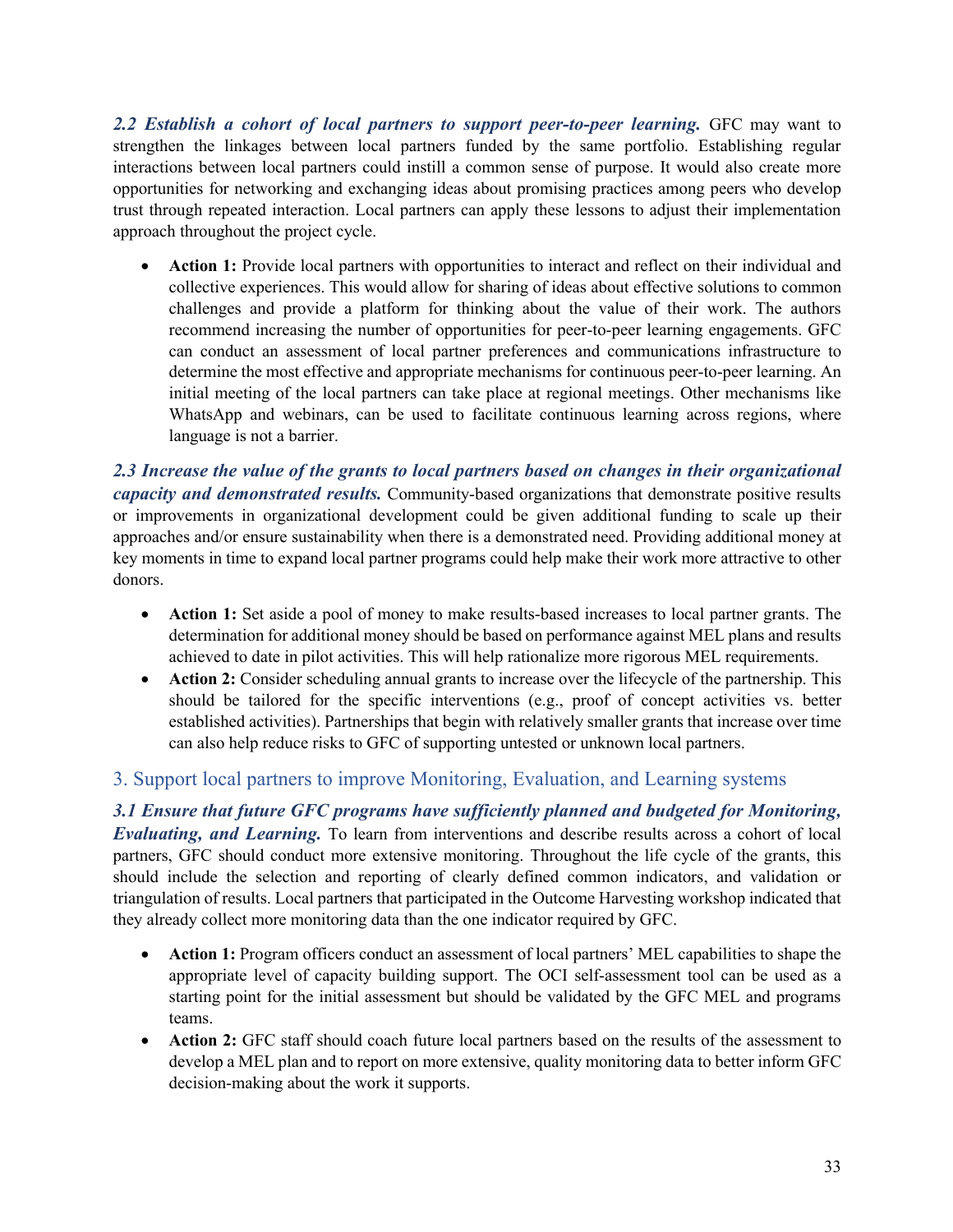2.2 Establish a cohort of local partners to support peer-to-peer learning. GFC may want to strengthen the linkages between local partners funded by the same portfolio. Establishing regular interactions between local partners could instill a common sense of purpose. It would also create more opportunities for networking and exchanging ideas about promising practices among peers who develop trust through repeated interaction. Local partners can apply these lessons to adjust their implementation approach throughout the project cycle.

• **Action 1:** Provide local partners with opportunities to interact and reflect on their individual and collective experiences. This would allow for sharing of ideas about effective solutions to common challenges and provide a platform for thinking about the value of their work. The authors recommend increasing the number of opportunities for peer-to-peer learning engagements. GFC can conduct an assessment of local partner preferences and communications infrastructure to determine the most effective and appropriate mechanisms for continuous peer-to-peer learning. An initial meeting of the local partners can take place at regional meetings. Other mechanisms like WhatsApp and webinars, can be used to facilitate continuous learning across regions, where language is not a barrier.

*2.3 Increase the value of the grants to local partners based on changes in their organizational capacity and demonstrated results.* Community-based organizations that demonstrate positive results or improvements in organizational development could be given additional funding to scale up their approaches and/or ensure sustainability when there is a demonstrated need. Providing additional money at key moments in time to expand local partner programs could help make their work more attractive to other donors.

- **Action 1:** Set aside a pool of money to make results-based increases to local partner grants. The determination for additional money should be based on performance against MEL plans and results achieved to date in pilot activities. This will help rationalize more rigorous MEL requirements.
- **Action 2:** Consider scheduling annual grants to increase over the lifecycle of the partnership. This should be tailored for the specific interventions (e.g., proof of concept activities vs. better established activities). Partnerships that begin with relatively smaller grants that increase over time can also help reduce risks to GFC of supporting untested or unknown local partners.

## 3. Support local partners to improve Monitoring, Evaluation, and Learning systems

*3.1 Ensure that future GFC programs have sufficiently planned and budgeted for Monitoring, Evaluating, and Learning.* To learn from interventions and describe results across a cohort of local partners, GFC should conduct more extensive monitoring. Throughout the life cycle of the grants, this should include the selection and reporting of clearly defined common indicators, and validation or triangulation of results. Local partners that participated in the Outcome Harvesting workshop indicated that they already collect more monitoring data than the one indicator required by GFC.

- **Action 1:** Program officers conduct an assessment of local partners' MEL capabilities to shape the appropriate level of capacity building support. The OCI self-assessment tool can be used as a starting point for the initial assessment but should be validated by the GFC MEL and programs teams.
- **Action 2:** GFC staff should coach future local partners based on the results of the assessment to develop a MEL plan and to report on more extensive, quality monitoring data to better inform GFC decision-making about the work it supports.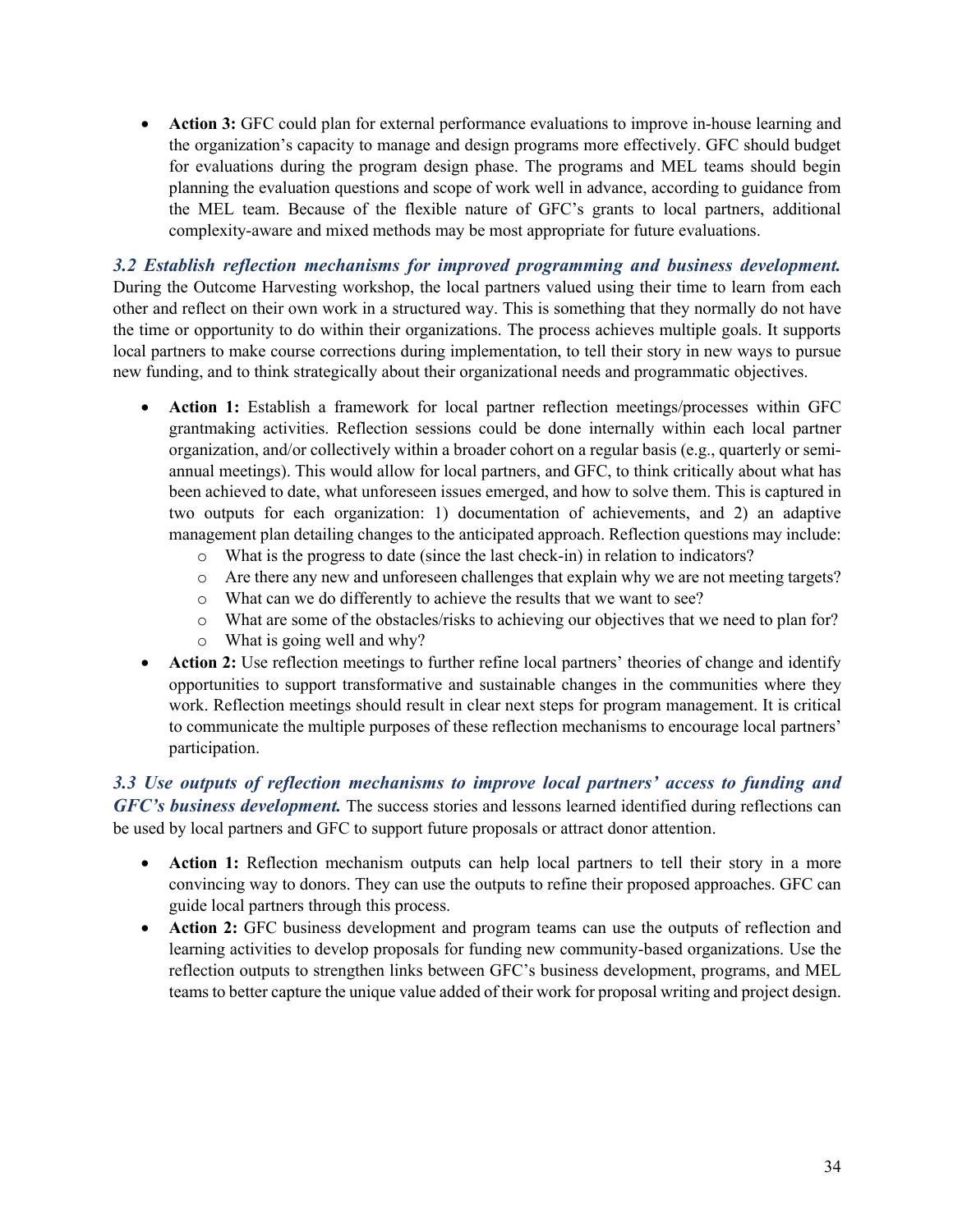• **Action 3:** GFC could plan for external performance evaluations to improve in-house learning and the organization's capacity to manage and design programs more effectively. GFC should budget for evaluations during the program design phase. The programs and MEL teams should begin planning the evaluation questions and scope of work well in advance, according to guidance from the MEL team. Because of the flexible nature of GFC's grants to local partners, additional complexity-aware and mixed methods may be most appropriate for future evaluations.

*3.2 Establish reflection mechanisms for improved programming and business development.* During the Outcome Harvesting workshop, the local partners valued using their time to learn from each other and reflect on their own work in a structured way. This is something that they normally do not have the time or opportunity to do within their organizations. The process achieves multiple goals. It supports local partners to make course corrections during implementation, to tell their story in new ways to pursue new funding, and to think strategically about their organizational needs and programmatic objectives.

- **Action 1:** Establish a framework for local partner reflection meetings/processes within GFC grantmaking activities. Reflection sessions could be done internally within each local partner organization, and/or collectively within a broader cohort on a regular basis (e.g., quarterly or semiannual meetings). This would allow for local partners, and GFC, to think critically about what has been achieved to date, what unforeseen issues emerged, and how to solve them. This is captured in two outputs for each organization: 1) documentation of achievements, and 2) an adaptive management plan detailing changes to the anticipated approach. Reflection questions may include:
	- o What is the progress to date (since the last check-in) in relation to indicators?
	- o Are there any new and unforeseen challenges that explain why we are not meeting targets?
	- o What can we do differently to achieve the results that we want to see?
	- o What are some of the obstacles/risks to achieving our objectives that we need to plan for?
	- o What is going well and why?
- **Action 2:** Use reflection meetings to further refine local partners' theories of change and identify opportunities to support transformative and sustainable changes in the communities where they work. Reflection meetings should result in clear next steps for program management. It is critical to communicate the multiple purposes of these reflection mechanisms to encourage local partners' participation.

*3.3 Use outputs of reflection mechanisms to improve local partners' access to funding and GFC's business development.* The success stories and lessons learned identified during reflections can be used by local partners and GFC to support future proposals or attract donor attention.

- **Action 1:** Reflection mechanism outputs can help local partners to tell their story in a more convincing way to donors. They can use the outputs to refine their proposed approaches. GFC can guide local partners through this process.
- **Action 2:** GFC business development and program teams can use the outputs of reflection and learning activities to develop proposals for funding new community-based organizations. Use the reflection outputs to strengthen links between GFC's business development, programs, and MEL teams to better capture the unique value added of their work for proposal writing and project design.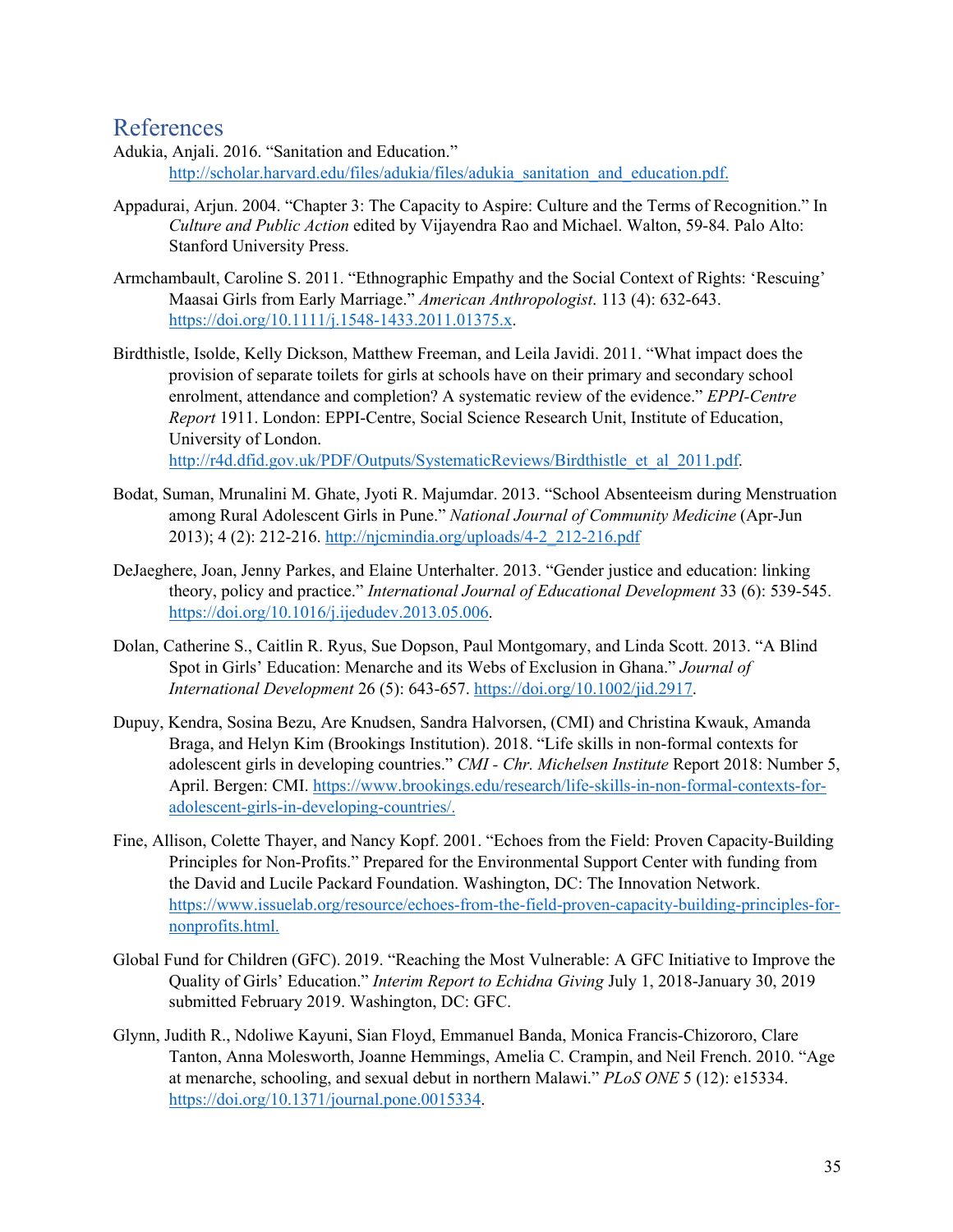## References

- Adukia, Anjali. 2016. "Sanitation and Education." http://scholar.harvard.edu/files/adukia/files/adukia\_sanitation\_and\_education.pdf.
- Appadurai, Arjun. 2004. "Chapter 3: The Capacity to Aspire: Culture and the Terms of Recognition." In *Culture and Public Action* edited by Vijayendra Rao and Michael. Walton, 59-84. Palo Alto: Stanford University Press.
- Armchambault, Caroline S. 2011. "Ethnographic Empathy and the Social Context of Rights: 'Rescuing' Maasai Girls from Early Marriage." *American Anthropologist*. 113 (4): 632-643. https://doi.org/10.1111/j.1548-1433.2011.01375.x.
- Birdthistle, Isolde, Kelly Dickson, Matthew Freeman, and Leila Javidi. 2011. "What impact does the provision of separate toilets for girls at schools have on their primary and secondary school enrolment, attendance and completion? A systematic review of the evidence." *EPPI-Centre Report* 1911. London: EPPI-Centre, Social Science Research Unit, Institute of Education, University of London. http://r4d.dfid.gov.uk/PDF/Outputs/SystematicReviews/Birdthistle\_et\_al\_2011.pdf.

Bodat, Suman, Mrunalini M. Ghate, Jyoti R. Majumdar. 2013. "School Absenteeism during Menstruation

- among Rural Adolescent Girls in Pune." *National Journal of Community Medicine* (Apr-Jun 2013); 4 (2): 212-216. http://njcmindia.org/uploads/4-2\_212-216.pdf
- DeJaeghere, Joan, Jenny Parkes, and Elaine Unterhalter. 2013. "Gender justice and education: linking theory, policy and practice." *International Journal of Educational Development* 33 (6): 539-545. https://doi.org/10.1016/j.ijedudev.2013.05.006.
- Dolan, Catherine S., Caitlin R. Ryus, Sue Dopson, Paul Montgomary, and Linda Scott. 2013. "A Blind Spot in Girls' Education: Menarche and its Webs of Exclusion in Ghana." *Journal of International Development* 26 (5): 643-657. https://doi.org/10.1002/jid.2917.
- Dupuy, Kendra, Sosina Bezu, Are Knudsen, Sandra Halvorsen, (CMI) and Christina Kwauk, Amanda Braga, and Helyn Kim (Brookings Institution). 2018. "Life skills in non-formal contexts for adolescent girls in developing countries." *CMI - Chr. Michelsen Institute* Report 2018: Number 5, April. Bergen: CMI. https://www.brookings.edu/research/life-skills-in-non-formal-contexts-foradolescent-girls-in-developing-countries/.
- Fine, Allison, Colette Thayer, and Nancy Kopf. 2001. "Echoes from the Field: Proven Capacity-Building Principles for Non-Profits." Prepared for the Environmental Support Center with funding from the David and Lucile Packard Foundation. Washington, DC: The Innovation Network. https://www.issuelab.org/resource/echoes-from-the-field-proven-capacity-building-principles-fornonprofits.html.
- Global Fund for Children (GFC). 2019. "Reaching the Most Vulnerable: A GFC Initiative to Improve the Quality of Girls' Education." *Interim Report to Echidna Giving* July 1, 2018-January 30, 2019 submitted February 2019. Washington, DC: GFC.
- Glynn, Judith R., Ndoliwe Kayuni, Sian Floyd, Emmanuel Banda, Monica Francis-Chizororo, Clare Tanton, Anna Molesworth, Joanne Hemmings, Amelia C. Crampin, and Neil French. 2010. "Age at menarche, schooling, and sexual debut in northern Malawi." *PLoS ONE* 5 (12): e15334. https://doi.org/10.1371/journal.pone.0015334.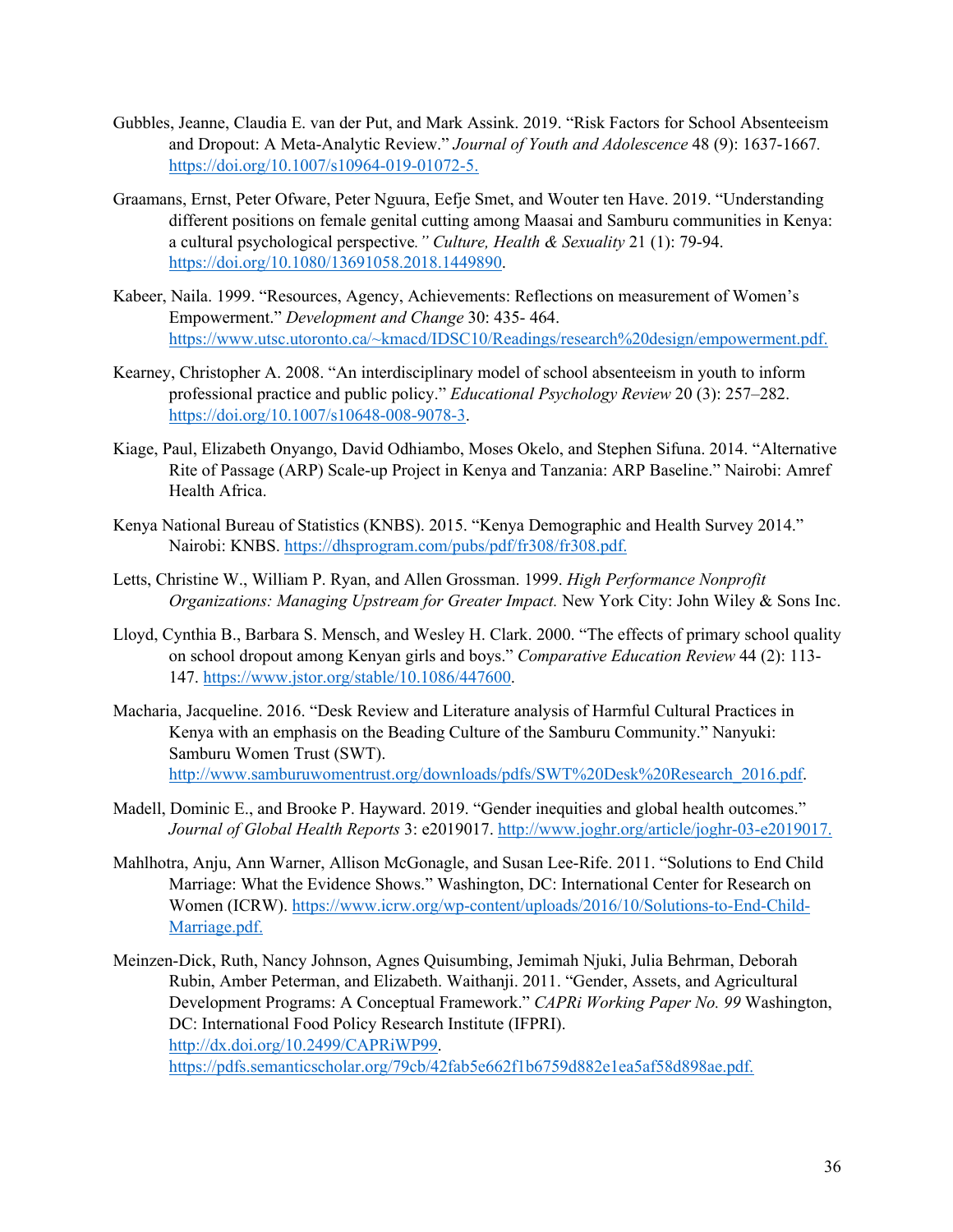- Gubbles, Jeanne, Claudia E. van der Put, and Mark Assink. 2019. "Risk Factors for School Absenteeism and Dropout: A Meta-Analytic Review." *Journal of Youth and Adolescence* 48 (9): 1637-1667*.* https://doi.org/10.1007/s10964-019-01072-5.
- Graamans, Ernst, Peter Ofware, Peter Nguura, Eefje Smet, and Wouter ten Have. 2019. "Understanding different positions on female genital cutting among Maasai and Samburu communities in Kenya: a cultural psychological perspective*." Culture, Health & Sexuality* 21 (1): 79-94. https://doi.org/10.1080/13691058.2018.1449890.
- Kabeer, Naila. 1999. "Resources, Agency, Achievements: Reflections on measurement of Women's Empowerment." *Development and Change* 30: 435- 464. https://www.utsc.utoronto.ca/~kmacd/IDSC10/Readings/research%20design/empowerment.pdf.
- Kearney, Christopher A. 2008. "An interdisciplinary model of school absenteeism in youth to inform professional practice and public policy." *Educational Psychology Review* 20 (3): 257–282. https://doi.org/10.1007/s10648-008-9078-3.
- Kiage, Paul, Elizabeth Onyango, David Odhiambo, Moses Okelo, and Stephen Sifuna. 2014. "Alternative Rite of Passage (ARP) Scale-up Project in Kenya and Tanzania: ARP Baseline." Nairobi: Amref Health Africa.
- Kenya National Bureau of Statistics (KNBS). 2015. "Kenya Demographic and Health Survey 2014." Nairobi: KNBS. https://dhsprogram.com/pubs/pdf/fr308/fr308.pdf.
- Letts, Christine W., William P. Ryan, and Allen Grossman. 1999. *High Performance Nonprofit Organizations: Managing Upstream for Greater Impact.* New York City: John Wiley & Sons Inc.
- Lloyd, Cynthia B., Barbara S. Mensch, and Wesley H. Clark. 2000. "The effects of primary school quality on school dropout among Kenyan girls and boys." *Comparative Education Review* 44 (2): 113- 147. https://www.jstor.org/stable/10.1086/447600.
- Macharia, Jacqueline. 2016. "Desk Review and Literature analysis of Harmful Cultural Practices in Kenya with an emphasis on the Beading Culture of the Samburu Community." Nanyuki: Samburu Women Trust (SWT). http://www.samburuwomentrust.org/downloads/pdfs/SWT%20Desk%20Research\_2016.pdf.
- Madell, Dominic E., and Brooke P. Hayward. 2019. "Gender inequities and global health outcomes." *Journal of Global Health Reports* 3: e2019017. http://www.joghr.org/article/joghr-03-e2019017.
- Mahlhotra, Anju, Ann Warner, Allison McGonagle, and Susan Lee-Rife. 2011. "Solutions to End Child Marriage: What the Evidence Shows." Washington, DC: International Center for Research on Women (ICRW). https://www.icrw.org/wp-content/uploads/2016/10/Solutions-to-End-Child-Marriage.pdf.
- Meinzen-Dick, Ruth, Nancy Johnson, Agnes Quisumbing, Jemimah Njuki, Julia Behrman, Deborah Rubin, Amber Peterman, and Elizabeth. Waithanji. 2011. "Gender, Assets, and Agricultural Development Programs: A Conceptual Framework." *CAPRi Working Paper No. 99* Washington, DC: International Food Policy Research Institute (IFPRI). http://dx.doi.org/10.2499/CAPRiWP99. https://pdfs.semanticscholar.org/79cb/42fab5e662f1b6759d882e1ea5af58d898ae.pdf.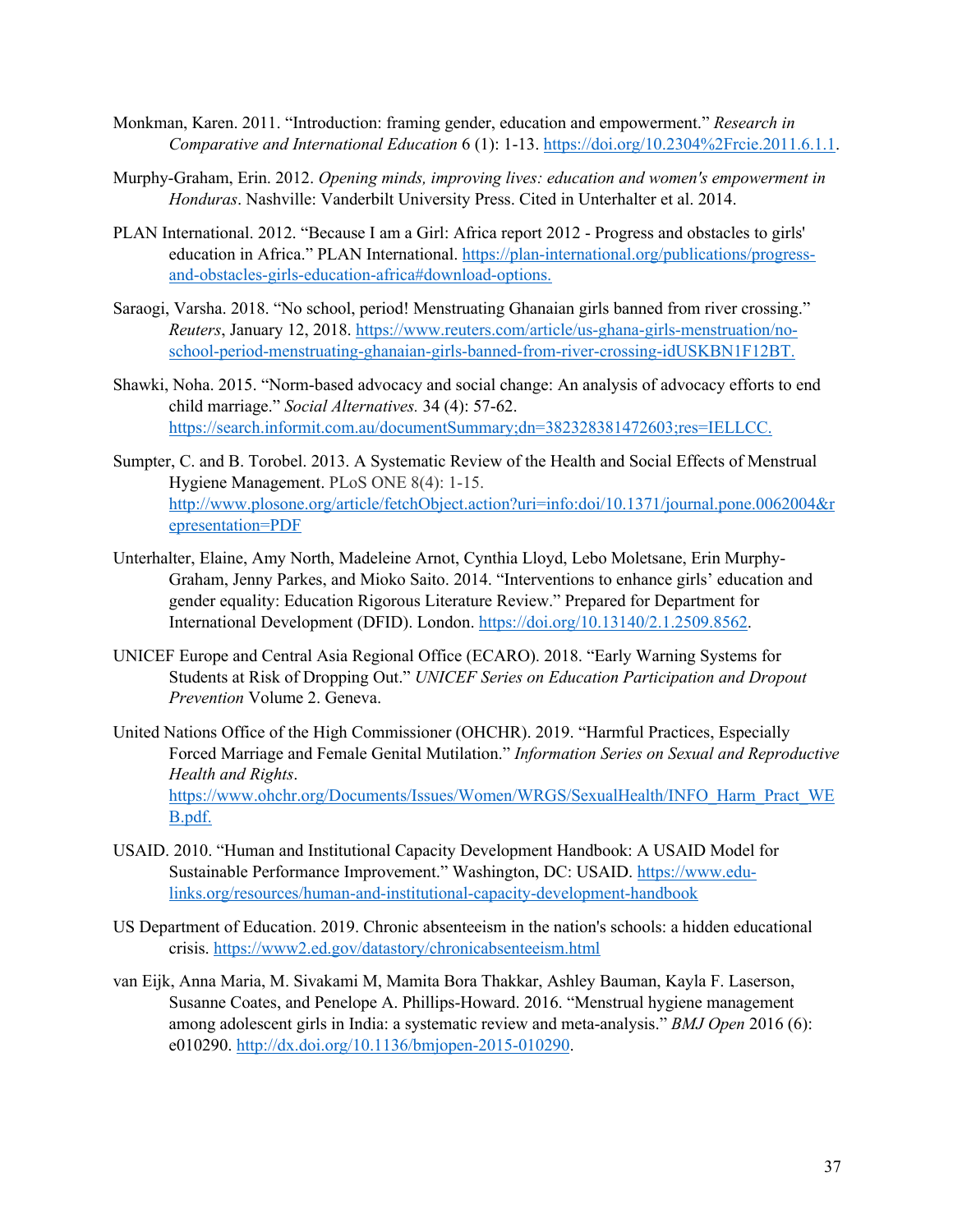- Monkman, Karen. 2011. "Introduction: framing gender, education and empowerment." *Research in Comparative and International Education* 6 (1): 1-13. https://doi.org/10.2304%2Frcie.2011.6.1.1.
- Murphy-Graham, Erin. 2012. *Opening minds, improving lives: education and women's empowerment in Honduras*. Nashville: Vanderbilt University Press. Cited in Unterhalter et al. 2014.
- PLAN International. 2012. "Because I am a Girl: Africa report 2012 Progress and obstacles to girls' education in Africa." PLAN International. https://plan-international.org/publications/progressand-obstacles-girls-education-africa#download-options.
- Saraogi, Varsha. 2018. "No school, period! Menstruating Ghanaian girls banned from river crossing." *Reuters*, January 12, 2018. https://www.reuters.com/article/us-ghana-girls-menstruation/noschool-period-menstruating-ghanaian-girls-banned-from-river-crossing-idUSKBN1F12BT.
- Shawki, Noha. 2015. "Norm-based advocacy and social change: An analysis of advocacy efforts to end child marriage." *Social Alternatives.* 34 (4): 57-62. https://search.informit.com.au/documentSummary;dn=382328381472603;res=IELLCC.
- Sumpter, C. and B. Torobel. 2013. A Systematic Review of the Health and Social Effects of Menstrual Hygiene Management. PLoS ONE 8(4): 1-15. http://www.plosone.org/article/fetchObject.action?uri=info:doi/10.1371/journal.pone.0062004&r epresentation=PDF
- Unterhalter, Elaine, Amy North, Madeleine Arnot, Cynthia Lloyd, Lebo Moletsane, Erin Murphy-Graham, Jenny Parkes, and Mioko Saito. 2014. "Interventions to enhance girls' education and gender equality: Education Rigorous Literature Review." Prepared for Department for International Development (DFID). London. https://doi.org/10.13140/2.1.2509.8562.
- UNICEF Europe and Central Asia Regional Office (ECARO). 2018. "Early Warning Systems for Students at Risk of Dropping Out." *UNICEF Series on Education Participation and Dropout Prevention* Volume 2. Geneva.
- United Nations Office of the High Commissioner (OHCHR). 2019. "Harmful Practices, Especially Forced Marriage and Female Genital Mutilation." *Information Series on Sexual and Reproductive Health and Rights*. https://www.ohchr.org/Documents/Issues/Women/WRGS/SexualHealth/INFO\_Harm\_Pract\_WE B.pdf.
- USAID. 2010. "Human and Institutional Capacity Development Handbook: A USAID Model for Sustainable Performance Improvement." Washington, DC: USAID. https://www.edulinks.org/resources/human-and-institutional-capacity-development-handbook
- US Department of Education. 2019. Chronic absenteeism in the nation's schools: a hidden educational crisis. https://www2.ed.gov/datastory/chronicabsenteeism.html
- van Eijk, Anna Maria, M. Sivakami M, Mamita Bora Thakkar, Ashley Bauman, Kayla F. Laserson, Susanne Coates, and Penelope A. Phillips-Howard. 2016. "Menstrual hygiene management among adolescent girls in India: a systematic review and meta-analysis." *BMJ Open* 2016 (6): e010290. http://dx.doi.org/10.1136/bmjopen-2015-010290.